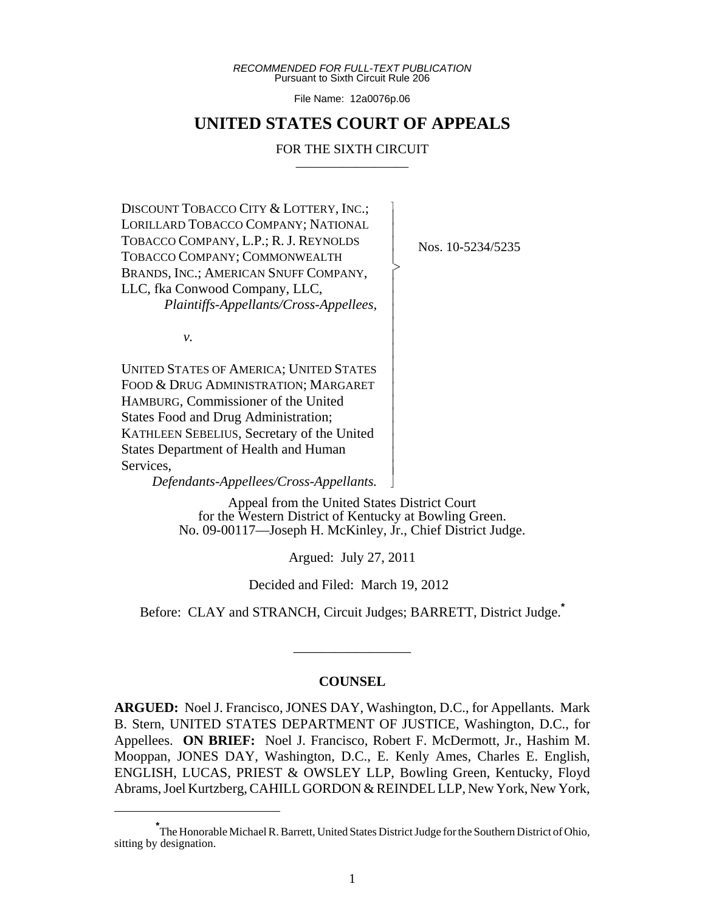*RECOMMENDED FOR FULL-TEXT PUBLICATION* Pursuant to Sixth Circuit Rule 206

File Name: 12a0076p.06

# **UNITED STATES COURT OF APPEALS**

#### FOR THE SIXTH CIRCUIT

 $\overline{\phantom{a}}$ - - - > , - - - - - - - - - - - - - - - N

DISCOUNT TOBACCO CITY & LOTTERY, INC.; LORILLARD TOBACCO COMPANY; NATIONAL TOBACCO COMPANY, L.P.; R. J. REYNOLDS TOBACCO COMPANY; COMMONWEALTH BRANDS, INC.; AMERICAN SNUFF COMPANY, LLC, fka Conwood Company, LLC, *Plaintiffs-Appellants/Cross-Appellees,*

Nos. 10-5234/5235

*v.*

UNITED STATES OF AMERICA; UNITED STATES FOOD & DRUG ADMINISTRATION; MARGARET HAMBURG, Commissioner of the United States Food and Drug Administration; KATHLEEN SEBELIUS, Secretary of the United States Department of Health and Human Services,

*Defendants-Appellees/Cross-Appellants.*

Appeal from the United States District Court for the Western District of Kentucky at Bowling Green. No. 09-00117—Joseph H. McKinley, Jr., Chief District Judge.

Argued: July 27, 2011

Decided and Filed: March 19, 2012

Before: CLAY and STRANCH, Circuit Judges; BARRETT, District Judge.**\***

#### **COUNSEL**

\_\_\_\_\_\_\_\_\_\_\_\_\_\_\_\_\_

**ARGUED:** Noel J. Francisco, JONES DAY, Washington, D.C., for Appellants. Mark B. Stern, UNITED STATES DEPARTMENT OF JUSTICE, Washington, D.C., for Appellees. **ON BRIEF:** Noel J. Francisco, Robert F. McDermott, Jr., Hashim M. Mooppan, JONES DAY, Washington, D.C., E. Kenly Ames, Charles E. English, ENGLISH, LUCAS, PRIEST & OWSLEY LLP, Bowling Green, Kentucky, Floyd Abrams, Joel Kurtzberg, CAHILL GORDON & REINDEL LLP, New York, New York,

**<sup>\*</sup>** The Honorable Michael R. Barrett, United States District Judge for the Southern District of Ohio, sitting by designation.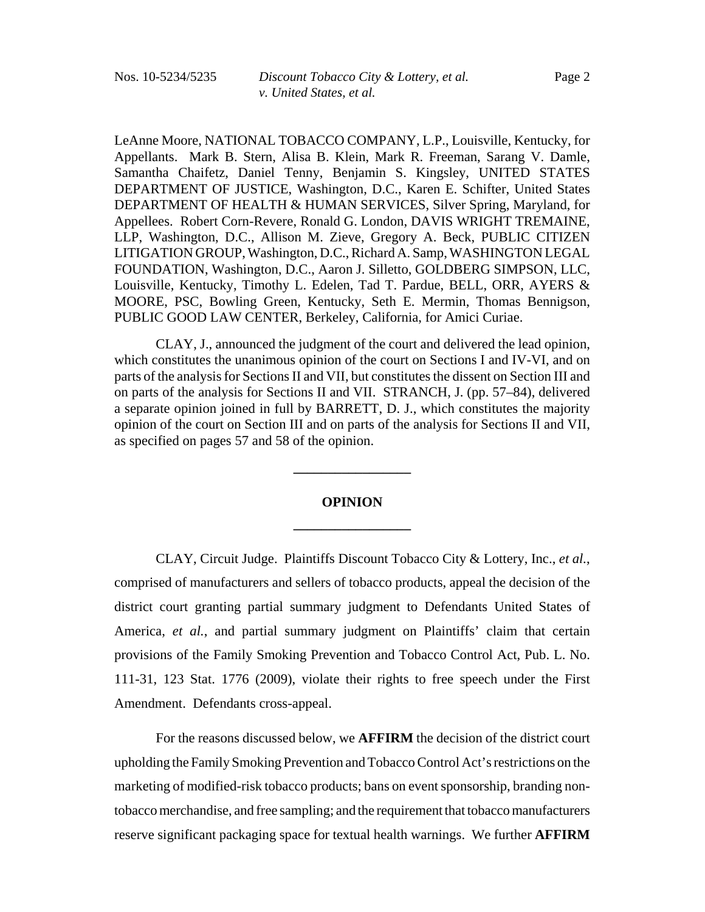LeAnne Moore, NATIONAL TOBACCO COMPANY, L.P., Louisville, Kentucky, for Appellants. Mark B. Stern, Alisa B. Klein, Mark R. Freeman, Sarang V. Damle, Samantha Chaifetz, Daniel Tenny, Benjamin S. Kingsley, UNITED STATES DEPARTMENT OF JUSTICE, Washington, D.C., Karen E. Schifter, United States DEPARTMENT OF HEALTH & HUMAN SERVICES, Silver Spring, Maryland, for Appellees. Robert Corn-Revere, Ronald G. London, DAVIS WRIGHT TREMAINE, LLP, Washington, D.C., Allison M. Zieve, Gregory A. Beck, PUBLIC CITIZEN LITIGATION GROUP, Washington, D.C., Richard A. Samp, WASHINGTON LEGAL FOUNDATION, Washington, D.C., Aaron J. Silletto, GOLDBERG SIMPSON, LLC, Louisville, Kentucky, Timothy L. Edelen, Tad T. Pardue, BELL, ORR, AYERS & MOORE, PSC, Bowling Green, Kentucky, Seth E. Mermin, Thomas Bennigson, PUBLIC GOOD LAW CENTER, Berkeley, California, for Amici Curiae.

CLAY, J., announced the judgment of the court and delivered the lead opinion, which constitutes the unanimous opinion of the court on Sections I and IV-VI, and on parts of the analysis for Sections II and VII, but constitutes the dissent on Section III and on parts of the analysis for Sections II and VII. STRANCH, J. (pp. 57–84), delivered a separate opinion joined in full by BARRETT, D. J., which constitutes the majority opinion of the court on Section III and on parts of the analysis for Sections II and VII, as specified on pages 57 and 58 of the opinion.

# **OPINION \_\_\_\_\_\_\_\_\_\_\_\_\_\_\_\_\_**

**\_\_\_\_\_\_\_\_\_\_\_\_\_\_\_\_\_**

CLAY, Circuit Judge. Plaintiffs Discount Tobacco City & Lottery, Inc., *et al.*, comprised of manufacturers and sellers of tobacco products, appeal the decision of the district court granting partial summary judgment to Defendants United States of America, *et al.*, and partial summary judgment on Plaintiffs' claim that certain provisions of the Family Smoking Prevention and Tobacco Control Act, Pub. L. No. 111-31, 123 Stat. 1776 (2009), violate their rights to free speech under the First Amendment. Defendants cross-appeal.

For the reasons discussed below, we **AFFIRM** the decision of the district court upholding the Family Smoking Prevention and Tobacco Control Act's restrictions on the marketing of modified-risk tobacco products; bans on event sponsorship, branding nontobacco merchandise, and free sampling; and the requirement that tobacco manufacturers reserve significant packaging space for textual health warnings. We further **AFFIRM**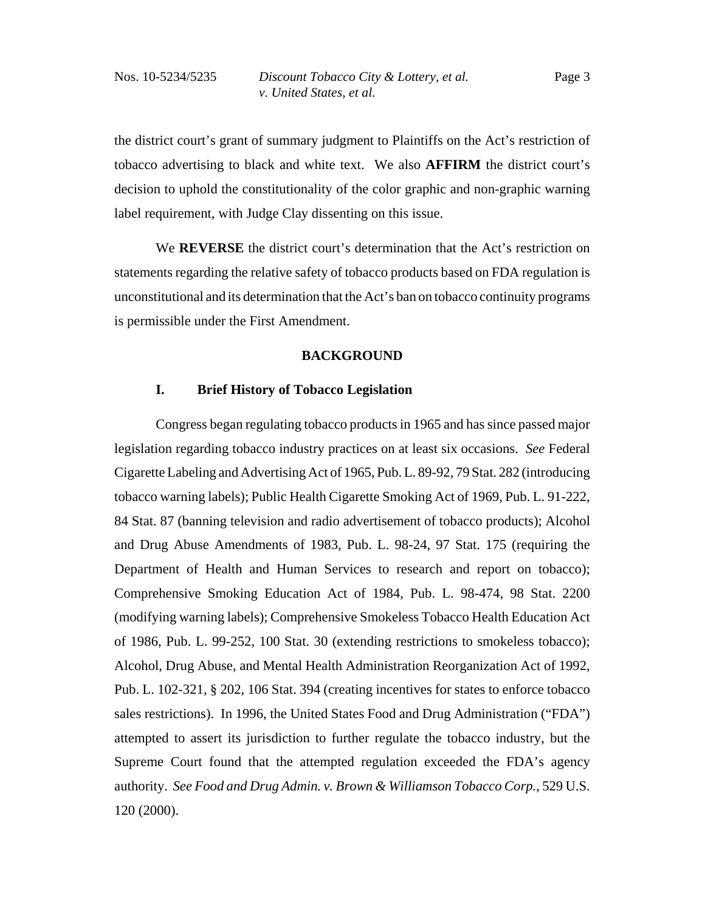the district court's grant of summary judgment to Plaintiffs on the Act's restriction of tobacco advertising to black and white text. We also **AFFIRM** the district court's decision to uphold the constitutionality of the color graphic and non-graphic warning label requirement, with Judge Clay dissenting on this issue.

We **REVERSE** the district court's determination that the Act's restriction on statements regarding the relative safety of tobacco products based on FDA regulation is unconstitutional and its determination that the Act's ban on tobacco continuity programs is permissible under the First Amendment.

### **BACKGROUND**

## **I. Brief History of Tobacco Legislation**

Congress began regulating tobacco products in 1965 and has since passed major legislation regarding tobacco industry practices on at least six occasions. *See* Federal Cigarette Labeling and Advertising Act of 1965, Pub. L. 89-92, 79 Stat. 282 (introducing tobacco warning labels); Public Health Cigarette Smoking Act of 1969, Pub. L. 91-222, 84 Stat. 87 (banning television and radio advertisement of tobacco products); Alcohol and Drug Abuse Amendments of 1983, Pub. L. 98-24, 97 Stat. 175 (requiring the Department of Health and Human Services to research and report on tobacco); Comprehensive Smoking Education Act of 1984, Pub. L. 98-474, 98 Stat. 2200 (modifying warning labels); Comprehensive Smokeless Tobacco Health Education Act of 1986, Pub. L. 99-252, 100 Stat. 30 (extending restrictions to smokeless tobacco); Alcohol, Drug Abuse, and Mental Health Administration Reorganization Act of 1992, Pub. L. 102-321, § 202, 106 Stat. 394 (creating incentives for states to enforce tobacco sales restrictions). In 1996, the United States Food and Drug Administration ("FDA") attempted to assert its jurisdiction to further regulate the tobacco industry, but the Supreme Court found that the attempted regulation exceeded the FDA's agency authority. *See Food and Drug Admin. v. Brown & Williamson Tobacco Corp.*, 529 U.S. 120 (2000).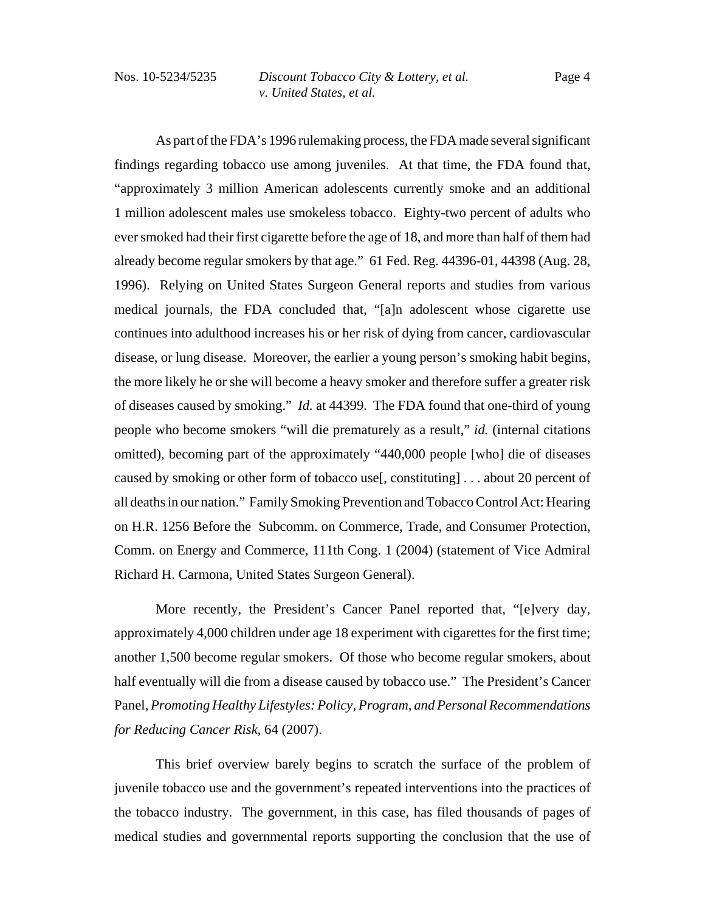As part of the FDA's 1996 rulemaking process, the FDA made several significant findings regarding tobacco use among juveniles. At that time, the FDA found that, "approximately 3 million American adolescents currently smoke and an additional 1 million adolescent males use smokeless tobacco. Eighty-two percent of adults who ever smoked had their first cigarette before the age of 18, and more than half of them had already become regular smokers by that age." 61 Fed. Reg. 44396-01, 44398 (Aug. 28, 1996). Relying on United States Surgeon General reports and studies from various medical journals, the FDA concluded that, "[a]n adolescent whose cigarette use continues into adulthood increases his or her risk of dying from cancer, cardiovascular disease, or lung disease. Moreover, the earlier a young person's smoking habit begins, the more likely he or she will become a heavy smoker and therefore suffer a greater risk of diseases caused by smoking." *Id.* at 44399. The FDA found that one-third of young people who become smokers "will die prematurely as a result," *id.* (internal citations omitted), becoming part of the approximately "440,000 people [who] die of diseases caused by smoking or other form of tobacco use[, constituting] . . . about 20 percent of all deaths in our nation." Family Smoking Prevention and Tobacco Control Act: Hearing on H.R. 1256 Before the Subcomm. on Commerce, Trade, and Consumer Protection, Comm. on Energy and Commerce, 111th Cong. 1 (2004) (statement of Vice Admiral Richard H. Carmona, United States Surgeon General).

More recently, the President's Cancer Panel reported that, "[e]very day, approximately 4,000 children under age 18 experiment with cigarettes for the first time; another 1,500 become regular smokers. Of those who become regular smokers, about half eventually will die from a disease caused by tobacco use." The President's Cancer Panel, *Promoting Healthy Lifestyles: Policy, Program, and Personal Recommendations for Reducing Cancer Risk*, 64 (2007).

This brief overview barely begins to scratch the surface of the problem of juvenile tobacco use and the government's repeated interventions into the practices of the tobacco industry. The government, in this case, has filed thousands of pages of medical studies and governmental reports supporting the conclusion that the use of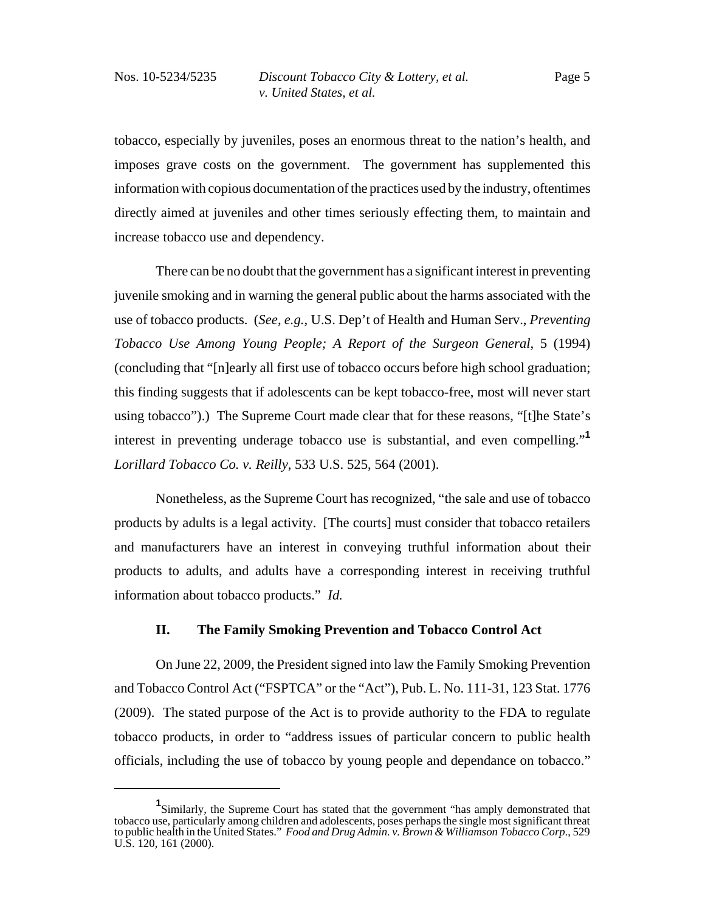tobacco, especially by juveniles, poses an enormous threat to the nation's health, and imposes grave costs on the government. The government has supplemented this information with copious documentation of the practices used by the industry, oftentimes directly aimed at juveniles and other times seriously effecting them, to maintain and increase tobacco use and dependency.

There can be no doubt that the government has a significant interest in preventing juvenile smoking and in warning the general public about the harms associated with the use of tobacco products.(*See, e.g.,* U.S. Dep't of Health and Human Serv., *Preventing Tobacco Use Among Young People; A Report of the Surgeon General*, 5 (1994) (concluding that "[n]early all first use of tobacco occurs before high school graduation; this finding suggests that if adolescents can be kept tobacco-free, most will never start using tobacco").) The Supreme Court made clear that for these reasons, "[t]he State's interest in preventing underage tobacco use is substantial, and even compelling."**<sup>1</sup>** *Lorillard Tobacco Co. v. Reilly*, 533 U.S. 525, 564 (2001).

Nonetheless, as the Supreme Court has recognized, "the sale and use of tobacco products by adults is a legal activity. [The courts] must consider that tobacco retailers and manufacturers have an interest in conveying truthful information about their products to adults, and adults have a corresponding interest in receiving truthful information about tobacco products." *Id.*

# **II. The Family Smoking Prevention and Tobacco Control Act**

On June 22, 2009, the President signed into law the Family Smoking Prevention and Tobacco Control Act ("FSPTCA" or the "Act"), Pub. L. No. 111-31, 123 Stat. 1776 (2009). The stated purpose of the Act is to provide authority to the FDA to regulate tobacco products, in order to "address issues of particular concern to public health officials, including the use of tobacco by young people and dependance on tobacco."

**<sup>1</sup>** Similarly, the Supreme Court has stated that the government "has amply demonstrated that tobacco use, particularly among children and adolescents, poses perhaps the single most significant threat to public health in the United States." *Food and Drug Admin. v. Brown & Williamson Tobacco Corp*., 529 U.S. 120, 161 (2000).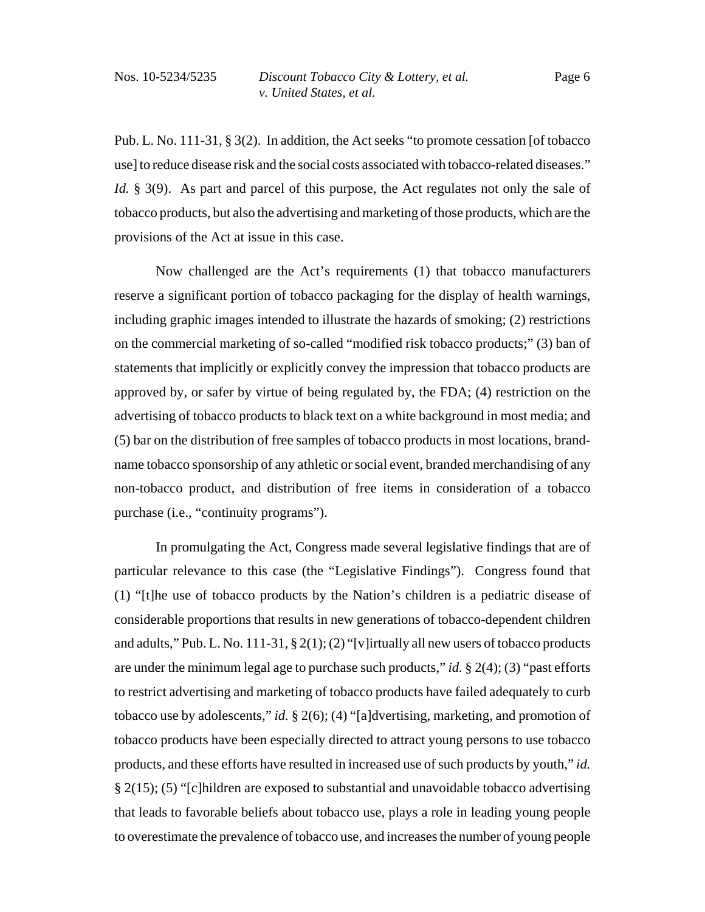Pub. L. No. 111-31, § 3(2). In addition, the Act seeks "to promote cessation [of tobacco use] to reduce disease risk and the social costs associated with tobacco-related diseases." *Id.* § 3(9). As part and parcel of this purpose, the Act regulates not only the sale of tobacco products, but also the advertising and marketing of those products, which are the provisions of the Act at issue in this case.

Now challenged are the Act's requirements (1) that tobacco manufacturers reserve a significant portion of tobacco packaging for the display of health warnings, including graphic images intended to illustrate the hazards of smoking; (2) restrictions on the commercial marketing of so-called "modified risk tobacco products;" (3) ban of statements that implicitly or explicitly convey the impression that tobacco products are approved by, or safer by virtue of being regulated by, the FDA; (4) restriction on the advertising of tobacco products to black text on a white background in most media; and (5) bar on the distribution of free samples of tobacco products in most locations, brandname tobacco sponsorship of any athletic or social event, branded merchandising of any non-tobacco product, and distribution of free items in consideration of a tobacco purchase (i.e., "continuity programs").

In promulgating the Act, Congress made several legislative findings that are of particular relevance to this case (the "Legislative Findings"). Congress found that (1) "[t]he use of tobacco products by the Nation's children is a pediatric disease of considerable proportions that results in new generations of tobacco-dependent children and adults," Pub. L. No. 111-31,  $\S 2(1)$ ; (2) "[v] irtually all new users of tobacco products are under the minimum legal age to purchase such products," *id.* § 2(4); (3) "past efforts to restrict advertising and marketing of tobacco products have failed adequately to curb tobacco use by adolescents," *id.* § 2(6); (4) "[a]dvertising, marketing, and promotion of tobacco products have been especially directed to attract young persons to use tobacco products, and these efforts have resulted in increased use of such products by youth," *id.* § 2(15); (5) "[c]hildren are exposed to substantial and unavoidable tobacco advertising that leads to favorable beliefs about tobacco use, plays a role in leading young people to overestimate the prevalence of tobacco use, and increases the number of young people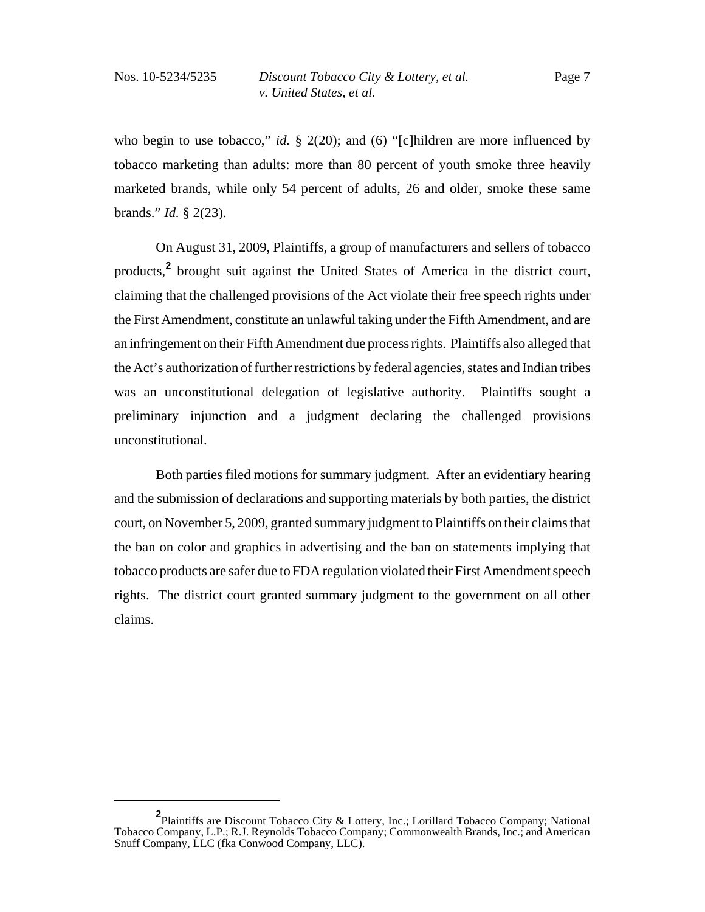who begin to use tobacco," *id.* § 2(20); and (6) "[c]hildren are more influenced by tobacco marketing than adults: more than 80 percent of youth smoke three heavily marketed brands, while only 54 percent of adults, 26 and older, smoke these same brands." *Id.* § 2(23).

On August 31, 2009, Plaintiffs, a group of manufacturers and sellers of tobacco products,**<sup>2</sup>** brought suit against the United States of America in the district court, claiming that the challenged provisions of the Act violate their free speech rights under the First Amendment, constitute an unlawful taking under the Fifth Amendment, and are an infringement on their Fifth Amendment due process rights. Plaintiffs also alleged that the Act's authorization of further restrictions by federal agencies, states and Indian tribes was an unconstitutional delegation of legislative authority. Plaintiffs sought a preliminary injunction and a judgment declaring the challenged provisions unconstitutional.

Both parties filed motions for summary judgment. After an evidentiary hearing and the submission of declarations and supporting materials by both parties, the district court, on November 5, 2009, granted summary judgment to Plaintiffs on their claims that the ban on color and graphics in advertising and the ban on statements implying that tobacco products are safer due to FDA regulation violated their First Amendment speech rights. The district court granted summary judgment to the government on all other claims.

**<sup>2</sup>** Plaintiffs are Discount Tobacco City & Lottery, Inc.; Lorillard Tobacco Company; National Tobacco Company, L.P.; R.J. Reynolds Tobacco Company; Commonwealth Brands, Inc.; and American Snuff Company, LLC (fka Conwood Company, LLC).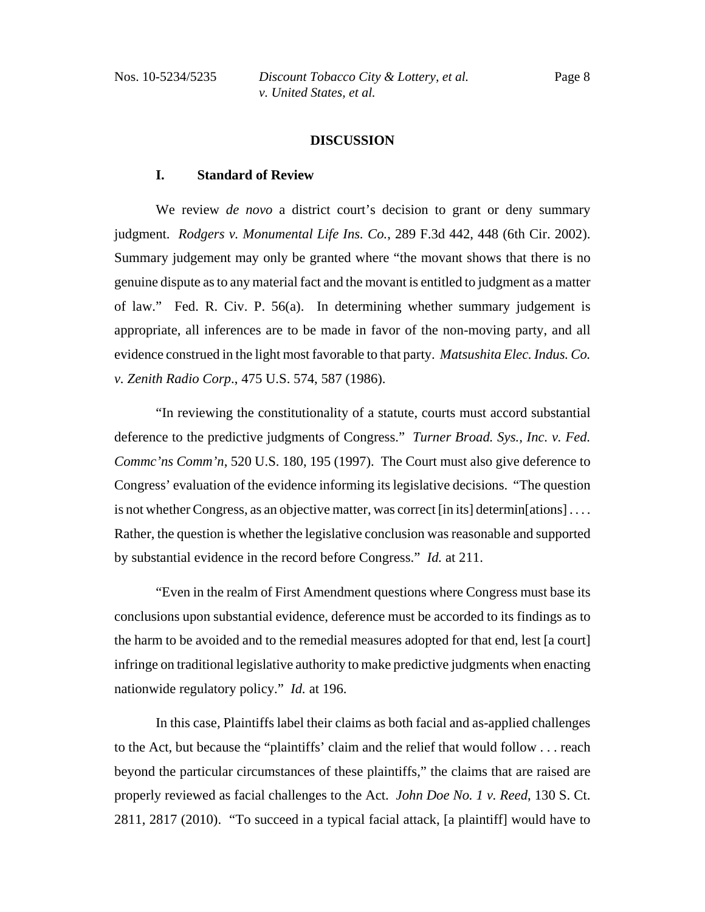### **DISCUSSION**

#### **I. Standard of Review**

We review *de novo* a district court's decision to grant or deny summary judgment. *Rodgers v. Monumental Life Ins. Co.*, 289 F.3d 442, 448 (6th Cir. 2002). Summary judgement may only be granted where "the movant shows that there is no genuine dispute as to any material fact and the movant is entitled to judgment as a matter of law." Fed. R. Civ. P. 56(a). In determining whether summary judgement is appropriate, all inferences are to be made in favor of the non-moving party, and all evidence construed in the light most favorable to that party. *Matsushita Elec. Indus. Co. v. Zenith Radio Corp*., 475 U.S. 574, 587 (1986).

"In reviewing the constitutionality of a statute, courts must accord substantial deference to the predictive judgments of Congress." *Turner Broad. Sys., Inc. v. Fed. Commc'ns Comm'n*, 520 U.S. 180, 195 (1997). The Court must also give deference to Congress' evaluation of the evidence informing its legislative decisions. "The question is not whether Congress, as an objective matter, was correct [in its] determin[ations] . . . . Rather, the question is whether the legislative conclusion was reasonable and supported by substantial evidence in the record before Congress." *Id.* at 211.

"Even in the realm of First Amendment questions where Congress must base its conclusions upon substantial evidence, deference must be accorded to its findings as to the harm to be avoided and to the remedial measures adopted for that end, lest [a court] infringe on traditional legislative authority to make predictive judgments when enacting nationwide regulatory policy." *Id.* at 196.

In this case, Plaintiffs label their claims as both facial and as-applied challenges to the Act, but because the "plaintiffs' claim and the relief that would follow . . . reach beyond the particular circumstances of these plaintiffs," the claims that are raised are properly reviewed as facial challenges to the Act. *John Doe No. 1 v. Reed*, 130 S. Ct. 2811, 2817 (2010). "To succeed in a typical facial attack, [a plaintiff] would have to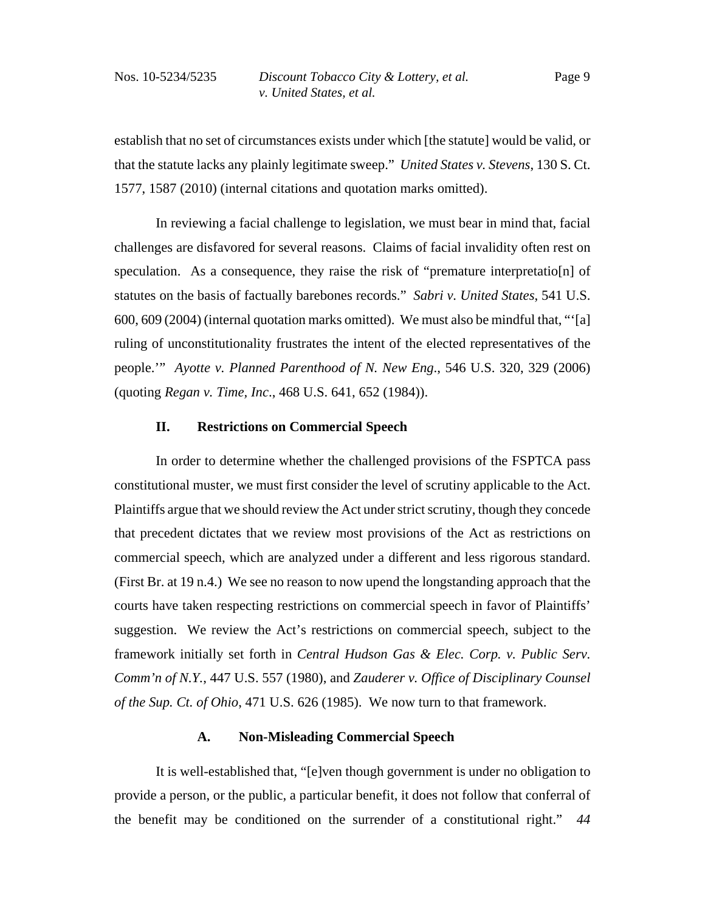establish that no set of circumstances exists under which [the statute] would be valid, or that the statute lacks any plainly legitimate sweep." *United States v. Stevens*, 130 S. Ct. 1577, 1587 (2010) (internal citations and quotation marks omitted).

In reviewing a facial challenge to legislation, we must bear in mind that, facial challenges are disfavored for several reasons. Claims of facial invalidity often rest on speculation. As a consequence, they raise the risk of "premature interpretatio[n] of statutes on the basis of factually barebones records." *Sabri v. United States*, 541 U.S. 600, 609 (2004) (internal quotation marks omitted). We must also be mindful that, "'[a] ruling of unconstitutionality frustrates the intent of the elected representatives of the people.'" *Ayotte v. Planned Parenthood of N. New Eng*., 546 U.S. 320, 329 (2006) (quoting *Regan v. Time, Inc*., 468 U.S. 641, 652 (1984)).

# **II. Restrictions on Commercial Speech**

In order to determine whether the challenged provisions of the FSPTCA pass constitutional muster, we must first consider the level of scrutiny applicable to the Act. Plaintiffs argue that we should review the Act under strict scrutiny, though they concede that precedent dictates that we review most provisions of the Act as restrictions on commercial speech, which are analyzed under a different and less rigorous standard. (First Br. at 19 n.4.) We see no reason to now upend the longstanding approach that the courts have taken respecting restrictions on commercial speech in favor of Plaintiffs' suggestion. We review the Act's restrictions on commercial speech, subject to the framework initially set forth in *Central Hudson Gas & Elec. Corp. v. Public Serv. Comm'n of N.Y.*, 447 U.S. 557 (1980), and *Zauderer v. Office of Disciplinary Counsel of the Sup. Ct. of Ohio*, 471 U.S. 626 (1985). We now turn to that framework.

# **A. Non-Misleading Commercial Speech**

It is well-established that, "[e]ven though government is under no obligation to provide a person, or the public, a particular benefit, it does not follow that conferral of the benefit may be conditioned on the surrender of a constitutional right." *44*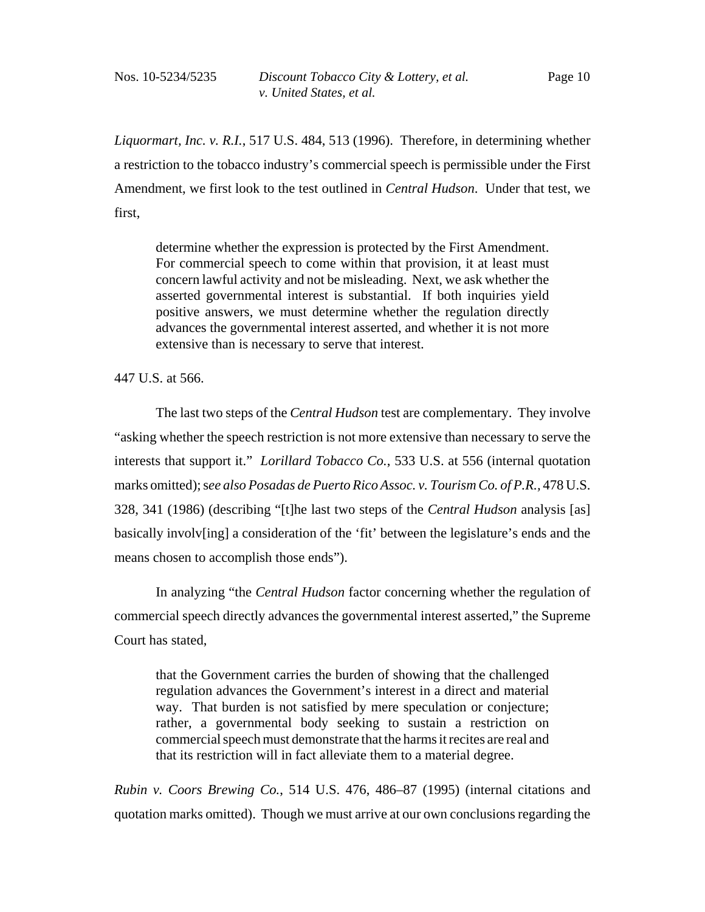*Liquormart, Inc. v. R.I.*, 517 U.S. 484, 513 (1996). Therefore, in determining whether a restriction to the tobacco industry's commercial speech is permissible under the First Amendment, we first look to the test outlined in *Central Hudson*. Under that test, we first,

determine whether the expression is protected by the First Amendment. For commercial speech to come within that provision, it at least must concern lawful activity and not be misleading. Next, we ask whether the asserted governmental interest is substantial. If both inquiries yield positive answers, we must determine whether the regulation directly advances the governmental interest asserted, and whether it is not more extensive than is necessary to serve that interest.

447 U.S. at 566.

The last two steps of the *Central Hudson* test are complementary. They involve "asking whether the speech restriction is not more extensive than necessary to serve the interests that support it." *Lorillard Tobacco Co.*, 533 U.S. at 556 (internal quotation marks omitted); s*ee also Posadas de Puerto Rico Assoc. v. Tourism Co. of P.R.,* 478 U.S. 328, 341 (1986) (describing "[t]he last two steps of the *Central Hudson* analysis [as] basically involv[ing] a consideration of the 'fit' between the legislature's ends and the means chosen to accomplish those ends").

In analyzing "the *Central Hudson* factor concerning whether the regulation of commercial speech directly advances the governmental interest asserted," the Supreme Court has stated,

that the Government carries the burden of showing that the challenged regulation advances the Government's interest in a direct and material way. That burden is not satisfied by mere speculation or conjecture; rather, a governmental body seeking to sustain a restriction on commercial speech must demonstrate that the harms it recites are real and that its restriction will in fact alleviate them to a material degree.

*Rubin v. Coors Brewing Co.*, 514 U.S. 476, 486–87 (1995) (internal citations and quotation marks omitted). Though we must arrive at our own conclusions regarding the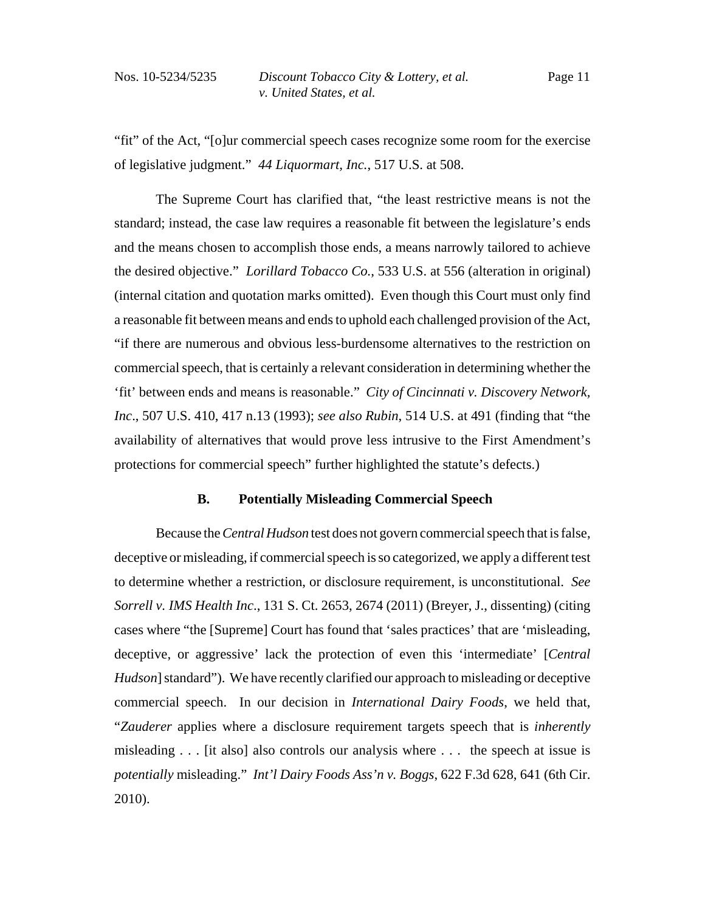"fit" of the Act, "[o]ur commercial speech cases recognize some room for the exercise of legislative judgment." *44 Liquormart, Inc.*, 517 U.S. at 508.

The Supreme Court has clarified that, "the least restrictive means is not the standard; instead, the case law requires a reasonable fit between the legislature's ends and the means chosen to accomplish those ends, a means narrowly tailored to achieve the desired objective." *Lorillard Tobacco Co.*, 533 U.S. at 556 (alteration in original) (internal citation and quotation marks omitted). Even though this Court must only find a reasonable fit between means and ends to uphold each challenged provision of the Act, "if there are numerous and obvious less-burdensome alternatives to the restriction on commercial speech, that is certainly a relevant consideration in determining whether the 'fit' between ends and means is reasonable." *City of Cincinnati v. Discovery Network, Inc*., 507 U.S. 410, 417 n.13 (1993); *see also Rubin*, 514 U.S. at 491 (finding that "the availability of alternatives that would prove less intrusive to the First Amendment's protections for commercial speech" further highlighted the statute's defects.)

# **B. Potentially Misleading Commercial Speech**

Because the *Central Hudson* test does not govern commercial speech that is false, deceptive or misleading, if commercial speech is so categorized, we apply a different test to determine whether a restriction, or disclosure requirement, is unconstitutional. *See Sorrell v. IMS Health Inc*., 131 S. Ct. 2653, 2674 (2011) (Breyer, J., dissenting) (citing cases where "the [Supreme] Court has found that 'sales practices' that are 'misleading, deceptive, or aggressive' lack the protection of even this 'intermediate' [*Central Hudson*] standard"). We have recently clarified our approach to misleading or deceptive commercial speech. In our decision in *International Dairy Foods*, we held that, "*Zauderer* applies where a disclosure requirement targets speech that is *inherently* misleading . . . [it also] also controls our analysis where . . . the speech at issue is *potentially* misleading." *Int'l Dairy Foods Ass'n v. Boggs*, 622 F.3d 628, 641 (6th Cir. 2010).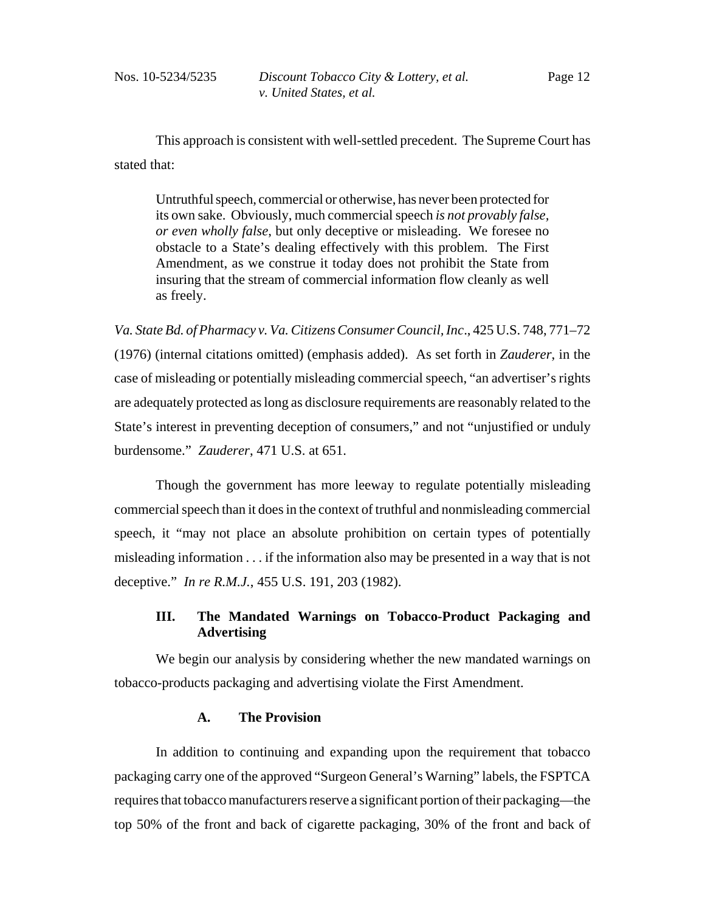This approach is consistent with well-settled precedent. The Supreme Court has stated that:

Untruthful speech, commercial or otherwise, has never been protected for its own sake. Obviously, much commercial speech *is not provably false, or even wholly false*, but only deceptive or misleading. We foresee no obstacle to a State's dealing effectively with this problem. The First Amendment, as we construe it today does not prohibit the State from insuring that the stream of commercial information flow cleanly as well as freely.

*Va. State Bd. of Pharmacy v. Va. Citizens Consumer Council, Inc*., 425 U.S. 748, 771–72 (1976) (internal citations omitted) (emphasis added). As set forth in *Zauderer*, in the case of misleading or potentially misleading commercial speech, "an advertiser's rights are adequately protected as long as disclosure requirements are reasonably related to the State's interest in preventing deception of consumers," and not "unjustified or unduly burdensome." *Zauderer*, 471 U.S. at 651.

Though the government has more leeway to regulate potentially misleading commercial speech than it does in the context of truthful and nonmisleading commercial speech, it "may not place an absolute prohibition on certain types of potentially misleading information . . . if the information also may be presented in a way that is not deceptive." *In re R.M.J.*, 455 U.S. 191, 203 (1982).

# **III. The Mandated Warnings on Tobacco-Product Packaging and Advertising**

We begin our analysis by considering whether the new mandated warnings on tobacco-products packaging and advertising violate the First Amendment.

# **A. The Provision**

In addition to continuing and expanding upon the requirement that tobacco packaging carry one of the approved "Surgeon General's Warning" labels, the FSPTCA requires that tobacco manufacturers reserve a significant portion of their packaging—the top 50% of the front and back of cigarette packaging, 30% of the front and back of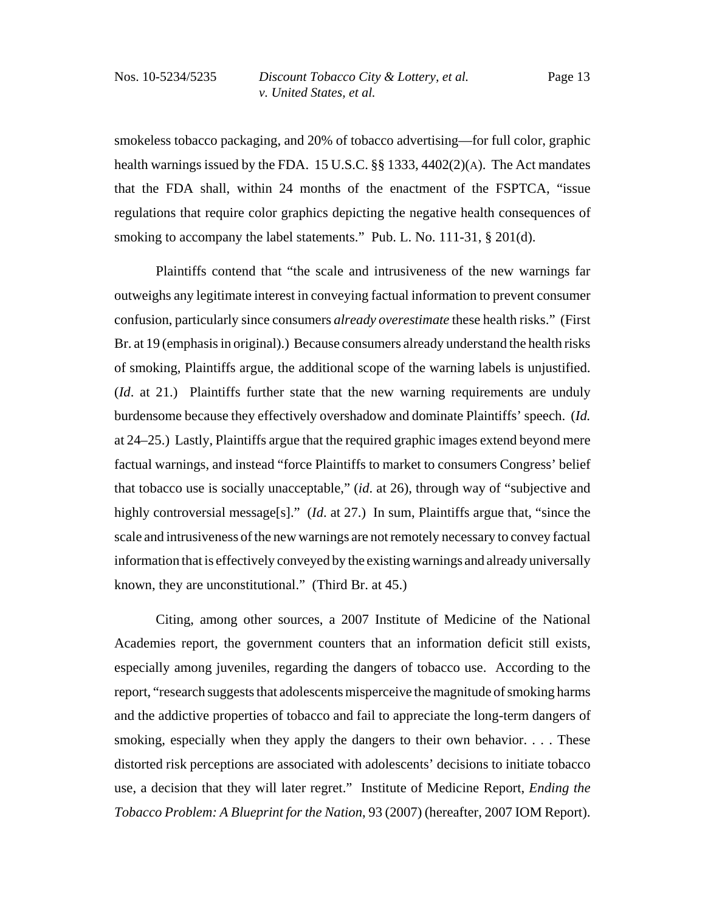smokeless tobacco packaging, and 20% of tobacco advertising—for full color, graphic health warnings issued by the FDA. 15 U.S.C. §§ 1333, 4402(2)(A). The Act mandates that the FDA shall, within 24 months of the enactment of the FSPTCA, "issue regulations that require color graphics depicting the negative health consequences of smoking to accompany the label statements." Pub. L. No. 111-31, § 201(d).

Plaintiffs contend that "the scale and intrusiveness of the new warnings far outweighs any legitimate interest in conveying factual information to prevent consumer confusion, particularly since consumers *already overestimate* these health risks." (First Br. at 19 (emphasis in original).) Because consumers already understand the health risks of smoking, Plaintiffs argue, the additional scope of the warning labels is unjustified. (*Id*. at 21.) Plaintiffs further state that the new warning requirements are unduly burdensome because they effectively overshadow and dominate Plaintiffs' speech. (*Id.* at 24–25.) Lastly, Plaintiffs argue that the required graphic images extend beyond mere factual warnings, and instead "force Plaintiffs to market to consumers Congress' belief that tobacco use is socially unacceptable," (*id*. at 26), through way of "subjective and highly controversial message[s]." (*Id.* at 27.) In sum, Plaintiffs argue that, "since the scale and intrusiveness of the new warnings are not remotely necessary to convey factual information that is effectively conveyed by the existing warnings and already universally known, they are unconstitutional." (Third Br. at 45.)

Citing, among other sources, a 2007 Institute of Medicine of the National Academies report, the government counters that an information deficit still exists, especially among juveniles, regarding the dangers of tobacco use. According to the report, "research suggests that adolescents misperceive the magnitude of smoking harms and the addictive properties of tobacco and fail to appreciate the long-term dangers of smoking, especially when they apply the dangers to their own behavior. . . . These distorted risk perceptions are associated with adolescents' decisions to initiate tobacco use, a decision that they will later regret." Institute of Medicine Report, *Ending the Tobacco Problem: A Blueprint for the Nation*, 93 (2007) (hereafter, 2007 IOM Report).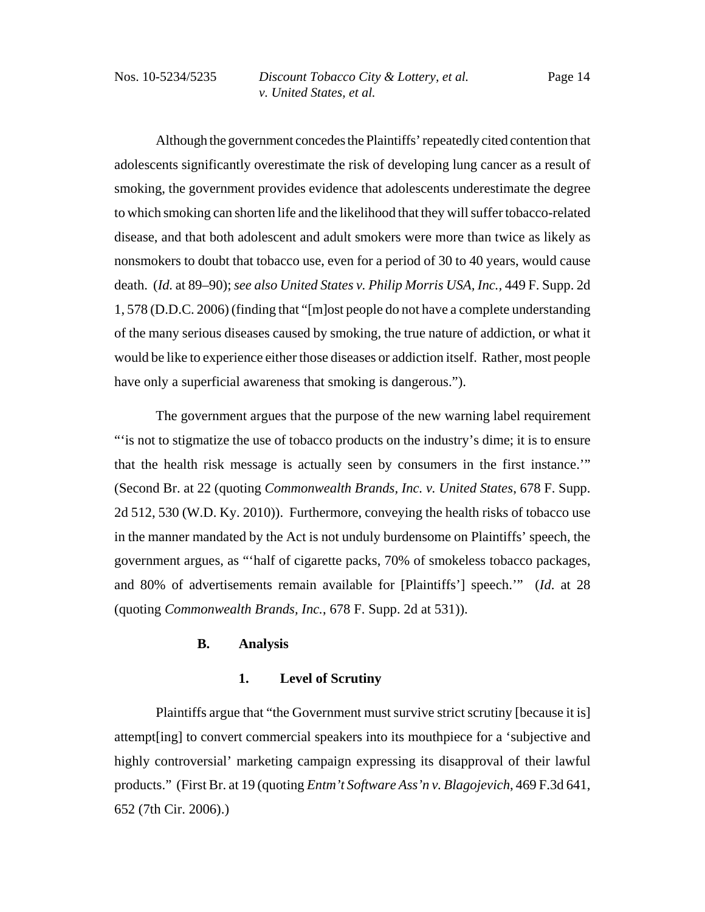Although the government concedes the Plaintiffs' repeatedly cited contention that adolescents significantly overestimate the risk of developing lung cancer as a result of smoking, the government provides evidence that adolescents underestimate the degree to which smoking can shorten life and the likelihood that they will suffer tobacco-related disease, and that both adolescent and adult smokers were more than twice as likely as nonsmokers to doubt that tobacco use, even for a period of 30 to 40 years, would cause death. (*Id.* at 89–90); *see also United States v. Philip Morris USA, Inc.,* 449 F. Supp. 2d 1, 578 (D.D.C. 2006) (finding that "[m]ost people do not have a complete understanding of the many serious diseases caused by smoking, the true nature of addiction, or what it would be like to experience either those diseases or addiction itself. Rather, most people have only a superficial awareness that smoking is dangerous.").

The government argues that the purpose of the new warning label requirement "'is not to stigmatize the use of tobacco products on the industry's dime; it is to ensure that the health risk message is actually seen by consumers in the first instance.'" (Second Br. at 22 (quoting *Commonwealth Brands, Inc. v. United States*, 678 F. Supp. 2d 512, 530 (W.D. Ky. 2010)). Furthermore, conveying the health risks of tobacco use in the manner mandated by the Act is not unduly burdensome on Plaintiffs' speech, the government argues, as "'half of cigarette packs, 70% of smokeless tobacco packages, and 80% of advertisements remain available for [Plaintiffs'] speech.'" (*Id*. at 28 (quoting *Commonwealth Brands, Inc.*, 678 F. Supp. 2d at 531)).

# **B. Analysis**

#### **1. Level of Scrutiny**

Plaintiffs argue that "the Government must survive strict scrutiny [because it is] attempt[ing] to convert commercial speakers into its mouthpiece for a 'subjective and highly controversial' marketing campaign expressing its disapproval of their lawful products." (First Br. at 19 (quoting *Entm't Software Ass'n v. Blagojevich*, 469 F.3d 641, 652 (7th Cir. 2006).)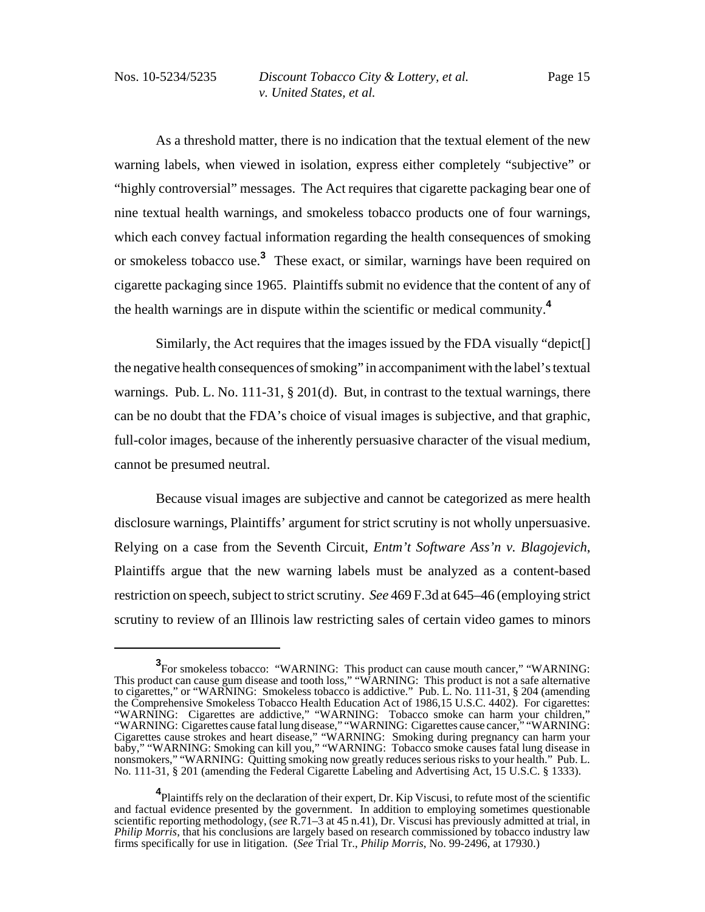As a threshold matter, there is no indication that the textual element of the new warning labels, when viewed in isolation, express either completely "subjective" or "highly controversial" messages. The Act requires that cigarette packaging bear one of nine textual health warnings, and smokeless tobacco products one of four warnings, which each convey factual information regarding the health consequences of smoking or smokeless tobacco use.**<sup>3</sup>** These exact, or similar, warnings have been required on cigarette packaging since 1965. Plaintiffs submit no evidence that the content of any of the health warnings are in dispute within the scientific or medical community.**<sup>4</sup>**

Similarly, the Act requires that the images issued by the FDA visually "depict[] the negative health consequences of smoking" in accompaniment with the label's textual warnings. Pub. L. No. 111-31, § 201(d). But, in contrast to the textual warnings, there can be no doubt that the FDA's choice of visual images is subjective, and that graphic, full-color images, because of the inherently persuasive character of the visual medium, cannot be presumed neutral.

Because visual images are subjective and cannot be categorized as mere health disclosure warnings, Plaintiffs' argument for strict scrutiny is not wholly unpersuasive. Relying on a case from the Seventh Circuit, *Entm't Software Ass'n v. Blagojevich*, Plaintiffs argue that the new warning labels must be analyzed as a content-based restriction on speech, subject to strict scrutiny. *See* 469 F.3d at 645–46 (employing strict scrutiny to review of an Illinois law restricting sales of certain video games to minors

**<sup>3</sup>** For smokeless tobacco: "WARNING: This product can cause mouth cancer," "WARNING: This product can cause gum disease and tooth loss," "WARNING: This product is not a safe alternative to cigarettes," or "WARNING: Smokeless tobacco is addictive." Pub. L. No. 111-31, § 204 (amending the Comprehensive Smokeless Tobacco Health Education Act of 1986,15 U.S.C. 4402). For cigarettes: "WARNING: Cigarettes are addictive," "WARNING: Tobacco smoke can harm your children," "WARNING: Cigarettes cause fatal lung disease," "WARNING: Cigarettes cause cancer," "WARNING: Cigarettes cause strokes and heart disease," "WARNING: Smoking during pregnancy can harm your baby," "WARNING: Smoking can kill you," "WARNING: Tobacco smoke causes fatal lung disease in nonsmokers," "WARNING: Quitting smoking now greatly reduces serious risks to your health." Pub. L. No. 111-31, § 201 (amending the Federal Cigarette Labeling and Advertising Act, 15 U.S.C. § 1333).

**<sup>4</sup>** Plaintiffs rely on the declaration of their expert, Dr. Kip Viscusi, to refute most of the scientific and factual evidence presented by the government. In addition to employing sometimes questionable scientific reporting methodology, (*see* R.71–3 at 45 n.41), Dr. Viscusi has previously admitted at trial, in *Philip Morris*, that his conclusions are largely based on research commissioned by tobacco industry law firms specifically for use in litigation. (*See* Trial Tr., *Philip Morris*, No. 99-2496, at 17930.)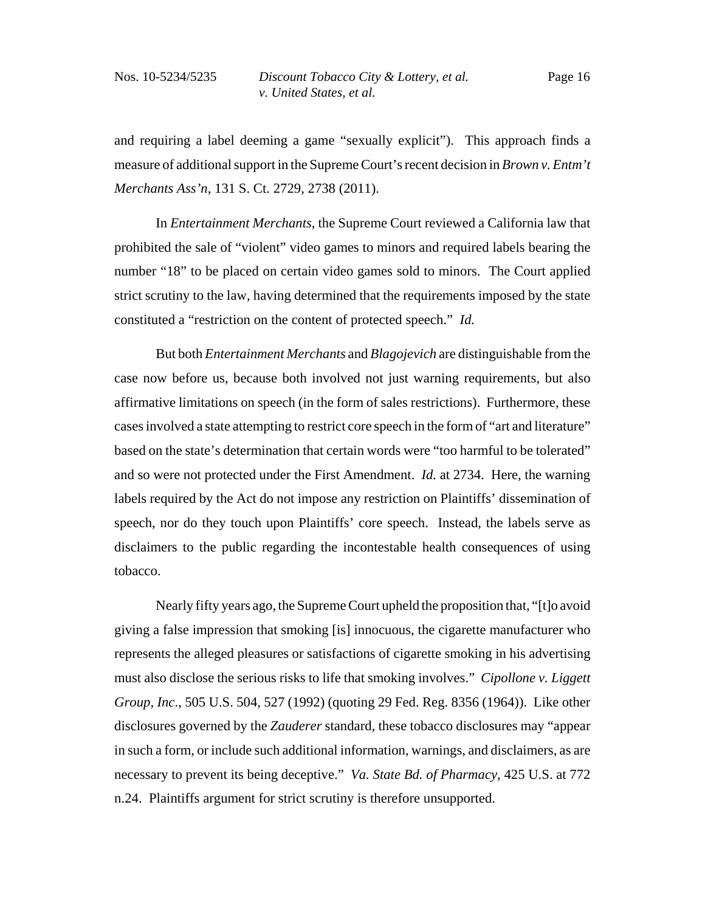and requiring a label deeming a game "sexually explicit"). This approach finds a measure of additional support in the Supreme Court's recent decision in *Brown v. Entm't Merchants Ass'n*, 131 S. Ct. 2729, 2738 (2011).

In *Entertainment Merchants*, the Supreme Court reviewed a California law that prohibited the sale of "violent" video games to minors and required labels bearing the number "18" to be placed on certain video games sold to minors. The Court applied strict scrutiny to the law, having determined that the requirements imposed by the state constituted a "restriction on the content of protected speech." *Id.*

But both *Entertainment Merchants* and *Blagojevich* are distinguishable from the case now before us, because both involved not just warning requirements, but also affirmative limitations on speech (in the form of sales restrictions). Furthermore, these cases involved a state attempting to restrict core speech in the form of "art and literature" based on the state's determination that certain words were "too harmful to be tolerated" and so were not protected under the First Amendment. *Id.* at 2734. Here, the warning labels required by the Act do not impose any restriction on Plaintiffs' dissemination of speech, nor do they touch upon Plaintiffs' core speech. Instead, the labels serve as disclaimers to the public regarding the incontestable health consequences of using tobacco.

Nearly fifty years ago, the Supreme Court upheld the proposition that, "[t]o avoid giving a false impression that smoking [is] innocuous, the cigarette manufacturer who represents the alleged pleasures or satisfactions of cigarette smoking in his advertising must also disclose the serious risks to life that smoking involves." *Cipollone v. Liggett Group, Inc*., 505 U.S. 504, 527 (1992) (quoting 29 Fed. Reg. 8356 (1964)). Like other disclosures governed by the *Zauderer* standard, these tobacco disclosures may "appear in such a form, or include such additional information, warnings, and disclaimers, as are necessary to prevent its being deceptive." *Va. State Bd. of Pharmacy*, 425 U.S. at 772 n.24. Plaintiffs argument for strict scrutiny is therefore unsupported.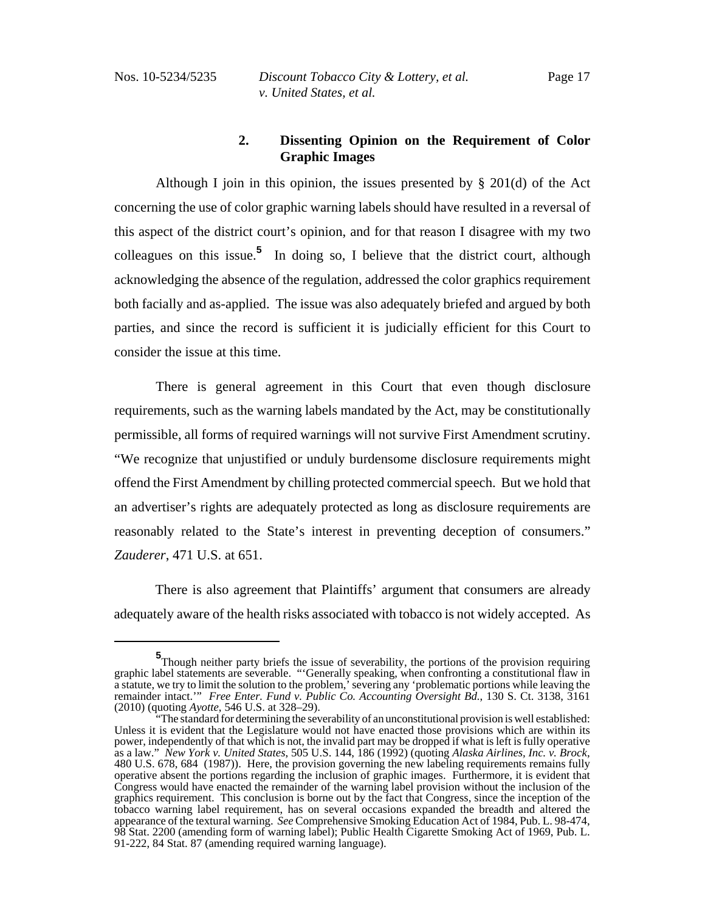# **2. Dissenting Opinion on the Requirement of Color Graphic Images**

Although I join in this opinion, the issues presented by § 201(d) of the Act concerning the use of color graphic warning labels should have resulted in a reversal of this aspect of the district court's opinion, and for that reason I disagree with my two colleagues on this issue.<sup>5</sup> In doing so, I believe that the district court, although acknowledging the absence of the regulation, addressed the color graphics requirement both facially and as-applied. The issue was also adequately briefed and argued by both parties, and since the record is sufficient it is judicially efficient for this Court to consider the issue at this time.

There is general agreement in this Court that even though disclosure requirements, such as the warning labels mandated by the Act, may be constitutionally permissible, all forms of required warnings will not survive First Amendment scrutiny. "We recognize that unjustified or unduly burdensome disclosure requirements might offend the First Amendment by chilling protected commercial speech. But we hold that an advertiser's rights are adequately protected as long as disclosure requirements are reasonably related to the State's interest in preventing deception of consumers." *Zauderer*, 471 U.S. at 651.

There is also agreement that Plaintiffs' argument that consumers are already adequately aware of the health risks associated with tobacco is not widely accepted. As

**<sup>5</sup>**<br>Though neither party briefs the issue of severability, the portions of the provision requiring graphic label statements are severable. "'Generally speaking, when confronting a constitutional flaw in a statute, we try to limit the solution to the problem,' severing any 'problematic portions while leaving the remainder intact.'" *Free Enter. Fund v. Public Co. Accounting Oversight Bd.*, 130 S. Ct. 3138, 3161 (2010) (quoting *Ayotte*, 546 U.S. at 328–29).

<sup>&</sup>quot;The standard for determining the severability of an unconstitutional provision is well established: Unless it is evident that the Legislature would not have enacted those provisions which are within its power, independently of that which is not, the invalid part may be dropped if what is left is fully operative as a law." *New York v. United States*, 505 U.S. 144, 186 (1992) (quoting *Alaska Airlines, Inc. v. Brock*, 480 U.S. 678, 684 (1987)). Here, the provision governing the new labeling requirements remains fully operative absent the portions regarding the inclusion of graphic images. Furthermore, it is evident that Congress would have enacted the remainder of the warning label provision without the inclusion of the graphics requirement. This conclusion is borne out by the fact that Congress, since the inception of the tobacco warning label requirement, has on several occasions expanded the breadth and altered the appearance of the textural warning. *See* Comprehensive Smoking Education Act of 1984, Pub. L. 98-474, 98 Stat. 2200 (amending form of warning label); Public Health Cigarette Smoking Act of 1969, Pub. L. 91-222, 84 Stat. 87 (amending required warning language).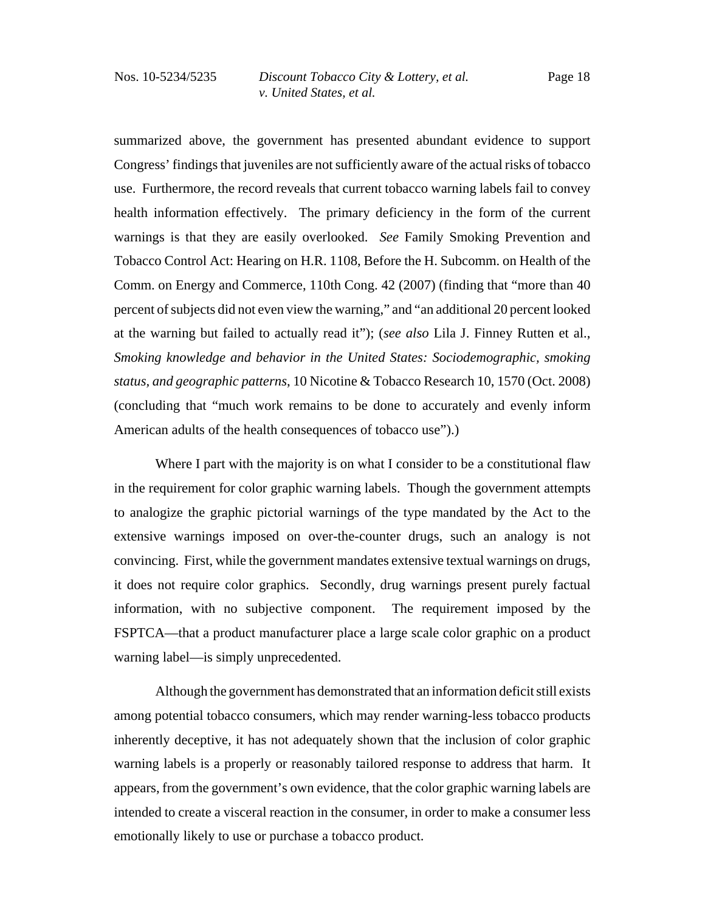summarized above, the government has presented abundant evidence to support Congress' findings that juveniles are not sufficiently aware of the actual risks of tobacco use. Furthermore, the record reveals that current tobacco warning labels fail to convey health information effectively. The primary deficiency in the form of the current warnings is that they are easily overlooked. *See* Family Smoking Prevention and Tobacco Control Act: Hearing on H.R. 1108, Before the H. Subcomm. on Health of the Comm. on Energy and Commerce, 110th Cong. 42 (2007) (finding that "more than 40 percent of subjects did not even view the warning," and "an additional 20 percent looked at the warning but failed to actually read it"); (*see also* Lila J. Finney Rutten et al., *Smoking knowledge and behavior in the United States: Sociodemographic, smoking status, and geographic patterns*, 10 Nicotine & Tobacco Research 10, 1570 (Oct. 2008) (concluding that "much work remains to be done to accurately and evenly inform American adults of the health consequences of tobacco use").)

Where I part with the majority is on what I consider to be a constitutional flaw in the requirement for color graphic warning labels. Though the government attempts to analogize the graphic pictorial warnings of the type mandated by the Act to the extensive warnings imposed on over-the-counter drugs, such an analogy is not convincing. First, while the government mandates extensive textual warnings on drugs, it does not require color graphics. Secondly, drug warnings present purely factual information, with no subjective component. The requirement imposed by the FSPTCA—that a product manufacturer place a large scale color graphic on a product warning label—is simply unprecedented.

Although the government has demonstrated that an information deficit still exists among potential tobacco consumers, which may render warning-less tobacco products inherently deceptive, it has not adequately shown that the inclusion of color graphic warning labels is a properly or reasonably tailored response to address that harm. It appears, from the government's own evidence, that the color graphic warning labels are intended to create a visceral reaction in the consumer, in order to make a consumer less emotionally likely to use or purchase a tobacco product.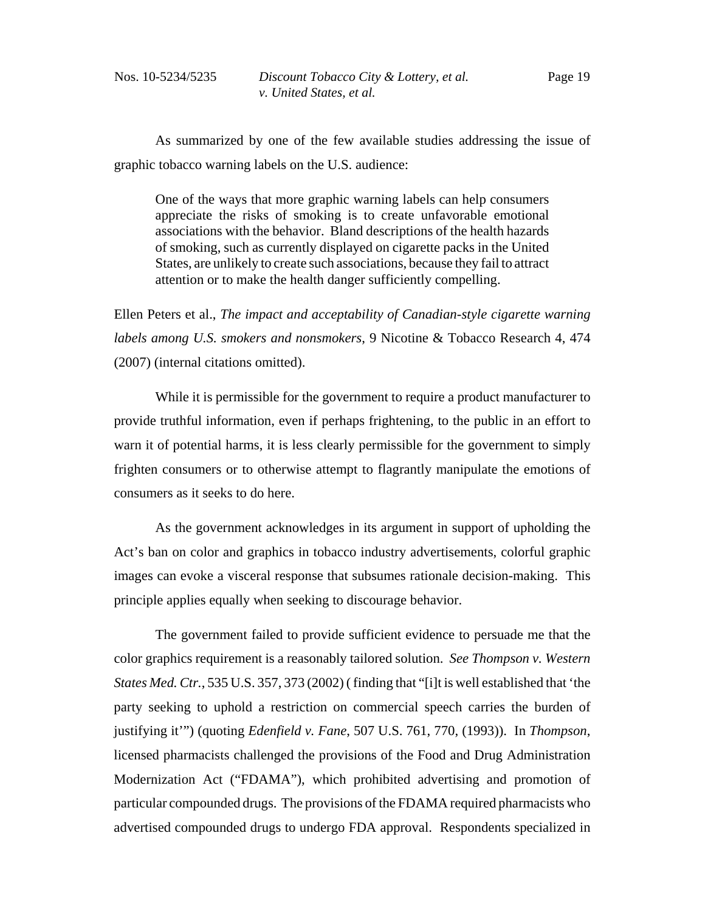As summarized by one of the few available studies addressing the issue of graphic tobacco warning labels on the U.S. audience:

One of the ways that more graphic warning labels can help consumers appreciate the risks of smoking is to create unfavorable emotional associations with the behavior. Bland descriptions of the health hazards of smoking, such as currently displayed on cigarette packs in the United States, are unlikely to create such associations, because they fail to attract attention or to make the health danger sufficiently compelling.

Ellen Peters et al., *The impact and acceptability of Canadian-style cigarette warning labels among U.S. smokers and nonsmokers*, 9 Nicotine & Tobacco Research 4, 474 (2007) (internal citations omitted).

While it is permissible for the government to require a product manufacturer to provide truthful information, even if perhaps frightening, to the public in an effort to warn it of potential harms, it is less clearly permissible for the government to simply frighten consumers or to otherwise attempt to flagrantly manipulate the emotions of consumers as it seeks to do here.

As the government acknowledges in its argument in support of upholding the Act's ban on color and graphics in tobacco industry advertisements, colorful graphic images can evoke a visceral response that subsumes rationale decision-making. This principle applies equally when seeking to discourage behavior.

The government failed to provide sufficient evidence to persuade me that the color graphics requirement is a reasonably tailored solution. *See Thompson v. Western States Med. Ctr.*, 535 U.S. 357, 373 (2002) ( finding that "[i]t is well established that 'the party seeking to uphold a restriction on commercial speech carries the burden of justifying it'") (quoting *Edenfield v. Fane*, 507 U.S. 761, 770, (1993)). In *Thompson*, licensed pharmacists challenged the provisions of the Food and Drug Administration Modernization Act ("FDAMA"), which prohibited advertising and promotion of particular compounded drugs. The provisions of the FDAMA required pharmacists who advertised compounded drugs to undergo FDA approval. Respondents specialized in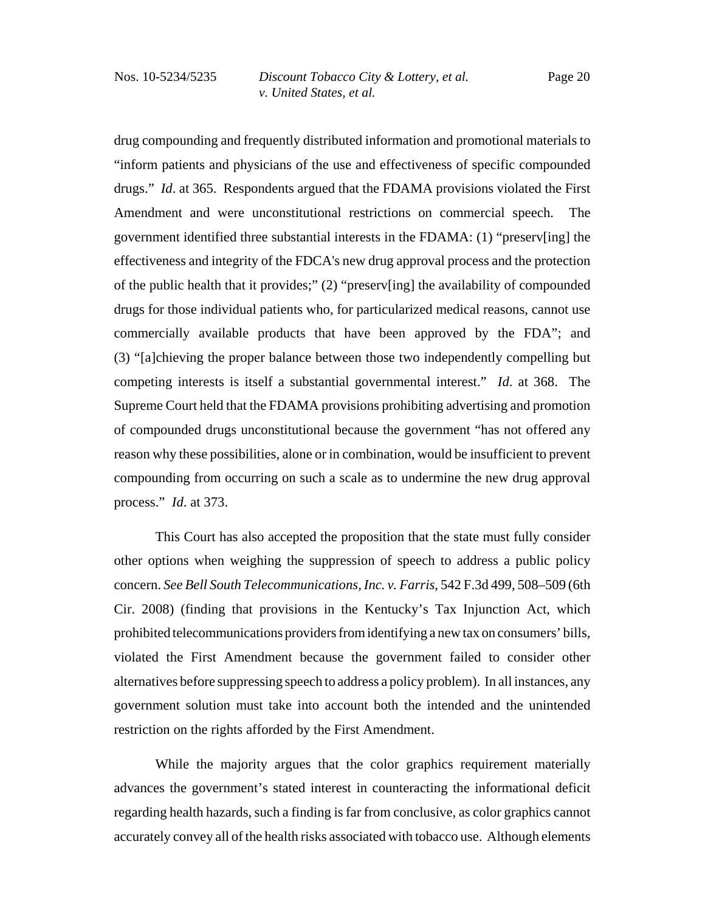drug compounding and frequently distributed information and promotional materials to "inform patients and physicians of the use and effectiveness of specific compounded drugs." *Id*. at 365. Respondents argued that the FDAMA provisions violated the First Amendment and were unconstitutional restrictions on commercial speech. The government identified three substantial interests in the FDAMA: (1) "preserv[ing] the effectiveness and integrity of the FDCA's new drug approval process and the protection of the public health that it provides;" (2) "preserv[ing] the availability of compounded drugs for those individual patients who, for particularized medical reasons, cannot use commercially available products that have been approved by the FDA"; and (3) "[a]chieving the proper balance between those two independently compelling but competing interests is itself a substantial governmental interest." *Id*. at 368. The Supreme Court held that the FDAMA provisions prohibiting advertising and promotion of compounded drugs unconstitutional because the government "has not offered any reason why these possibilities, alone or in combination, would be insufficient to prevent compounding from occurring on such a scale as to undermine the new drug approval process." *Id*. at 373.

This Court has also accepted the proposition that the state must fully consider other options when weighing the suppression of speech to address a public policy concern. *See Bell South Telecommunications, Inc. v. Farris*, 542 F.3d 499, 508–509 (6th Cir. 2008) (finding that provisions in the Kentucky's Tax Injunction Act, which prohibited telecommunications providers from identifying a new tax on consumers' bills, violated the First Amendment because the government failed to consider other alternatives before suppressing speech to address a policy problem). In all instances, any government solution must take into account both the intended and the unintended restriction on the rights afforded by the First Amendment.

While the majority argues that the color graphics requirement materially advances the government's stated interest in counteracting the informational deficit regarding health hazards, such a finding is far from conclusive, as color graphics cannot accurately convey all of the health risks associated with tobacco use. Although elements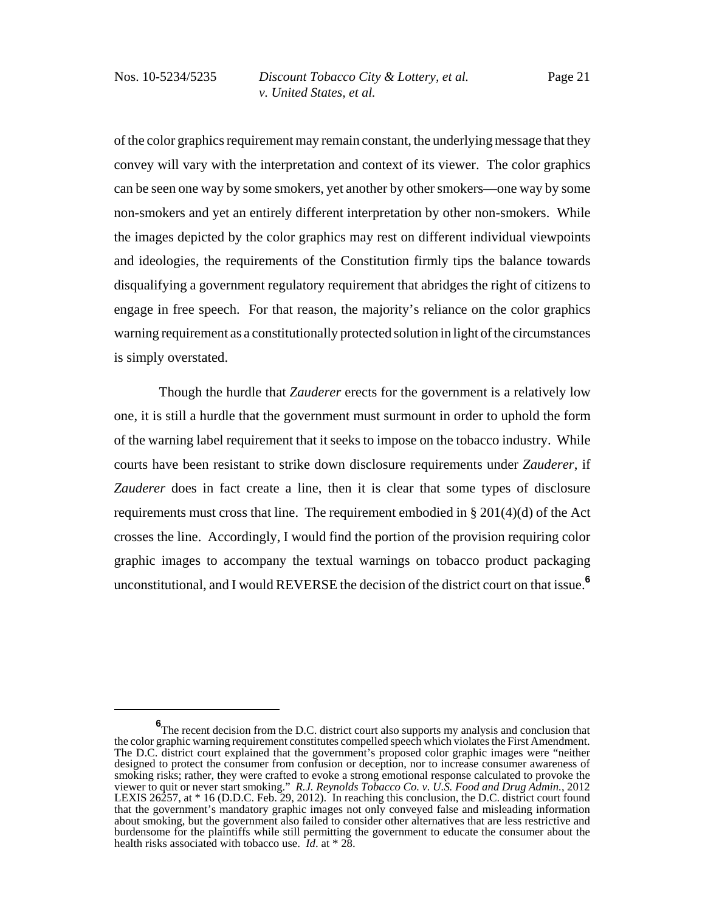of the color graphics requirement may remain constant, the underlying message that they convey will vary with the interpretation and context of its viewer. The color graphics can be seen one way by some smokers, yet another by other smokers—one way by some non-smokers and yet an entirely different interpretation by other non-smokers. While the images depicted by the color graphics may rest on different individual viewpoints and ideologies, the requirements of the Constitution firmly tips the balance towards disqualifying a government regulatory requirement that abridges the right of citizens to engage in free speech. For that reason, the majority's reliance on the color graphics warning requirement as a constitutionally protected solution in light of the circumstances is simply overstated.

 Though the hurdle that *Zauderer* erects for the government is a relatively low one, it is still a hurdle that the government must surmount in order to uphold the form of the warning label requirement that it seeks to impose on the tobacco industry. While courts have been resistant to strike down disclosure requirements under *Zauderer*, if *Zauderer* does in fact create a line, then it is clear that some types of disclosure requirements must cross that line. The requirement embodied in § 201(4)(d) of the Act crosses the line. Accordingly, I would find the portion of the provision requiring color graphic images to accompany the textual warnings on tobacco product packaging unconstitutional, and I would REVERSE the decision of the district court on that issue.**<sup>6</sup>**

**<sup>6</sup>** The recent decision from the D.C. district court also supports my analysis and conclusion that the color graphic warning requirement constitutes compelled speech which violates the First Amendment. The D.C. district court explained that the government's proposed color graphic images were "neither designed to protect the consumer from confusion or deception, nor to increase consumer awareness of smoking risks; rather, they were crafted to evoke a strong emotional response calculated to provoke the viewer to quit or never start smoking." *R.J. Reynolds Tobacco Co. v. U.S. Food and Drug Admin.*, 2012 LEXIS 26257, at \* 16 (D.D.C. Feb. 29, 2012). In reaching this conclusion, the D.C. district court found that the government's mandatory graphic images not only conveyed false and misleading information about smoking, but the government also failed to consider other alternatives that are less restrictive and burdensome for the plaintiffs while still permitting the government to educate the consumer about the health risks associated with tobacco use. *Id*. at \* 28.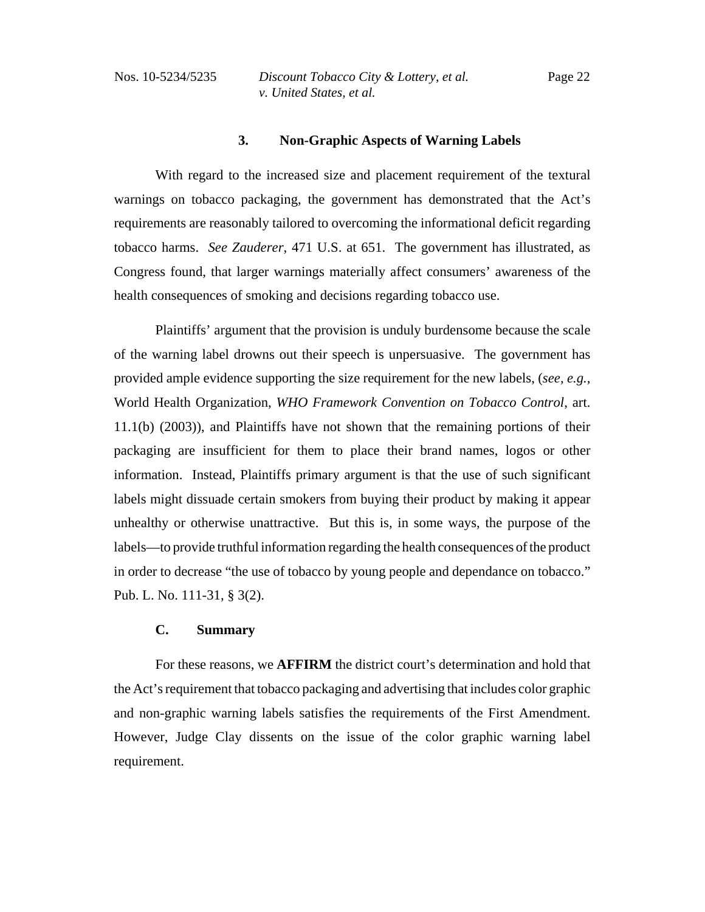#### **3. Non-Graphic Aspects of Warning Labels**

With regard to the increased size and placement requirement of the textural warnings on tobacco packaging, the government has demonstrated that the Act's requirements are reasonably tailored to overcoming the informational deficit regarding tobacco harms. *See Zauderer*, 471 U.S. at 651. The government has illustrated, as Congress found, that larger warnings materially affect consumers' awareness of the health consequences of smoking and decisions regarding tobacco use.

Plaintiffs' argument that the provision is unduly burdensome because the scale of the warning label drowns out their speech is unpersuasive. The government has provided ample evidence supporting the size requirement for the new labels, (*see, e.g.,* World Health Organization, *WHO Framework Convention on Tobacco Control*, art. 11.1(b) (2003)), and Plaintiffs have not shown that the remaining portions of their packaging are insufficient for them to place their brand names, logos or other information. Instead, Plaintiffs primary argument is that the use of such significant labels might dissuade certain smokers from buying their product by making it appear unhealthy or otherwise unattractive. But this is, in some ways, the purpose of the labels—to provide truthful information regarding the health consequences of the product in order to decrease "the use of tobacco by young people and dependance on tobacco." Pub. L. No. 111-31, § 3(2).

# **C. Summary**

For these reasons, we **AFFIRM** the district court's determination and hold that the Act's requirement that tobacco packaging and advertising that includes color graphic and non-graphic warning labels satisfies the requirements of the First Amendment. However, Judge Clay dissents on the issue of the color graphic warning label requirement.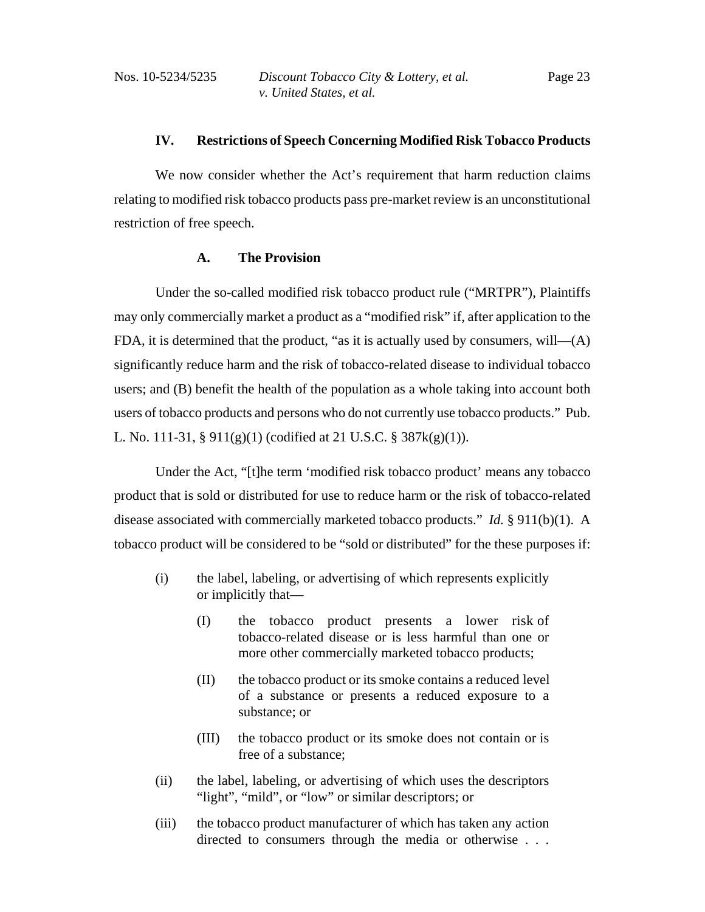#### **IV. Restrictions of Speech Concerning Modified Risk Tobacco Products**

We now consider whether the Act's requirement that harm reduction claims relating to modified risk tobacco products pass pre-market review is an unconstitutional restriction of free speech.

### **A. The Provision**

Under the so-called modified risk tobacco product rule ("MRTPR"), Plaintiffs may only commercially market a product as a "modified risk" if, after application to the FDA, it is determined that the product, "as it is actually used by consumers, will—(A) significantly reduce harm and the risk of tobacco-related disease to individual tobacco users; and (B) benefit the health of the population as a whole taking into account both users of tobacco products and persons who do not currently use tobacco products." Pub. L. No. 111-31, § 911(g)(1) (codified at 21 U.S.C. § 387k(g)(1)).

Under the Act, "[t]he term 'modified risk tobacco product' means any tobacco product that is sold or distributed for use to reduce harm or the risk of tobacco-related disease associated with commercially marketed tobacco products." *Id.* § 911(b)(1). A tobacco product will be considered to be "sold or distributed" for the these purposes if:

- (i) the label, labeling, or advertising of which represents explicitly or implicitly that—
	- (I) the tobacco product presents a lower risk of tobacco-related disease or is less harmful than one or more other commercially marketed tobacco products;
	- (II) the tobacco product or its smoke contains a reduced level of a substance or presents a reduced exposure to a substance; or
	- (III) the tobacco product or its smoke does not contain or is free of a substance;
- (ii) the label, labeling, or advertising of which uses the descriptors "light", "mild", or "low" or similar descriptors; or
- (iii) the tobacco product manufacturer of which has taken any action directed to consumers through the media or otherwise . . .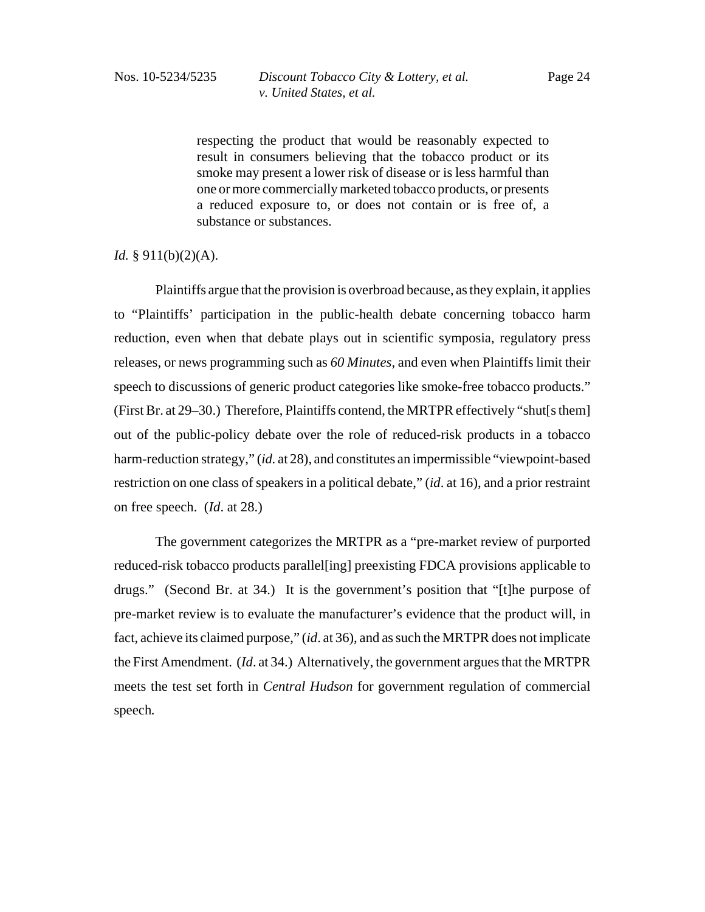respecting the product that would be reasonably expected to result in consumers believing that the tobacco product or its smoke may present a lower risk of disease or is less harmful than one or more commercially marketed tobacco products, or presents a reduced exposure to, or does not contain or is free of, a substance or substances.

### *Id.* § 911(b)(2)(A).

Plaintiffs argue that the provision is overbroad because, as they explain, it applies to "Plaintiffs' participation in the public-health debate concerning tobacco harm reduction, even when that debate plays out in scientific symposia, regulatory press releases, or news programming such as *60 Minutes*, and even when Plaintiffs limit their speech to discussions of generic product categories like smoke-free tobacco products." (First Br. at 29–30.) Therefore, Plaintiffs contend, the MRTPR effectively "shut[s them] out of the public-policy debate over the role of reduced-risk products in a tobacco harm-reduction strategy," (*id.* at 28), and constitutes an impermissible "viewpoint-based restriction on one class of speakers in a political debate," (*id*. at 16), and a prior restraint on free speech. (*Id*. at 28.)

The government categorizes the MRTPR as a "pre-market review of purported reduced-risk tobacco products parallel[ing] preexisting FDCA provisions applicable to drugs." (Second Br. at 34.) It is the government's position that "[t]he purpose of pre-market review is to evaluate the manufacturer's evidence that the product will, in fact, achieve its claimed purpose," (*id*. at 36), and as such the MRTPR does not implicate the First Amendment. (*Id*. at 34.) Alternatively, the government argues that the MRTPR meets the test set forth in *Central Hudson* for government regulation of commercial speech*.*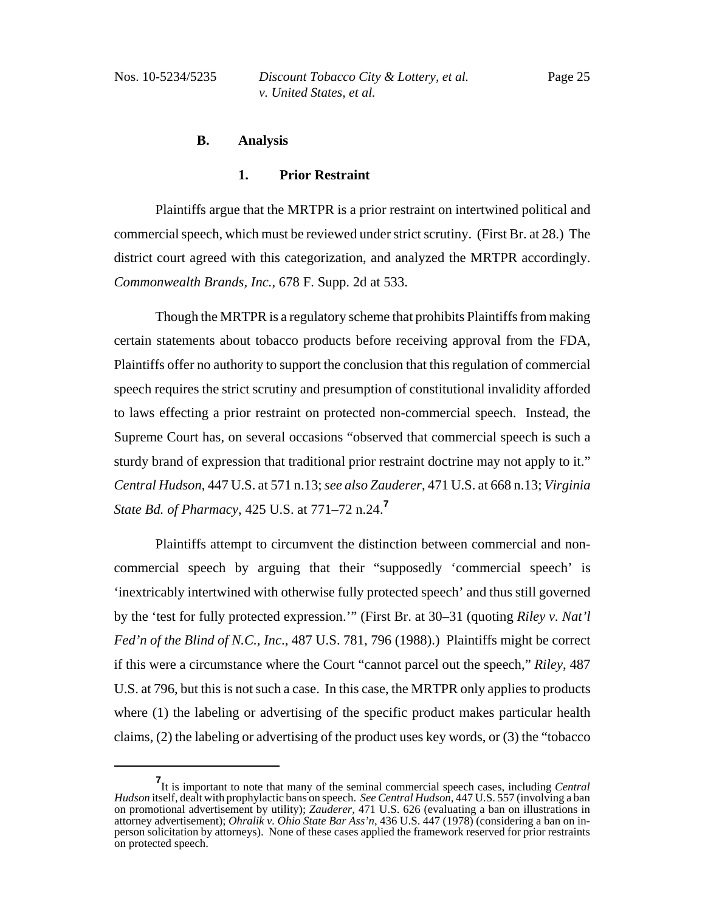# **B. Analysis**

### **1. Prior Restraint**

Plaintiffs argue that the MRTPR is a prior restraint on intertwined political and commercial speech, which must be reviewed under strict scrutiny. (First Br. at 28.) The district court agreed with this categorization, and analyzed the MRTPR accordingly. *Commonwealth Brands, Inc.*, 678 F. Supp. 2d at 533.

Though the MRTPR is a regulatory scheme that prohibits Plaintiffs from making certain statements about tobacco products before receiving approval from the FDA, Plaintiffs offer no authority to support the conclusion that this regulation of commercial speech requires the strict scrutiny and presumption of constitutional invalidity afforded to laws effecting a prior restraint on protected non-commercial speech. Instead, the Supreme Court has, on several occasions "observed that commercial speech is such a sturdy brand of expression that traditional prior restraint doctrine may not apply to it." *Central Hudson*, 447 U.S. at 571 n.13; *see also Zauderer*, 471 U.S. at 668 n.13; *Virginia State Bd. of Pharmacy*, 425 U.S. at 771–72 n.24.**<sup>7</sup>**

Plaintiffs attempt to circumvent the distinction between commercial and noncommercial speech by arguing that their "supposedly 'commercial speech' is 'inextricably intertwined with otherwise fully protected speech' and thus still governed by the 'test for fully protected expression.'" (First Br. at 30–31 (quoting *Riley v. Nat'l Fed'n of the Blind of N.C., Inc*., 487 U.S. 781, 796 (1988).) Plaintiffs might be correct if this were a circumstance where the Court "cannot parcel out the speech," *Riley*, 487 U.S. at 796, but this is not such a case. In this case, the MRTPR only applies to products where (1) the labeling or advertising of the specific product makes particular health claims, (2) the labeling or advertising of the product uses key words, or (3) the "tobacco

**<sup>7</sup>** It is important to note that many of the seminal commercial speech cases, including *Central Hudson* itself, dealt with prophylactic bans on speech. *See Central Hudson*, 447 U.S. 557 (involving a ban on promotional advertisement by utility); *Zauderer*, 471 U.S. 626 (evaluating a ban on illustrations in attorney advertisement); *Ohralik v. Ohio State Bar Ass'n*, 436 U.S. 447 (1978) (considering a ban on inperson solicitation by attorneys). None of these cases applied the framework reserved for prior restraints on protected speech.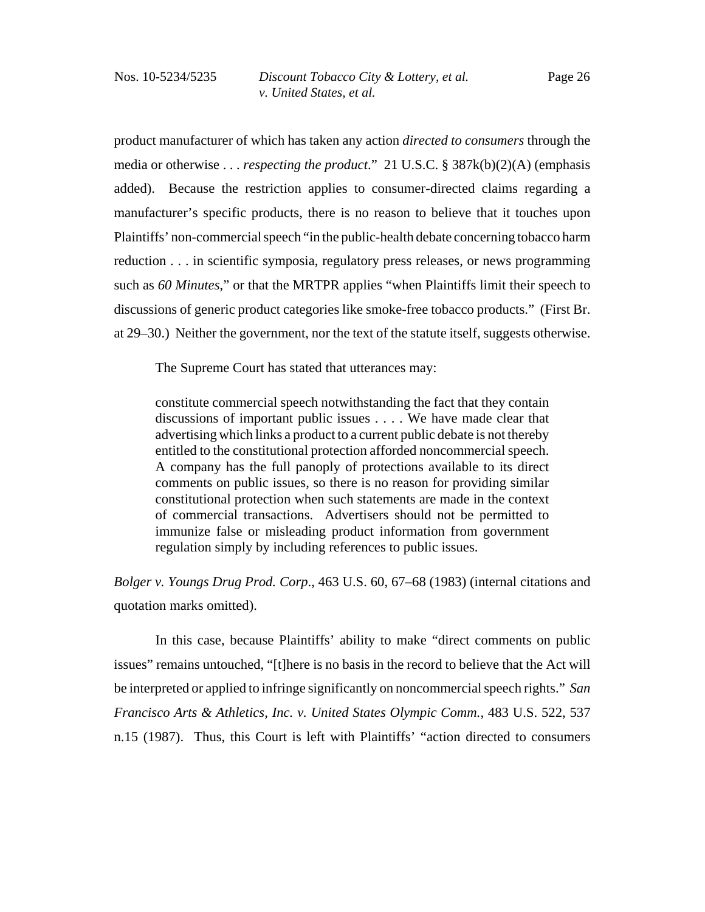product manufacturer of which has taken any action *directed to consumers* through the media or otherwise . . . *respecting the product*." 21 U.S.C. § 387k(b)(2)(A) (emphasis added). Because the restriction applies to consumer-directed claims regarding a manufacturer's specific products, there is no reason to believe that it touches upon Plaintiffs' non-commercial speech "in the public-health debate concerning tobacco harm reduction . . . in scientific symposia, regulatory press releases, or news programming such as *60 Minutes*," or that the MRTPR applies "when Plaintiffs limit their speech to discussions of generic product categories like smoke-free tobacco products." (First Br. at 29–30.) Neither the government, nor the text of the statute itself, suggests otherwise.

The Supreme Court has stated that utterances may:

constitute commercial speech notwithstanding the fact that they contain discussions of important public issues . . . . We have made clear that advertising which links a product to a current public debate is not thereby entitled to the constitutional protection afforded noncommercial speech. A company has the full panoply of protections available to its direct comments on public issues, so there is no reason for providing similar constitutional protection when such statements are made in the context of commercial transactions. Advertisers should not be permitted to immunize false or misleading product information from government regulation simply by including references to public issues.

*Bolger v. Youngs Drug Prod. Corp*., 463 U.S. 60, 67–68 (1983) (internal citations and quotation marks omitted).

In this case, because Plaintiffs' ability to make "direct comments on public issues" remains untouched, "[t]here is no basis in the record to believe that the Act will be interpreted or applied to infringe significantly on noncommercial speech rights." *San Francisco Arts & Athletics, Inc. v. United States Olympic Comm.*, 483 U.S. 522, 537 n.15 (1987). Thus, this Court is left with Plaintiffs' "action directed to consumers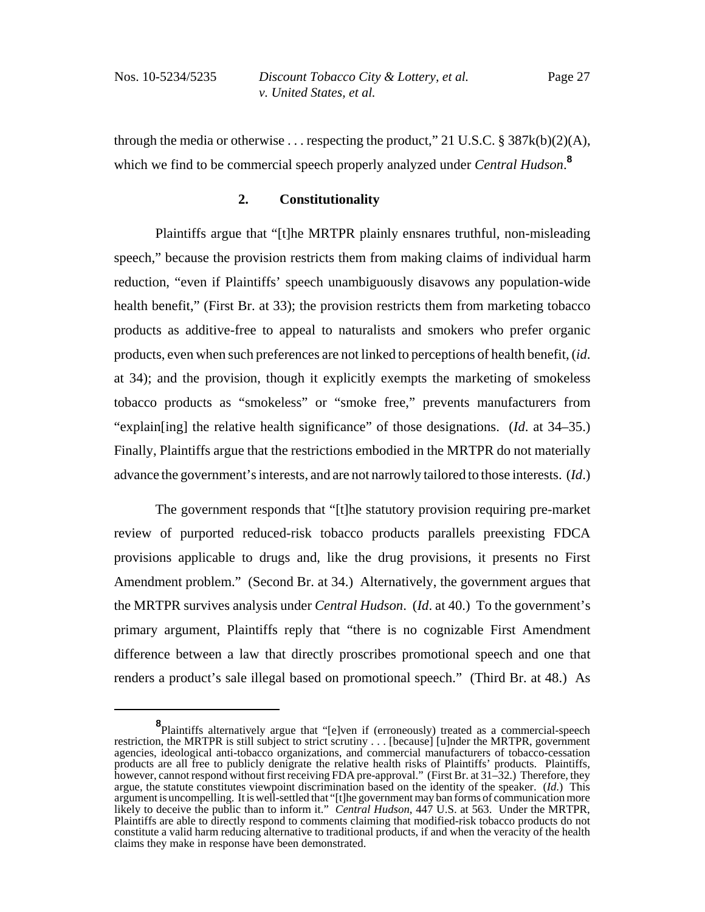through the media or otherwise ... respecting the product," 21 U.S.C. § 387 $k(b)(2)(A)$ , which we find to be commercial speech properly analyzed under *Central Hudson*. **8**

# **2. Constitutionality**

Plaintiffs argue that "[t]he MRTPR plainly ensnares truthful, non-misleading speech," because the provision restricts them from making claims of individual harm reduction, "even if Plaintiffs' speech unambiguously disavows any population-wide health benefit," (First Br. at 33); the provision restricts them from marketing tobacco products as additive-free to appeal to naturalists and smokers who prefer organic products, even when such preferences are not linked to perceptions of health benefit, (*id*. at 34); and the provision, though it explicitly exempts the marketing of smokeless tobacco products as "smokeless" or "smoke free," prevents manufacturers from "explain[ing] the relative health significance" of those designations. (*Id*. at 34–35.) Finally, Plaintiffs argue that the restrictions embodied in the MRTPR do not materially advance the government's interests, and are not narrowly tailored to those interests. (*Id*.)

The government responds that "[t]he statutory provision requiring pre-market review of purported reduced-risk tobacco products parallels preexisting FDCA provisions applicable to drugs and, like the drug provisions, it presents no First Amendment problem." (Second Br. at 34.) Alternatively, the government argues that the MRTPR survives analysis under *Central Hudson*. (*Id*. at 40.) To the government's primary argument, Plaintiffs reply that "there is no cognizable First Amendment difference between a law that directly proscribes promotional speech and one that renders a product's sale illegal based on promotional speech." (Third Br. at 48.) As

**<sup>8</sup>** Plaintiffs alternatively argue that "[e]ven if (erroneously) treated as a commercial-speech restriction, the MRTPR is still subject to strict scrutiny . . . [because] [u]nder the MRTPR, government agencies, ideological anti-tobacco organizations, and commercial manufacturers of tobacco-cessation products are all free to publicly denigrate the relative health risks of Plaintiffs' products. Plaintiffs, however, cannot respond without first receiving FDA pre-approval." (First Br. at 31–32.) Therefore, they argue, the statute constitutes viewpoint discrimination based on the identity of the speaker. (*Id*.) This argument is uncompelling. It is well-settled that "[t]he government may ban forms of communication more likely to deceive the public than to inform it." *Central Hudson*, 447 U.S. at 563. Under the MRTPR, Plaintiffs are able to directly respond to comments claiming that modified-risk tobacco products do not constitute a valid harm reducing alternative to traditional products, if and when the veracity of the health claims they make in response have been demonstrated.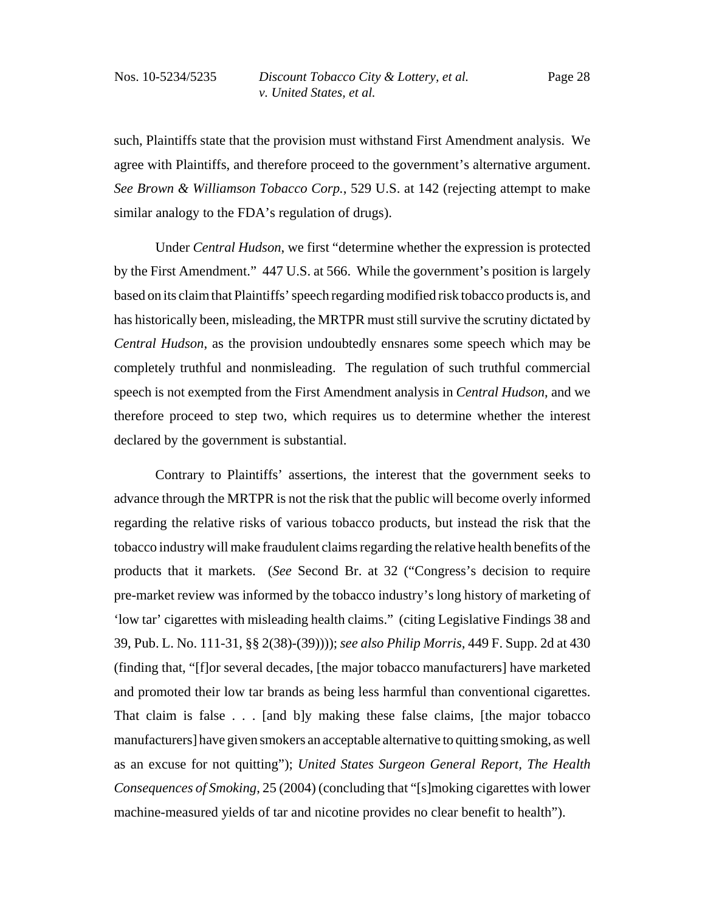such, Plaintiffs state that the provision must withstand First Amendment analysis. We agree with Plaintiffs, and therefore proceed to the government's alternative argument. *See Brown & Williamson Tobacco Corp.*, 529 U.S. at 142 (rejecting attempt to make similar analogy to the FDA's regulation of drugs).

Under *Central Hudson*, we first "determine whether the expression is protected by the First Amendment." 447 U.S. at 566. While the government's position is largely based on its claim that Plaintiffs' speech regarding modified risk tobacco products is, and has historically been, misleading, the MRTPR must still survive the scrutiny dictated by *Central Hudson*, as the provision undoubtedly ensnares some speech which may be completely truthful and nonmisleading. The regulation of such truthful commercial speech is not exempted from the First Amendment analysis in *Central Hudson*, and we therefore proceed to step two, which requires us to determine whether the interest declared by the government is substantial.

Contrary to Plaintiffs' assertions, the interest that the government seeks to advance through the MRTPR is not the risk that the public will become overly informed regarding the relative risks of various tobacco products, but instead the risk that the tobacco industry will make fraudulent claims regarding the relative health benefits of the products that it markets. (*See* Second Br. at 32 ("Congress's decision to require pre-market review was informed by the tobacco industry's long history of marketing of 'low tar' cigarettes with misleading health claims." (citing Legislative Findings 38 and 39, Pub. L. No. 111-31, §§ 2(38)-(39)))); *see also Philip Morris,* 449 F. Supp. 2d at 430 (finding that, "[f]or several decades, [the major tobacco manufacturers] have marketed and promoted their low tar brands as being less harmful than conventional cigarettes. That claim is false . . . [and b]y making these false claims, [the major tobacco manufacturers] have given smokers an acceptable alternative to quitting smoking, as well as an excuse for not quitting"); *United States Surgeon General Report, The Health Consequences of Smoking*, 25 (2004) (concluding that "[s]moking cigarettes with lower machine-measured yields of tar and nicotine provides no clear benefit to health").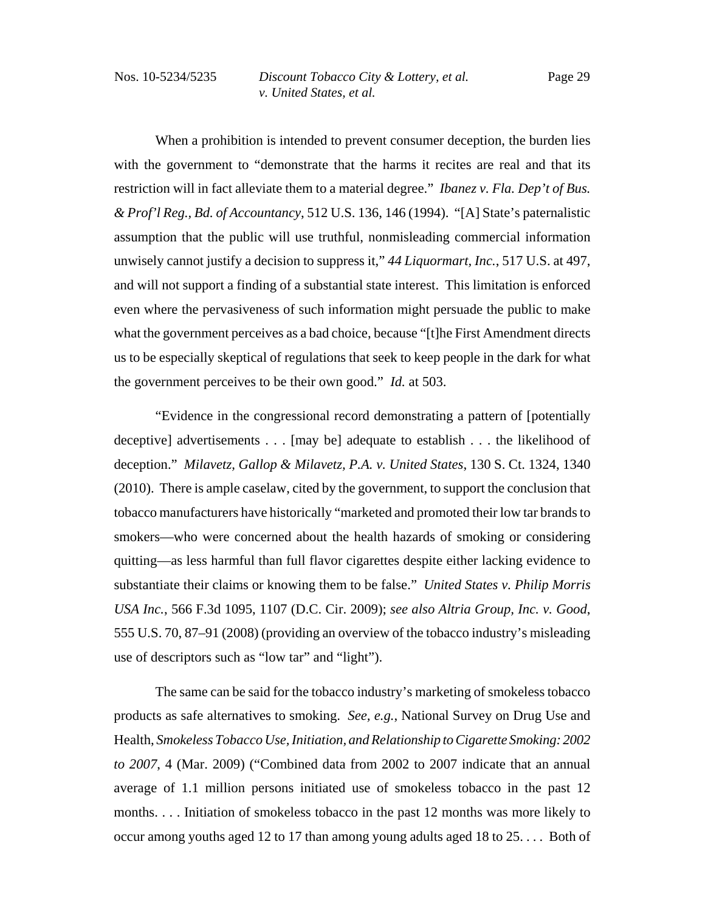When a prohibition is intended to prevent consumer deception, the burden lies with the government to "demonstrate that the harms it recites are real and that its restriction will in fact alleviate them to a material degree." *Ibanez v. Fla. Dep't of Bus. & Prof'l Reg., Bd. of Accountancy*, 512 U.S. 136, 146 (1994). "[A] State's paternalistic assumption that the public will use truthful, nonmisleading commercial information unwisely cannot justify a decision to suppress it," *44 Liquormart, Inc.*, 517 U.S. at 497, and will not support a finding of a substantial state interest. This limitation is enforced even where the pervasiveness of such information might persuade the public to make what the government perceives as a bad choice, because "[t]he First Amendment directs us to be especially skeptical of regulations that seek to keep people in the dark for what the government perceives to be their own good." *Id.* at 503.

"Evidence in the congressional record demonstrating a pattern of [potentially deceptive] advertisements . . . [may be] adequate to establish . . . the likelihood of deception." *Milavetz, Gallop & Milavetz, P.A. v. United States*, 130 S. Ct. 1324, 1340 (2010). There is ample caselaw, cited by the government, to support the conclusion that tobacco manufacturers have historically "marketed and promoted their low tar brands to smokers—who were concerned about the health hazards of smoking or considering quitting—as less harmful than full flavor cigarettes despite either lacking evidence to substantiate their claims or knowing them to be false." *United States v. Philip Morris USA Inc.*, 566 F.3d 1095, 1107 (D.C. Cir. 2009); *see also Altria Group, Inc. v. Good*, 555 U.S. 70, 87–91 (2008) (providing an overview of the tobacco industry's misleading use of descriptors such as "low tar" and "light").

The same can be said for the tobacco industry's marketing of smokeless tobacco products as safe alternatives to smoking. *See, e.g.*, National Survey on Drug Use and Health, *Smokeless Tobacco Use, Initiation, and Relationship to Cigarette Smoking: 2002 to 2007*, 4 (Mar. 2009) ("Combined data from 2002 to 2007 indicate that an annual average of 1.1 million persons initiated use of smokeless tobacco in the past 12 months. . . . Initiation of smokeless tobacco in the past 12 months was more likely to occur among youths aged 12 to 17 than among young adults aged 18 to 25. . . . Both of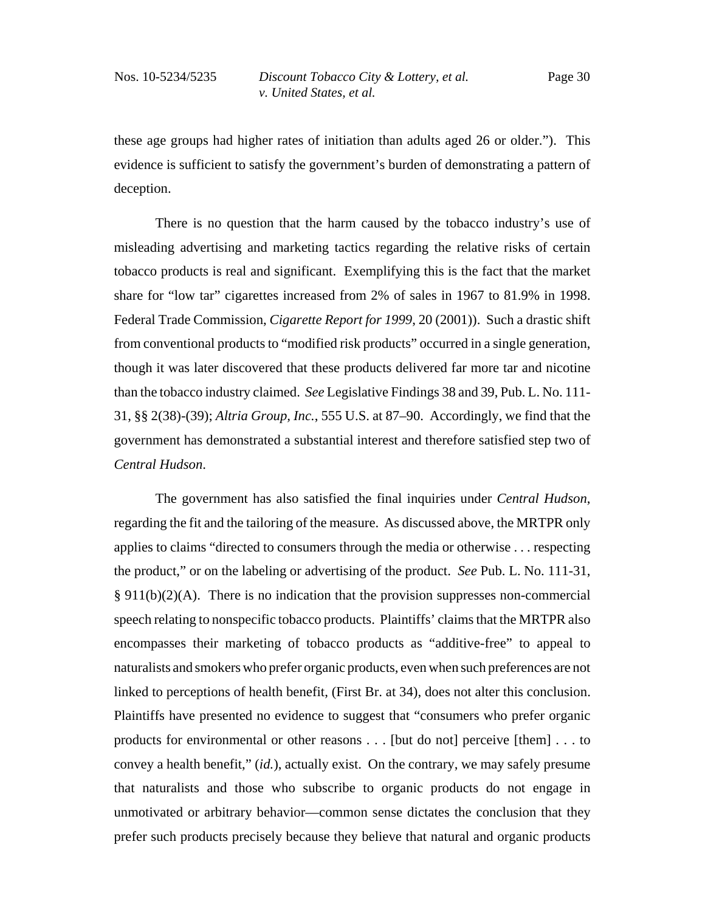these age groups had higher rates of initiation than adults aged 26 or older."). This evidence is sufficient to satisfy the government's burden of demonstrating a pattern of deception.

There is no question that the harm caused by the tobacco industry's use of misleading advertising and marketing tactics regarding the relative risks of certain tobacco products is real and significant. Exemplifying this is the fact that the market share for "low tar" cigarettes increased from 2% of sales in 1967 to 81.9% in 1998. Federal Trade Commission, *Cigarette Report for 1999*, 20 (2001)). Such a drastic shift from conventional products to "modified risk products" occurred in a single generation, though it was later discovered that these products delivered far more tar and nicotine than the tobacco industry claimed. *See* Legislative Findings 38 and 39, Pub. L. No. 111- 31, §§ 2(38)-(39); *Altria Group, Inc.*, 555 U.S. at 87–90. Accordingly, we find that the government has demonstrated a substantial interest and therefore satisfied step two of *Central Hudson*.

The government has also satisfied the final inquiries under *Central Hudson*, regarding the fit and the tailoring of the measure. As discussed above, the MRTPR only applies to claims "directed to consumers through the media or otherwise . . . respecting the product," or on the labeling or advertising of the product. *See* Pub. L. No. 111-31,  $§ 911(b)(2)(A)$ . There is no indication that the provision suppresses non-commercial speech relating to nonspecific tobacco products. Plaintiffs' claims that the MRTPR also encompasses their marketing of tobacco products as "additive-free" to appeal to naturalists and smokers who prefer organic products, even when such preferences are not linked to perceptions of health benefit, (First Br. at 34), does not alter this conclusion. Plaintiffs have presented no evidence to suggest that "consumers who prefer organic products for environmental or other reasons . . . [but do not] perceive [them] . . . to convey a health benefit," (*id.*), actually exist. On the contrary, we may safely presume that naturalists and those who subscribe to organic products do not engage in unmotivated or arbitrary behavior—common sense dictates the conclusion that they prefer such products precisely because they believe that natural and organic products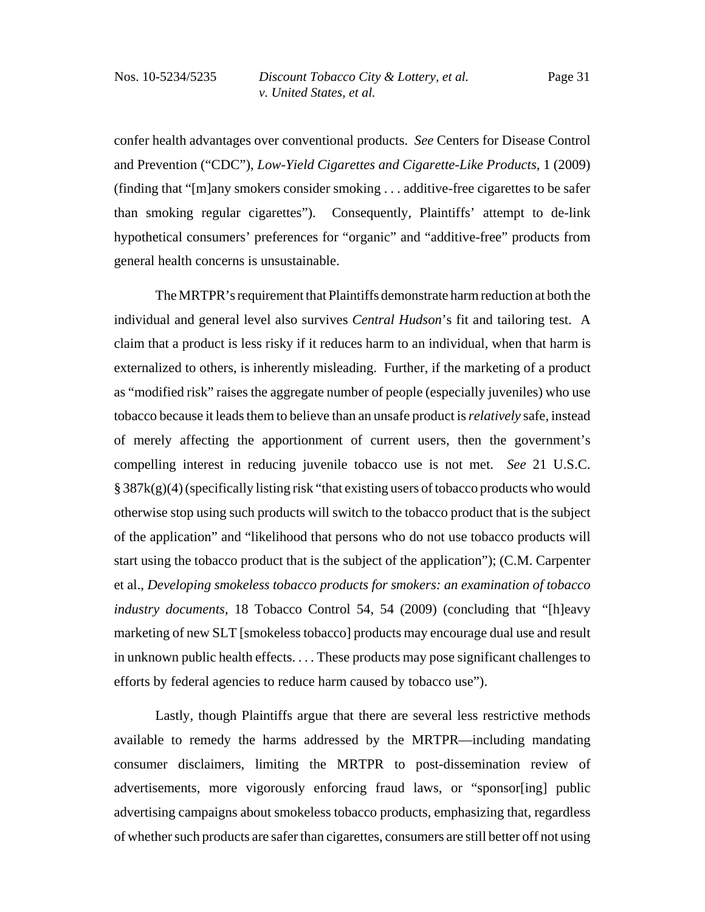confer health advantages over conventional products. *See* Centers for Disease Control and Prevention ("CDC"), *Low-Yield Cigarettes and Cigarette-Like Products*, 1 (2009) (finding that "[m]any smokers consider smoking . . . additive-free cigarettes to be safer than smoking regular cigarettes"). Consequently, Plaintiffs' attempt to de-link hypothetical consumers' preferences for "organic" and "additive-free" products from general health concerns is unsustainable.

The MRTPR's requirement that Plaintiffs demonstrate harm reduction at both the individual and general level also survives *Central Hudson*'s fit and tailoring test. A claim that a product is less risky if it reduces harm to an individual, when that harm is externalized to others, is inherently misleading. Further, if the marketing of a product as "modified risk" raises the aggregate number of people (especially juveniles) who use tobacco because it leads them to believe than an unsafe product is *relatively* safe, instead of merely affecting the apportionment of current users, then the government's compelling interest in reducing juvenile tobacco use is not met. *See* 21 U.S.C.  $\S 387k(g)(4)$  (specifically listing risk "that existing users of tobacco products who would otherwise stop using such products will switch to the tobacco product that is the subject of the application" and "likelihood that persons who do not use tobacco products will start using the tobacco product that is the subject of the application"); (C.M. Carpenter et al., *Developing smokeless tobacco products for smokers: an examination of tobacco industry documents*, 18 Tobacco Control 54, 54 (2009) (concluding that "[h]eavy marketing of new SLT [smokeless tobacco] products may encourage dual use and result in unknown public health effects. . . . These products may pose significant challenges to efforts by federal agencies to reduce harm caused by tobacco use").

Lastly, though Plaintiffs argue that there are several less restrictive methods available to remedy the harms addressed by the MRTPR—including mandating consumer disclaimers, limiting the MRTPR to post-dissemination review of advertisements, more vigorously enforcing fraud laws, or "sponsor[ing] public advertising campaigns about smokeless tobacco products, emphasizing that, regardless of whether such products are safer than cigarettes, consumers are still better off not using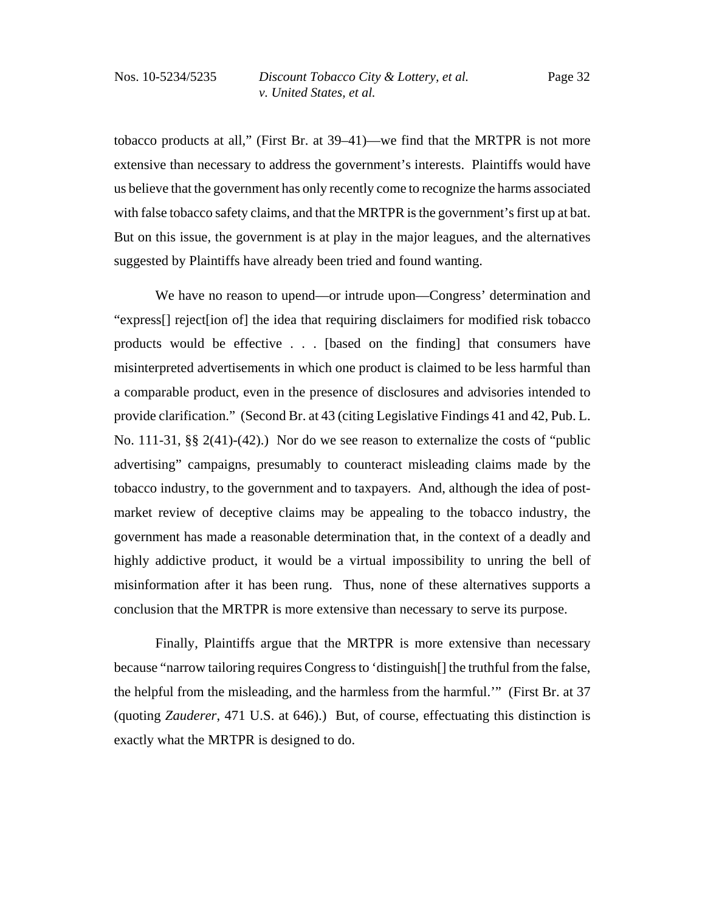tobacco products at all," (First Br. at 39–41)—we find that the MRTPR is not more extensive than necessary to address the government's interests. Plaintiffs would have us believe that the government has only recently come to recognize the harms associated with false tobacco safety claims, and that the MRTPR is the government's first up at bat. But on this issue, the government is at play in the major leagues, and the alternatives suggested by Plaintiffs have already been tried and found wanting.

We have no reason to upend—or intrude upon—Congress' determination and "express[] reject[ion of] the idea that requiring disclaimers for modified risk tobacco products would be effective . . . [based on the finding] that consumers have misinterpreted advertisements in which one product is claimed to be less harmful than a comparable product, even in the presence of disclosures and advisories intended to provide clarification." (Second Br. at 43 (citing Legislative Findings 41 and 42, Pub. L. No. 111-31, §§ 2(41)-(42).) Nor do we see reason to externalize the costs of "public advertising" campaigns, presumably to counteract misleading claims made by the tobacco industry, to the government and to taxpayers. And, although the idea of postmarket review of deceptive claims may be appealing to the tobacco industry, the government has made a reasonable determination that, in the context of a deadly and highly addictive product, it would be a virtual impossibility to unring the bell of misinformation after it has been rung. Thus, none of these alternatives supports a conclusion that the MRTPR is more extensive than necessary to serve its purpose.

Finally, Plaintiffs argue that the MRTPR is more extensive than necessary because "narrow tailoring requires Congress to 'distinguish[] the truthful from the false, the helpful from the misleading, and the harmless from the harmful.'" (First Br. at 37 (quoting *Zauderer*, 471 U.S. at 646).) But, of course, effectuating this distinction is exactly what the MRTPR is designed to do.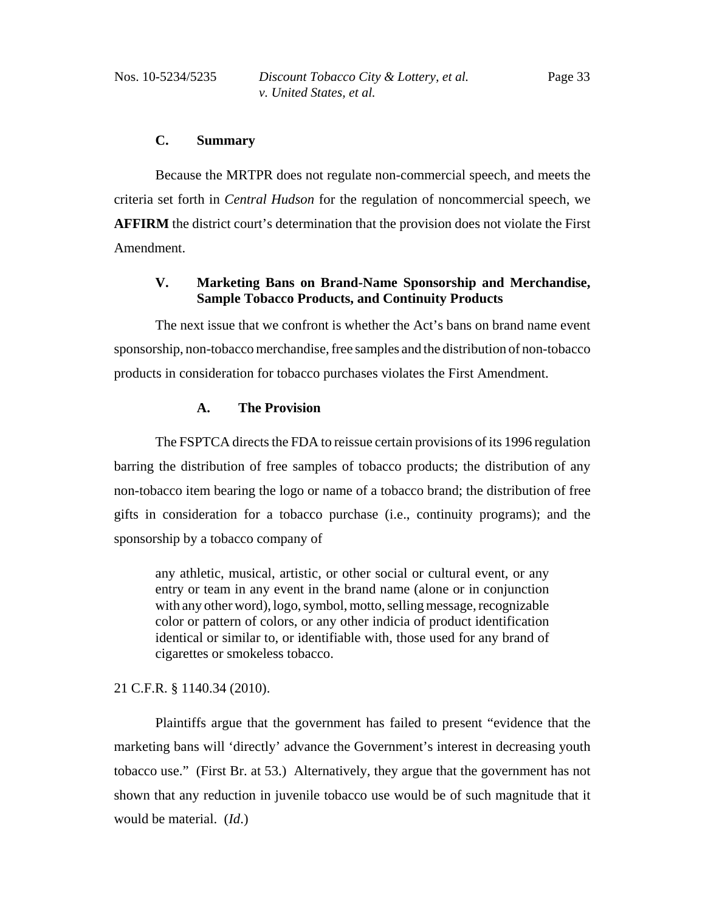# **C. Summary**

Because the MRTPR does not regulate non-commercial speech, and meets the criteria set forth in *Central Hudson* for the regulation of noncommercial speech, we **AFFIRM** the district court's determination that the provision does not violate the First Amendment.

# **V. Marketing Bans on Brand-Name Sponsorship and Merchandise, Sample Tobacco Products, and Continuity Products**

The next issue that we confront is whether the Act's bans on brand name event sponsorship, non-tobacco merchandise, free samples and the distribution of non-tobacco products in consideration for tobacco purchases violates the First Amendment.

# **A. The Provision**

The FSPTCA directs the FDA to reissue certain provisions of its 1996 regulation barring the distribution of free samples of tobacco products; the distribution of any non-tobacco item bearing the logo or name of a tobacco brand; the distribution of free gifts in consideration for a tobacco purchase (i.e., continuity programs); and the sponsorship by a tobacco company of

any athletic, musical, artistic, or other social or cultural event, or any entry or team in any event in the brand name (alone or in conjunction with any other word), logo, symbol, motto, selling message, recognizable color or pattern of colors, or any other indicia of product identification identical or similar to, or identifiable with, those used for any brand of cigarettes or smokeless tobacco.

# 21 C.F.R. § 1140.34 (2010).

Plaintiffs argue that the government has failed to present "evidence that the marketing bans will 'directly' advance the Government's interest in decreasing youth tobacco use." (First Br. at 53.) Alternatively, they argue that the government has not shown that any reduction in juvenile tobacco use would be of such magnitude that it would be material. (*Id*.)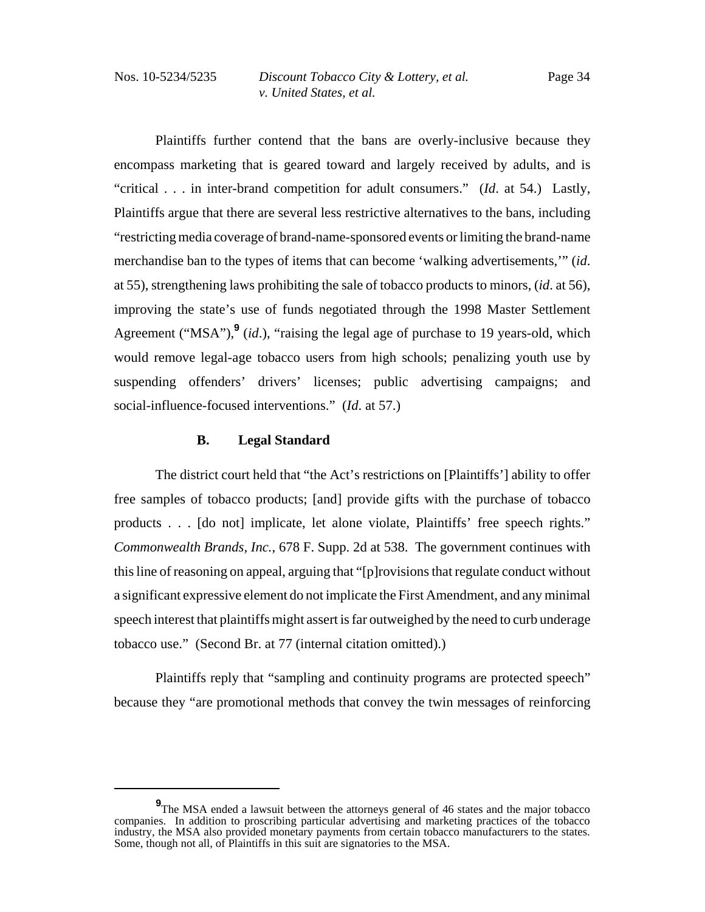Plaintiffs further contend that the bans are overly-inclusive because they encompass marketing that is geared toward and largely received by adults, and is "critical . . . in inter-brand competition for adult consumers." (*Id*. at 54.) Lastly, Plaintiffs argue that there are several less restrictive alternatives to the bans, including "restricting media coverage of brand-name-sponsored events or limiting the brand-name merchandise ban to the types of items that can become 'walking advertisements,'" (*id*. at 55), strengthening laws prohibiting the sale of tobacco products to minors, (*id*. at 56), improving the state's use of funds negotiated through the 1998 Master Settlement Agreement ("MSA"),<sup>9</sup> (*id*.), "raising the legal age of purchase to 19 years-old, which would remove legal-age tobacco users from high schools; penalizing youth use by suspending offenders' drivers' licenses; public advertising campaigns; and social-influence-focused interventions." (*Id*. at 57.)

# **B. Legal Standard**

The district court held that "the Act's restrictions on [Plaintiffs'] ability to offer free samples of tobacco products; [and] provide gifts with the purchase of tobacco products . . . [do not] implicate, let alone violate, Plaintiffs' free speech rights." *Commonwealth Brands, Inc.*, 678 F. Supp. 2d at 538. The government continues with this line of reasoning on appeal, arguing that "[p]rovisions that regulate conduct without a significant expressive element do not implicate the First Amendment, and any minimal speech interest that plaintiffs might assert is far outweighed by the need to curb underage tobacco use." (Second Br. at 77 (internal citation omitted).)

Plaintiffs reply that "sampling and continuity programs are protected speech" because they "are promotional methods that convey the twin messages of reinforcing

**<sup>9</sup>**<br>The MSA ended a lawsuit between the attorneys general of 46 states and the major tobacco companies. In addition to proscribing particular advertising and marketing practices of the tobacco industry, the MSA also provided monetary payments from certain tobacco manufacturers to the states. Some, though not all, of Plaintiffs in this suit are signatories to the MSA.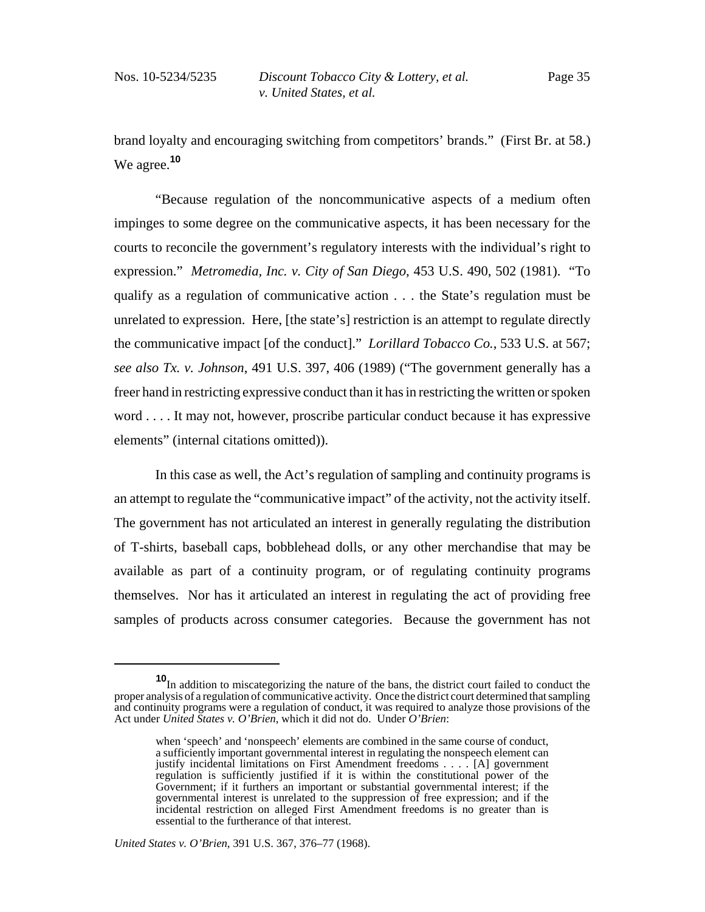brand loyalty and encouraging switching from competitors' brands." (First Br. at 58.) We agree.**<sup>10</sup>**

"Because regulation of the noncommunicative aspects of a medium often impinges to some degree on the communicative aspects, it has been necessary for the courts to reconcile the government's regulatory interests with the individual's right to expression." *Metromedia, Inc. v. City of San Diego*, 453 U.S. 490, 502 (1981). "To qualify as a regulation of communicative action . . . the State's regulation must be unrelated to expression. Here, [the state's] restriction is an attempt to regulate directly the communicative impact [of the conduct]." *Lorillard Tobacco Co.*, 533 U.S. at 567; *see also Tx. v. Johnson*, 491 U.S. 397, 406 (1989) ("The government generally has a freer hand in restricting expressive conduct than it has in restricting the written or spoken word . . . . It may not, however, proscribe particular conduct because it has expressive elements" (internal citations omitted)).

In this case as well, the Act's regulation of sampling and continuity programs is an attempt to regulate the "communicative impact" of the activity, not the activity itself. The government has not articulated an interest in generally regulating the distribution of T-shirts, baseball caps, bobblehead dolls, or any other merchandise that may be available as part of a continuity program, or of regulating continuity programs themselves. Nor has it articulated an interest in regulating the act of providing free samples of products across consumer categories. Because the government has not

*United States v. O'Brien*, 391 U.S. 367, 376–77 (1968).

**<sup>10</sup>**In addition to miscategorizing the nature of the bans, the district court failed to conduct the proper analysis of a regulation of communicative activity. Once the district court determined that sampling and continuity programs were a regulation of conduct, it was required to analyze those provisions of the Act under *United States v. O'Brien*, which it did not do. Under *O'Brien*:

when 'speech' and 'nonspeech' elements are combined in the same course of conduct, a sufficiently important governmental interest in regulating the nonspeech element can justify incidental limitations on First Amendment freedoms . . . . [A] government regulation is sufficiently justified if it is within the constitutional power of the Government; if it furthers an important or substantial governmental interest; if the governmental interest is unrelated to the suppression of free expression; and if the incidental restriction on alleged First Amendment freedoms is no greater than is essential to the furtherance of that interest.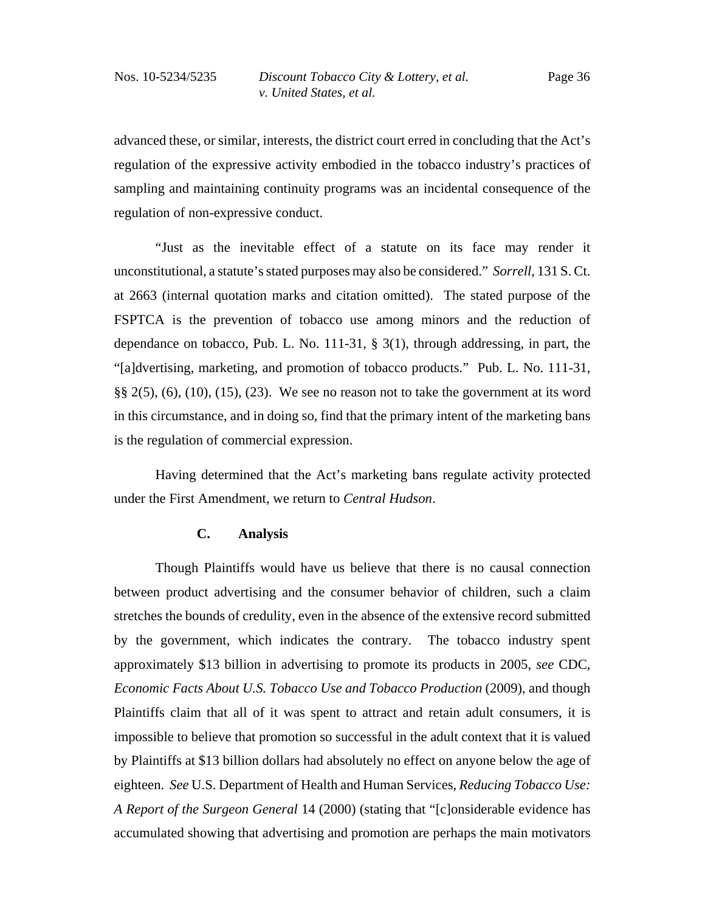advanced these, or similar, interests, the district court erred in concluding that the Act's regulation of the expressive activity embodied in the tobacco industry's practices of sampling and maintaining continuity programs was an incidental consequence of the regulation of non-expressive conduct.

"Just as the inevitable effect of a statute on its face may render it unconstitutional, a statute's stated purposes may also be considered." *Sorrell*, 131 S. Ct. at 2663 (internal quotation marks and citation omitted). The stated purpose of the FSPTCA is the prevention of tobacco use among minors and the reduction of dependance on tobacco, Pub. L. No. 111-31,  $\S$  3(1), through addressing, in part, the "[a]dvertising, marketing, and promotion of tobacco products." Pub. L. No. 111-31,  $\S\S 2(5)$ , (6), (10), (15), (23). We see no reason not to take the government at its word in this circumstance, and in doing so, find that the primary intent of the marketing bans is the regulation of commercial expression.

Having determined that the Act's marketing bans regulate activity protected under the First Amendment, we return to *Central Hudson*.

#### **C. Analysis**

Though Plaintiffs would have us believe that there is no causal connection between product advertising and the consumer behavior of children, such a claim stretches the bounds of credulity, even in the absence of the extensive record submitted by the government, which indicates the contrary. The tobacco industry spent approximately \$13 billion in advertising to promote its products in 2005, *see* CDC, *Economic Facts About U.S. Tobacco Use and Tobacco Production* (2009), and though Plaintiffs claim that all of it was spent to attract and retain adult consumers, it is impossible to believe that promotion so successful in the adult context that it is valued by Plaintiffs at \$13 billion dollars had absolutely no effect on anyone below the age of eighteen. *See* U.S. Department of Health and Human Services, *Reducing Tobacco Use: A Report of the Surgeon General* 14 (2000) (stating that "[c]onsiderable evidence has accumulated showing that advertising and promotion are perhaps the main motivators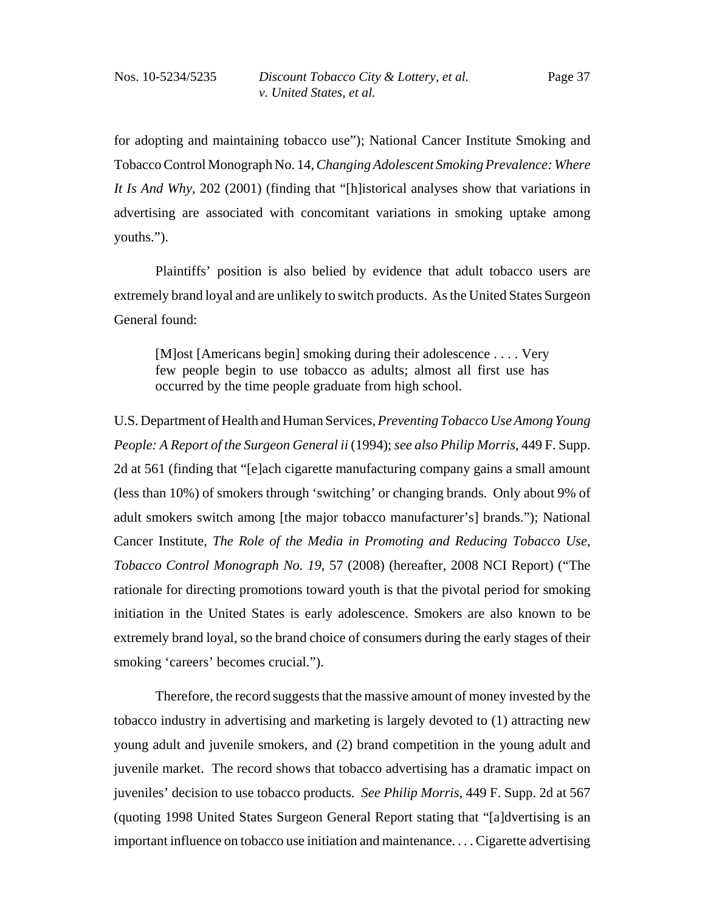for adopting and maintaining tobacco use"); National Cancer Institute Smoking and Tobacco Control Monograph No. 14, *Changing Adolescent Smoking Prevalence: Where It Is And Why*, 202 (2001) (finding that "[h]istorical analyses show that variations in advertising are associated with concomitant variations in smoking uptake among youths.").

Plaintiffs' position is also belied by evidence that adult tobacco users are extremely brand loyal and are unlikely to switch products. As the United States Surgeon General found:

[M]ost [Americans begin] smoking during their adolescence . . . . Very few people begin to use tobacco as adults; almost all first use has occurred by the time people graduate from high school.

U.S. Department of Health and Human Services, *Preventing Tobacco Use Among Young People: A Report of the Surgeon General ii* (1994); *see also Philip Morris,* 449 F. Supp. 2d at 561 (finding that "[e]ach cigarette manufacturing company gains a small amount (less than 10%) of smokers through 'switching' or changing brands. Only about 9% of adult smokers switch among [the major tobacco manufacturer's] brands."); National Cancer Institute, *The Role of the Media in Promoting and Reducing Tobacco Use, Tobacco Control Monograph No. 19*, 57 (2008) (hereafter, 2008 NCI Report) ("The rationale for directing promotions toward youth is that the pivotal period for smoking initiation in the United States is early adolescence. Smokers are also known to be extremely brand loyal, so the brand choice of consumers during the early stages of their smoking 'careers' becomes crucial.").

Therefore, the record suggests that the massive amount of money invested by the tobacco industry in advertising and marketing is largely devoted to (1) attracting new young adult and juvenile smokers, and (2) brand competition in the young adult and juvenile market. The record shows that tobacco advertising has a dramatic impact on juveniles' decision to use tobacco products. *See Philip Morris*, 449 F. Supp. 2d at 567 (quoting 1998 United States Surgeon General Report stating that "[a]dvertising is an important influence on tobacco use initiation and maintenance. . . . Cigarette advertising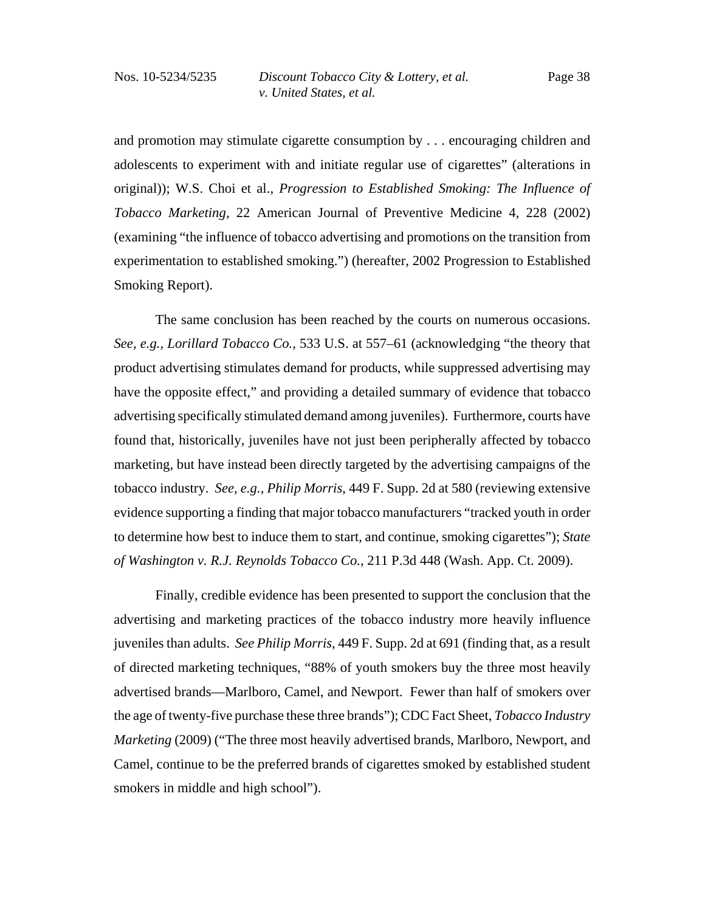and promotion may stimulate cigarette consumption by . . . encouraging children and adolescents to experiment with and initiate regular use of cigarettes" (alterations in original)); W.S. Choi et al., *Progression to Established Smoking: The Influence of Tobacco Marketing,* 22 American Journal of Preventive Medicine 4, 228 (2002) (examining "the influence of tobacco advertising and promotions on the transition from experimentation to established smoking.") (hereafter, 2002 Progression to Established Smoking Report).

The same conclusion has been reached by the courts on numerous occasions. *See, e.g., Lorillard Tobacco Co.*, 533 U.S. at 557–61 (acknowledging "the theory that product advertising stimulates demand for products, while suppressed advertising may have the opposite effect," and providing a detailed summary of evidence that tobacco advertising specifically stimulated demand among juveniles). Furthermore, courts have found that, historically, juveniles have not just been peripherally affected by tobacco marketing, but have instead been directly targeted by the advertising campaigns of the tobacco industry. *See, e.g., Philip Morris*, 449 F. Supp. 2d at 580 (reviewing extensive evidence supporting a finding that major tobacco manufacturers "tracked youth in order to determine how best to induce them to start, and continue, smoking cigarettes"); *State of Washington v. R.J. Reynolds Tobacco Co.*, 211 P.3d 448 (Wash. App. Ct. 2009).

Finally, credible evidence has been presented to support the conclusion that the advertising and marketing practices of the tobacco industry more heavily influence juveniles than adults. *See Philip Morris,* 449 F. Supp. 2d at 691 (finding that, as a result of directed marketing techniques, "88% of youth smokers buy the three most heavily advertised brands—Marlboro, Camel, and Newport. Fewer than half of smokers over the age of twenty-five purchase these three brands"); CDC Fact Sheet, *Tobacco Industry Marketing* (2009) ("The three most heavily advertised brands, Marlboro, Newport, and Camel, continue to be the preferred brands of cigarettes smoked by established student smokers in middle and high school").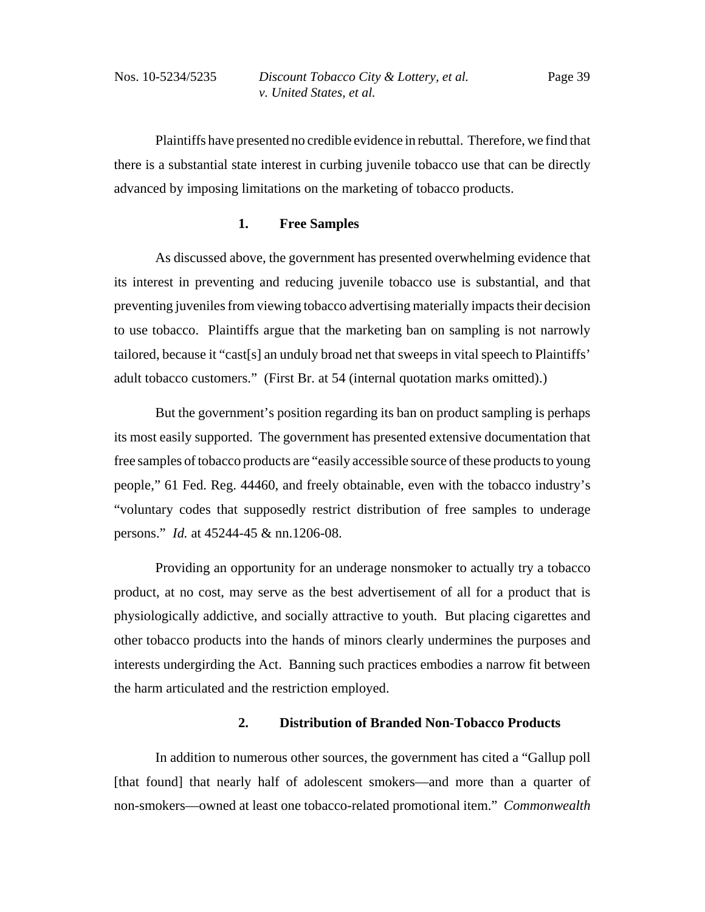Plaintiffs have presented no credible evidence in rebuttal. Therefore, we find that there is a substantial state interest in curbing juvenile tobacco use that can be directly advanced by imposing limitations on the marketing of tobacco products.

### **1. Free Samples**

As discussed above, the government has presented overwhelming evidence that its interest in preventing and reducing juvenile tobacco use is substantial, and that preventing juveniles from viewing tobacco advertising materially impacts their decision to use tobacco. Plaintiffs argue that the marketing ban on sampling is not narrowly tailored, because it "cast[s] an unduly broad net that sweeps in vital speech to Plaintiffs' adult tobacco customers." (First Br. at 54 (internal quotation marks omitted).)

But the government's position regarding its ban on product sampling is perhaps its most easily supported. The government has presented extensive documentation that free samples of tobacco products are "easily accessible source of these products to young people," 61 Fed. Reg. 44460, and freely obtainable, even with the tobacco industry's "voluntary codes that supposedly restrict distribution of free samples to underage persons." *Id.* at 45244-45 & nn.1206-08.

Providing an opportunity for an underage nonsmoker to actually try a tobacco product, at no cost, may serve as the best advertisement of all for a product that is physiologically addictive, and socially attractive to youth. But placing cigarettes and other tobacco products into the hands of minors clearly undermines the purposes and interests undergirding the Act. Banning such practices embodies a narrow fit between the harm articulated and the restriction employed.

## **2. Distribution of Branded Non-Tobacco Products**

In addition to numerous other sources, the government has cited a "Gallup poll [that found] that nearly half of adolescent smokers—and more than a quarter of non-smokers—owned at least one tobacco-related promotional item." *Commonwealth*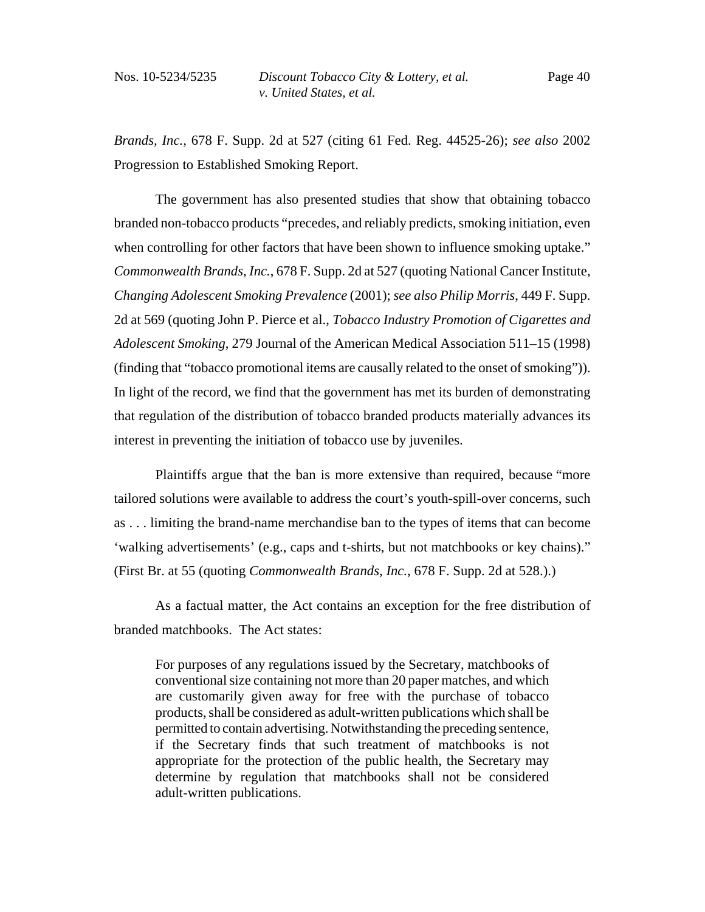*Brands, Inc.*, 678 F. Supp. 2d at 527 (citing 61 Fed. Reg. 44525-26); *see also* 2002 Progression to Established Smoking Report.

The government has also presented studies that show that obtaining tobacco branded non-tobacco products "precedes, and reliably predicts, smoking initiation, even when controlling for other factors that have been shown to influence smoking uptake." *Commonwealth Brands, Inc.*, 678 F. Supp. 2d at 527 (quoting National Cancer Institute, *Changing Adolescent Smoking Prevalence* (2001); *see also Philip Morris*, 449 F. Supp. 2d at 569 (quoting John P. Pierce et al., *Tobacco Industry Promotion of Cigarettes and Adolescent Smoking*, 279 Journal of the American Medical Association 511–15 (1998) (finding that "tobacco promotional items are causally related to the onset of smoking")). In light of the record, we find that the government has met its burden of demonstrating that regulation of the distribution of tobacco branded products materially advances its interest in preventing the initiation of tobacco use by juveniles.

 Plaintiffs argue that the ban is more extensive than required, because "more tailored solutions were available to address the court's youth-spill-over concerns, such as . . . limiting the brand-name merchandise ban to the types of items that can become 'walking advertisements' (e.g., caps and t-shirts, but not matchbooks or key chains)." (First Br. at 55 (quoting *Commonwealth Brands, Inc.*, 678 F. Supp. 2d at 528.).)

As a factual matter, the Act contains an exception for the free distribution of branded matchbooks. The Act states:

For purposes of any regulations issued by the Secretary, matchbooks of conventional size containing not more than 20 paper matches, and which are customarily given away for free with the purchase of tobacco products, shall be considered as adult-written publications which shall be permitted to contain advertising. Notwithstanding the preceding sentence, if the Secretary finds that such treatment of matchbooks is not appropriate for the protection of the public health, the Secretary may determine by regulation that matchbooks shall not be considered adult-written publications.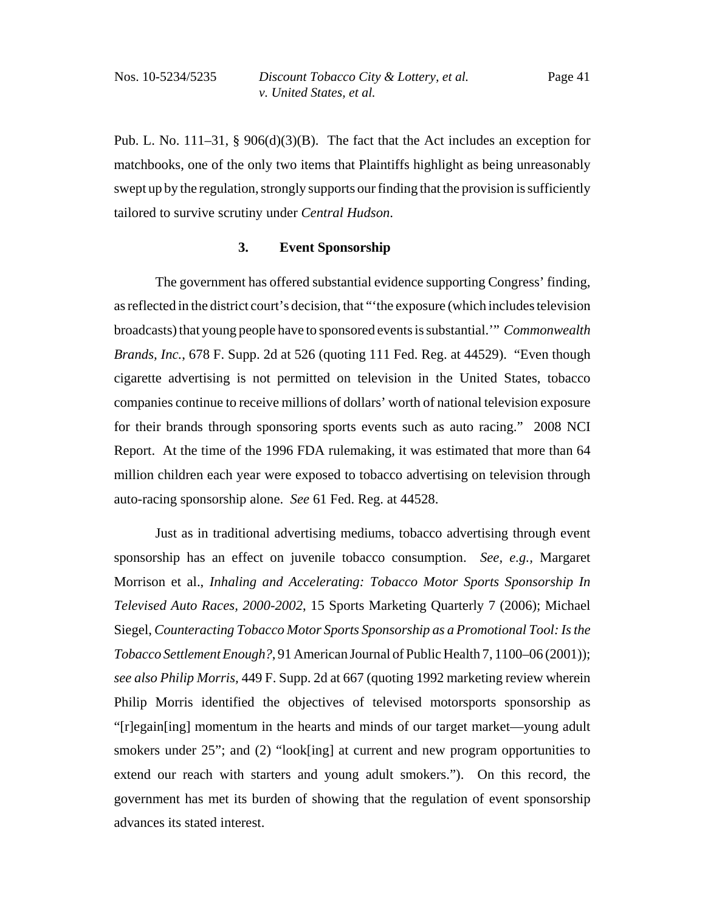Pub. L. No. 111–31, § 906(d)(3)(B). The fact that the Act includes an exception for matchbooks, one of the only two items that Plaintiffs highlight as being unreasonably swept up by the regulation, strongly supports our finding that the provision is sufficiently tailored to survive scrutiny under *Central Hudson*.

#### **3. Event Sponsorship**

The government has offered substantial evidence supporting Congress' finding, as reflected in the district court's decision, that "'the exposure (which includes television broadcasts) that young people have to sponsored events is substantial.'" *Commonwealth Brands, Inc.*, 678 F. Supp. 2d at 526 (quoting 111 Fed. Reg. at 44529). "Even though cigarette advertising is not permitted on television in the United States, tobacco companies continue to receive millions of dollars' worth of national television exposure for their brands through sponsoring sports events such as auto racing." 2008 NCI Report. At the time of the 1996 FDA rulemaking, it was estimated that more than 64 million children each year were exposed to tobacco advertising on television through auto-racing sponsorship alone. *See* 61 Fed. Reg. at 44528.

Just as in traditional advertising mediums, tobacco advertising through event sponsorship has an effect on juvenile tobacco consumption. *See, e.g.,* Margaret Morrison et al., *Inhaling and Accelerating: Tobacco Motor Sports Sponsorship In Televised Auto Races, 2000-2002*, 15 Sports Marketing Quarterly 7 (2006); Michael Siegel, *Counteracting Tobacco Motor Sports Sponsorship as a Promotional Tool: Is the Tobacco Settlement Enough?*, 91 American Journal of Public Health 7, 1100–06 (2001)); *see also Philip Morris,* 449 F. Supp. 2d at 667 (quoting 1992 marketing review wherein Philip Morris identified the objectives of televised motorsports sponsorship as "[r]egain[ing] momentum in the hearts and minds of our target market—young adult smokers under 25"; and (2) "look[ing] at current and new program opportunities to extend our reach with starters and young adult smokers."). On this record, the government has met its burden of showing that the regulation of event sponsorship advances its stated interest.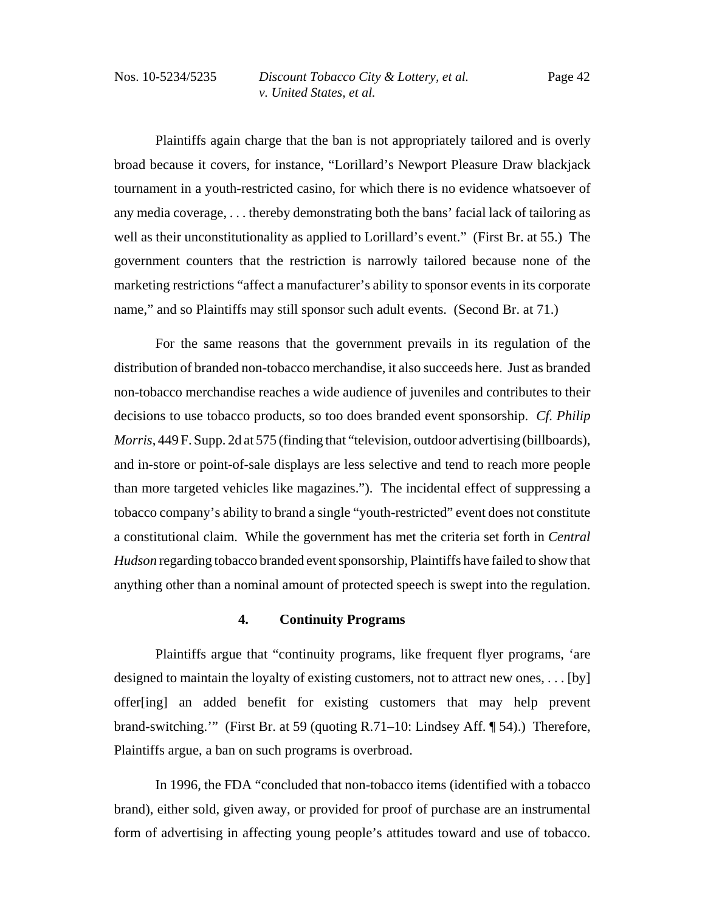Plaintiffs again charge that the ban is not appropriately tailored and is overly broad because it covers, for instance, "Lorillard's Newport Pleasure Draw blackjack tournament in a youth-restricted casino, for which there is no evidence whatsoever of any media coverage, . . . thereby demonstrating both the bans' facial lack of tailoring as well as their unconstitutionality as applied to Lorillard's event." (First Br. at 55.) The government counters that the restriction is narrowly tailored because none of the marketing restrictions "affect a manufacturer's ability to sponsor events in its corporate name," and so Plaintiffs may still sponsor such adult events. (Second Br. at 71.)

For the same reasons that the government prevails in its regulation of the distribution of branded non-tobacco merchandise, it also succeeds here. Just as branded non-tobacco merchandise reaches a wide audience of juveniles and contributes to their decisions to use tobacco products, so too does branded event sponsorship. *Cf. Philip Morris*, 449 F. Supp. 2d at 575 (finding that "television, outdoor advertising (billboards), and in-store or point-of-sale displays are less selective and tend to reach more people than more targeted vehicles like magazines."). The incidental effect of suppressing a tobacco company's ability to brand a single "youth-restricted" event does not constitute a constitutional claim. While the government has met the criteria set forth in *Central Hudson* regarding tobacco branded event sponsorship, Plaintiffs have failed to show that anything other than a nominal amount of protected speech is swept into the regulation.

### **4. Continuity Programs**

Plaintiffs argue that "continuity programs, like frequent flyer programs, 'are designed to maintain the loyalty of existing customers, not to attract new ones, . . . [by] offer[ing] an added benefit for existing customers that may help prevent brand-switching.'" (First Br. at 59 (quoting R.71–10: Lindsey Aff. ¶ 54).) Therefore, Plaintiffs argue, a ban on such programs is overbroad.

In 1996, the FDA "concluded that non-tobacco items (identified with a tobacco brand), either sold, given away, or provided for proof of purchase are an instrumental form of advertising in affecting young people's attitudes toward and use of tobacco.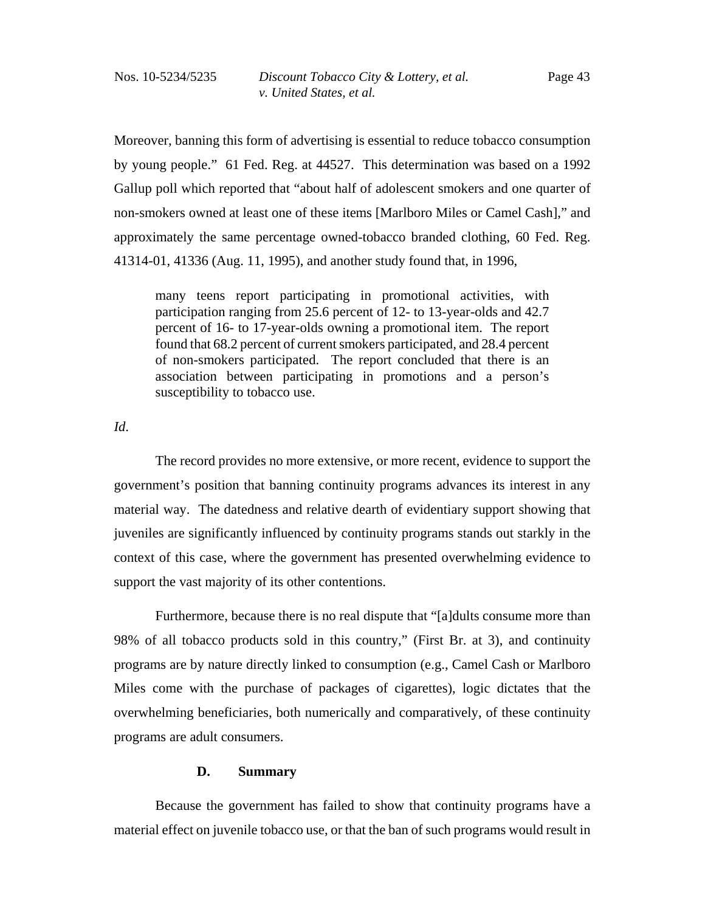Moreover, banning this form of advertising is essential to reduce tobacco consumption by young people." 61 Fed. Reg. at 44527. This determination was based on a 1992 Gallup poll which reported that "about half of adolescent smokers and one quarter of non-smokers owned at least one of these items [Marlboro Miles or Camel Cash]," and approximately the same percentage owned-tobacco branded clothing, 60 Fed. Reg. 41314-01, 41336 (Aug. 11, 1995), and another study found that, in 1996,

many teens report participating in promotional activities, with participation ranging from 25.6 percent of 12- to 13-year-olds and 42.7 percent of 16- to 17-year-olds owning a promotional item. The report found that 68.2 percent of current smokers participated, and 28.4 percent of non-smokers participated. The report concluded that there is an association between participating in promotions and a person's susceptibility to tobacco use.

*Id*.

The record provides no more extensive, or more recent, evidence to support the government's position that banning continuity programs advances its interest in any material way. The datedness and relative dearth of evidentiary support showing that juveniles are significantly influenced by continuity programs stands out starkly in the context of this case, where the government has presented overwhelming evidence to support the vast majority of its other contentions.

Furthermore, because there is no real dispute that "[a]dults consume more than 98% of all tobacco products sold in this country," (First Br. at 3), and continuity programs are by nature directly linked to consumption (e.g., Camel Cash or Marlboro Miles come with the purchase of packages of cigarettes), logic dictates that the overwhelming beneficiaries, both numerically and comparatively, of these continuity programs are adult consumers.

#### **D. Summary**

Because the government has failed to show that continuity programs have a material effect on juvenile tobacco use, or that the ban of such programs would result in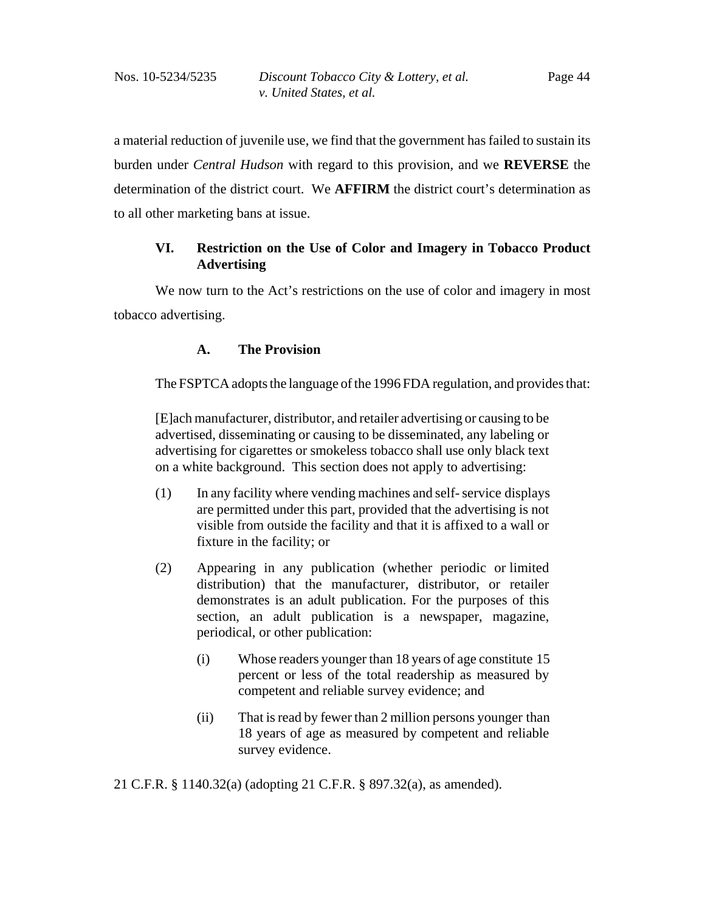a material reduction of juvenile use, we find that the government has failed to sustain its burden under *Central Hudson* with regard to this provision, and we **REVERSE** the determination of the district court. We **AFFIRM** the district court's determination as to all other marketing bans at issue.

# **VI. Restriction on the Use of Color and Imagery in Tobacco Product Advertising**

We now turn to the Act's restrictions on the use of color and imagery in most tobacco advertising.

# **A. The Provision**

The FSPTCA adopts the language of the 1996 FDA regulation, and provides that:

[E]ach manufacturer, distributor, and retailer advertising or causing to be advertised, disseminating or causing to be disseminated, any labeling or advertising for cigarettes or smokeless tobacco shall use only black text on a white background. This section does not apply to advertising:

- (1) In any facility where vending machines and self- service displays are permitted under this part, provided that the advertising is not visible from outside the facility and that it is affixed to a wall or fixture in the facility; or
- (2) Appearing in any publication (whether periodic or limited distribution) that the manufacturer, distributor, or retailer demonstrates is an adult publication. For the purposes of this section, an adult publication is a newspaper, magazine, periodical, or other publication:
	- (i) Whose readers younger than 18 years of age constitute 15 percent or less of the total readership as measured by competent and reliable survey evidence; and
	- (ii) That is read by fewer than 2 million persons younger than 18 years of age as measured by competent and reliable survey evidence.

21 C.F.R. § 1140.32(a) (adopting 21 C.F.R. § 897.32(a), as amended).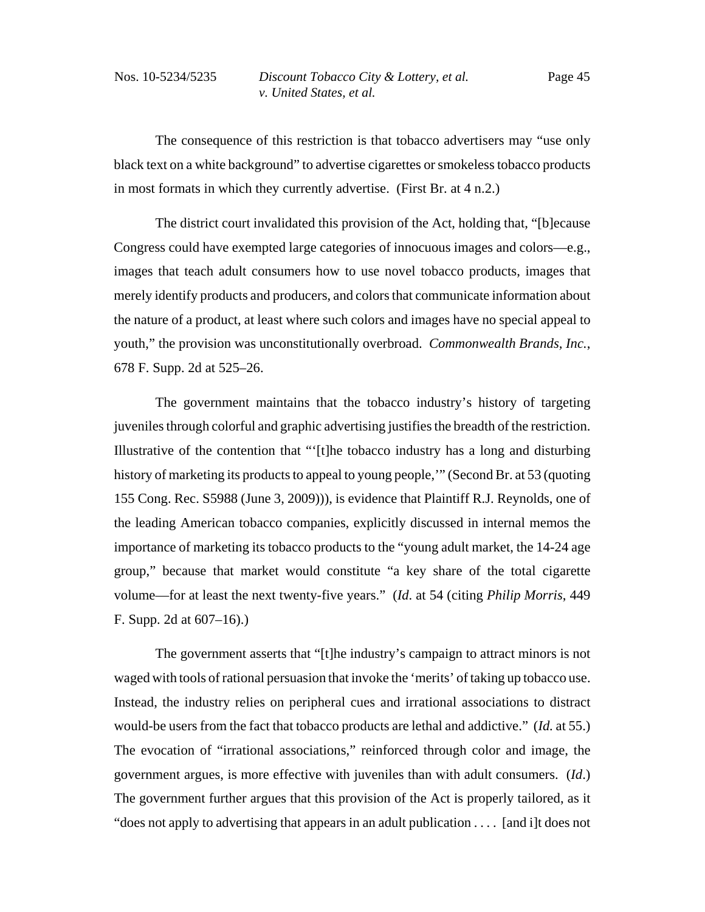The consequence of this restriction is that tobacco advertisers may "use only black text on a white background" to advertise cigarettes or smokeless tobacco products in most formats in which they currently advertise. (First Br. at 4 n.2.)

The district court invalidated this provision of the Act, holding that, "[b]ecause Congress could have exempted large categories of innocuous images and colors—e.g., images that teach adult consumers how to use novel tobacco products, images that merely identify products and producers, and colors that communicate information about the nature of a product, at least where such colors and images have no special appeal to youth," the provision was unconstitutionally overbroad. *Commonwealth Brands, Inc.*, 678 F. Supp. 2d at 525–26.

The government maintains that the tobacco industry's history of targeting juveniles through colorful and graphic advertising justifies the breadth of the restriction. Illustrative of the contention that "'[t]he tobacco industry has a long and disturbing history of marketing its products to appeal to young people,'" (Second Br. at 53 (quoting 155 Cong. Rec. S5988 (June 3, 2009))), is evidence that Plaintiff R.J. Reynolds, one of the leading American tobacco companies, explicitly discussed in internal memos the importance of marketing its tobacco products to the "young adult market, the 14-24 age group," because that market would constitute "a key share of the total cigarette volume—for at least the next twenty-five years." (*Id*. at 54 (citing *Philip Morris*, 449 F. Supp. 2d at 607–16).)

The government asserts that "[t]he industry's campaign to attract minors is not waged with tools of rational persuasion that invoke the 'merits' of taking up tobacco use. Instead, the industry relies on peripheral cues and irrational associations to distract would-be users from the fact that tobacco products are lethal and addictive." (*Id.* at 55.) The evocation of "irrational associations," reinforced through color and image, the government argues, is more effective with juveniles than with adult consumers. (*Id*.) The government further argues that this provision of the Act is properly tailored, as it "does not apply to advertising that appears in an adult publication . . . . [and i]t does not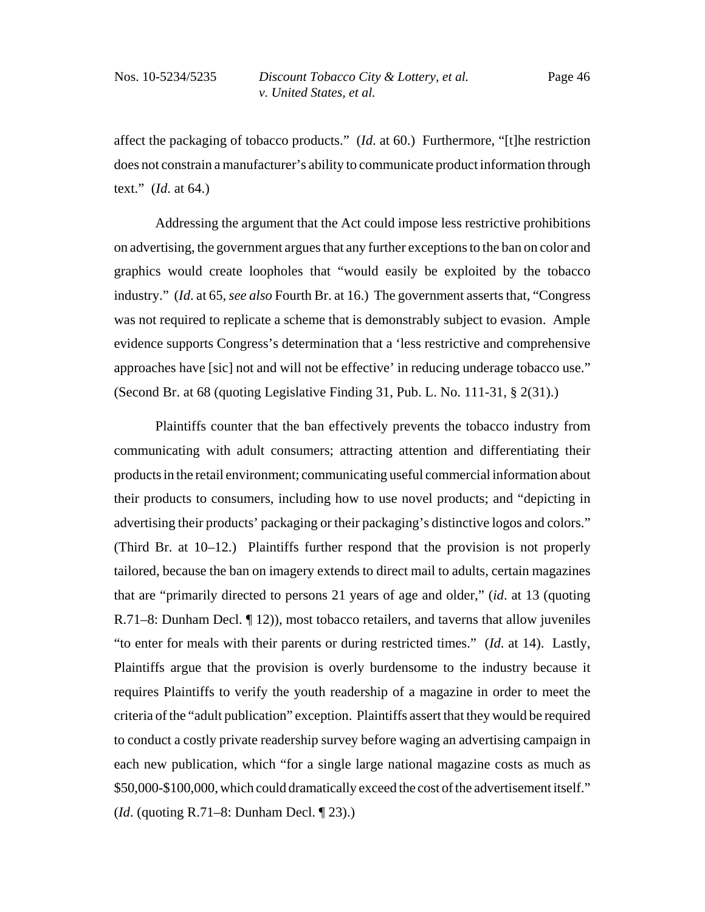affect the packaging of tobacco products." (*Id*. at 60.) Furthermore, "[t]he restriction does not constrain a manufacturer's ability to communicate product information through text." (*Id*. at 64.)

Addressing the argument that the Act could impose less restrictive prohibitions on advertising, the government argues that any further exceptions to the ban on color and graphics would create loopholes that "would easily be exploited by the tobacco industry." (*Id*. at 65, *see also* Fourth Br. at 16.) The government asserts that, "Congress was not required to replicate a scheme that is demonstrably subject to evasion. Ample evidence supports Congress's determination that a 'less restrictive and comprehensive approaches have [sic] not and will not be effective' in reducing underage tobacco use." (Second Br. at 68 (quoting Legislative Finding 31, Pub. L. No. 111-31, § 2(31).)

Plaintiffs counter that the ban effectively prevents the tobacco industry from communicating with adult consumers; attracting attention and differentiating their products in the retail environment; communicating useful commercial information about their products to consumers, including how to use novel products; and "depicting in advertising their products' packaging or their packaging's distinctive logos and colors." (Third Br. at 10–12.) Plaintiffs further respond that the provision is not properly tailored, because the ban on imagery extends to direct mail to adults, certain magazines that are "primarily directed to persons 21 years of age and older," (*id*. at 13 (quoting R.71–8: Dunham Decl. ¶ 12)), most tobacco retailers, and taverns that allow juveniles "to enter for meals with their parents or during restricted times." (*Id*. at 14). Lastly, Plaintiffs argue that the provision is overly burdensome to the industry because it requires Plaintiffs to verify the youth readership of a magazine in order to meet the criteria of the "adult publication" exception. Plaintiffs assert that they would be required to conduct a costly private readership survey before waging an advertising campaign in each new publication, which "for a single large national magazine costs as much as \$50,000-\$100,000, which could dramatically exceed the cost of the advertisement itself." (*Id*. (quoting R.71–8: Dunham Decl. ¶ 23).)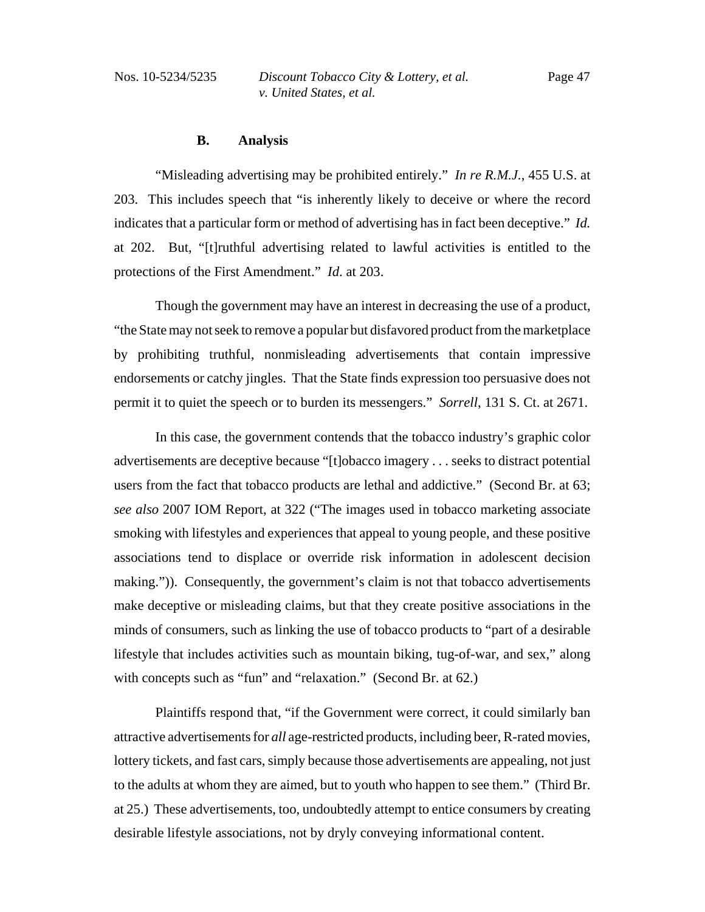#### **B. Analysis**

"Misleading advertising may be prohibited entirely." *In re R.M.J.*, 455 U.S. at 203. This includes speech that "is inherently likely to deceive or where the record indicates that a particular form or method of advertising has in fact been deceptive." *Id.* at 202. But, "[t]ruthful advertising related to lawful activities is entitled to the protections of the First Amendment." *Id*. at 203.

Though the government may have an interest in decreasing the use of a product, "the State may not seek to remove a popular but disfavored product from the marketplace by prohibiting truthful, nonmisleading advertisements that contain impressive endorsements or catchy jingles. That the State finds expression too persuasive does not permit it to quiet the speech or to burden its messengers." *Sorrell*, 131 S. Ct. at 2671.

In this case, the government contends that the tobacco industry's graphic color advertisements are deceptive because "[t]obacco imagery . . . seeks to distract potential users from the fact that tobacco products are lethal and addictive." (Second Br. at 63; *see also* 2007 IOM Report, at 322 ("The images used in tobacco marketing associate smoking with lifestyles and experiences that appeal to young people, and these positive associations tend to displace or override risk information in adolescent decision making.")). Consequently, the government's claim is not that tobacco advertisements make deceptive or misleading claims, but that they create positive associations in the minds of consumers, such as linking the use of tobacco products to "part of a desirable lifestyle that includes activities such as mountain biking, tug-of-war, and sex," along with concepts such as "fun" and "relaxation." (Second Br. at 62.)

Plaintiffs respond that, "if the Government were correct, it could similarly ban attractive advertisements for *all* age-restricted products, including beer, R-rated movies, lottery tickets, and fast cars, simply because those advertisements are appealing, not just to the adults at whom they are aimed, but to youth who happen to see them." (Third Br. at 25.) These advertisements, too, undoubtedly attempt to entice consumers by creating desirable lifestyle associations, not by dryly conveying informational content.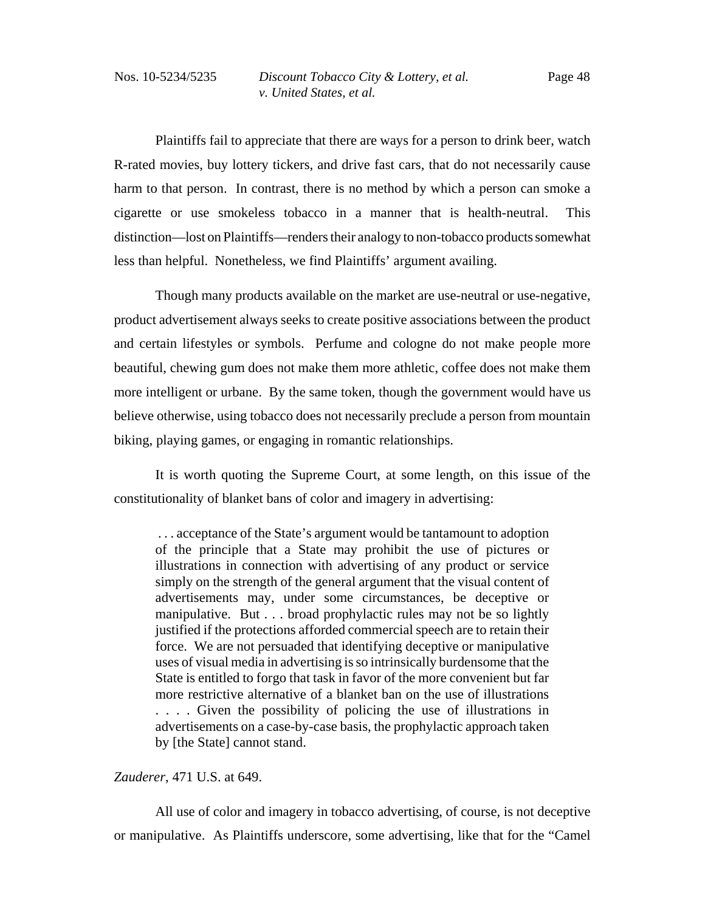Plaintiffs fail to appreciate that there are ways for a person to drink beer, watch R-rated movies, buy lottery tickers, and drive fast cars, that do not necessarily cause harm to that person. In contrast, there is no method by which a person can smoke a cigarette or use smokeless tobacco in a manner that is health-neutral. This distinction—lost on Plaintiffs—renders their analogy to non-tobacco products somewhat less than helpful. Nonetheless, we find Plaintiffs' argument availing.

Though many products available on the market are use-neutral or use-negative, product advertisement always seeks to create positive associations between the product and certain lifestyles or symbols. Perfume and cologne do not make people more beautiful, chewing gum does not make them more athletic, coffee does not make them more intelligent or urbane. By the same token, though the government would have us believe otherwise, using tobacco does not necessarily preclude a person from mountain biking, playing games, or engaging in romantic relationships.

It is worth quoting the Supreme Court, at some length, on this issue of the constitutionality of blanket bans of color and imagery in advertising:

 . . . acceptance of the State's argument would be tantamount to adoption of the principle that a State may prohibit the use of pictures or illustrations in connection with advertising of any product or service simply on the strength of the general argument that the visual content of advertisements may, under some circumstances, be deceptive or manipulative. But . . . broad prophylactic rules may not be so lightly justified if the protections afforded commercial speech are to retain their force. We are not persuaded that identifying deceptive or manipulative uses of visual media in advertising is so intrinsically burdensome that the State is entitled to forgo that task in favor of the more convenient but far more restrictive alternative of a blanket ban on the use of illustrations . . . . Given the possibility of policing the use of illustrations in advertisements on a case-by-case basis, the prophylactic approach taken by [the State] cannot stand.

#### *Zauderer*, 471 U.S. at 649.

All use of color and imagery in tobacco advertising, of course, is not deceptive or manipulative. As Plaintiffs underscore, some advertising, like that for the "Camel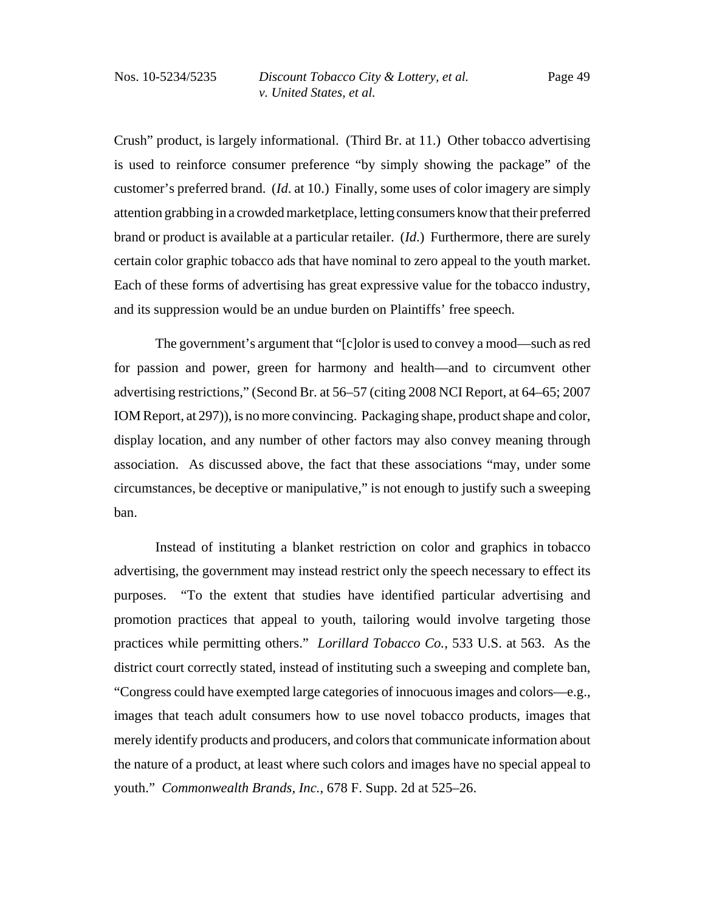Crush" product, is largely informational. (Third Br. at 11.) Other tobacco advertising is used to reinforce consumer preference "by simply showing the package" of the customer's preferred brand. (*Id*. at 10.) Finally, some uses of color imagery are simply attention grabbing in a crowded marketplace, letting consumers know that their preferred brand or product is available at a particular retailer. (*Id*.) Furthermore, there are surely certain color graphic tobacco ads that have nominal to zero appeal to the youth market. Each of these forms of advertising has great expressive value for the tobacco industry, and its suppression would be an undue burden on Plaintiffs' free speech.

The government's argument that "[c]olor is used to convey a mood—such as red for passion and power, green for harmony and health—and to circumvent other advertising restrictions," (Second Br. at 56–57 (citing 2008 NCI Report, at 64–65; 2007 IOM Report, at 297)), is no more convincing. Packaging shape, product shape and color, display location, and any number of other factors may also convey meaning through association. As discussed above, the fact that these associations "may, under some circumstances, be deceptive or manipulative," is not enough to justify such a sweeping ban.

 Instead of instituting a blanket restriction on color and graphics in tobacco advertising, the government may instead restrict only the speech necessary to effect its purposes. "To the extent that studies have identified particular advertising and promotion practices that appeal to youth, tailoring would involve targeting those practices while permitting others." *Lorillard Tobacco Co.*, 533 U.S. at 563. As the district court correctly stated, instead of instituting such a sweeping and complete ban, "Congress could have exempted large categories of innocuous images and colors—e.g., images that teach adult consumers how to use novel tobacco products, images that merely identify products and producers, and colors that communicate information about the nature of a product, at least where such colors and images have no special appeal to youth." *Commonwealth Brands, Inc.*, 678 F. Supp. 2d at 525–26.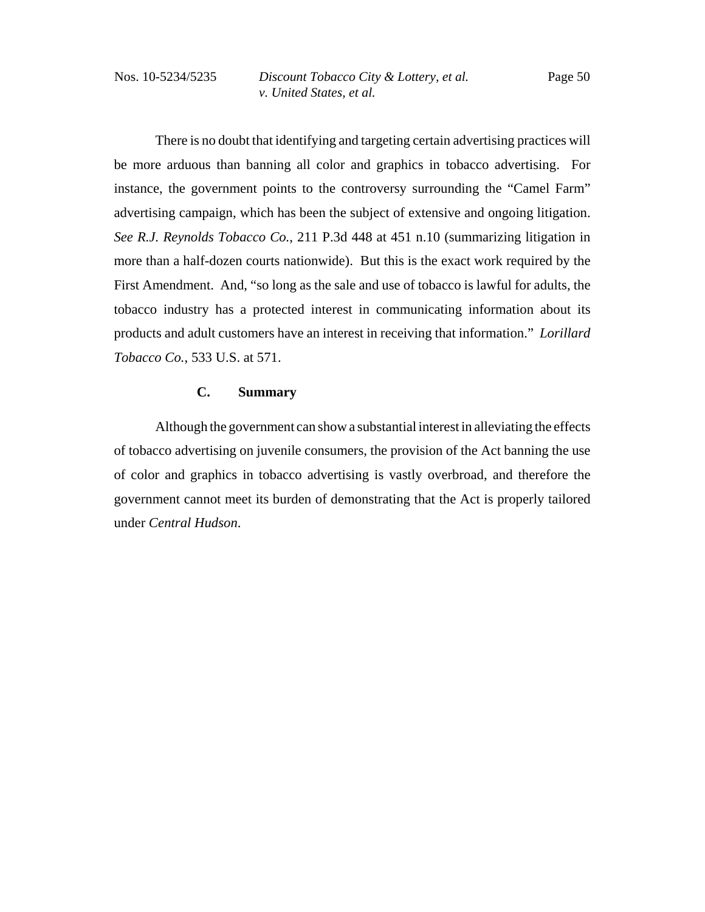There is no doubt that identifying and targeting certain advertising practices will be more arduous than banning all color and graphics in tobacco advertising. For instance, the government points to the controversy surrounding the "Camel Farm" advertising campaign, which has been the subject of extensive and ongoing litigation. *See R.J. Reynolds Tobacco Co.*, 211 P.3d 448 at 451 n.10 (summarizing litigation in more than a half-dozen courts nationwide). But this is the exact work required by the First Amendment. And, "so long as the sale and use of tobacco is lawful for adults, the tobacco industry has a protected interest in communicating information about its products and adult customers have an interest in receiving that information." *Lorillard Tobacco Co.*, 533 U.S. at 571.

#### **C. Summary**

Although the government can show a substantial interest in alleviating the effects of tobacco advertising on juvenile consumers, the provision of the Act banning the use of color and graphics in tobacco advertising is vastly overbroad, and therefore the government cannot meet its burden of demonstrating that the Act is properly tailored under *Central Hudson*.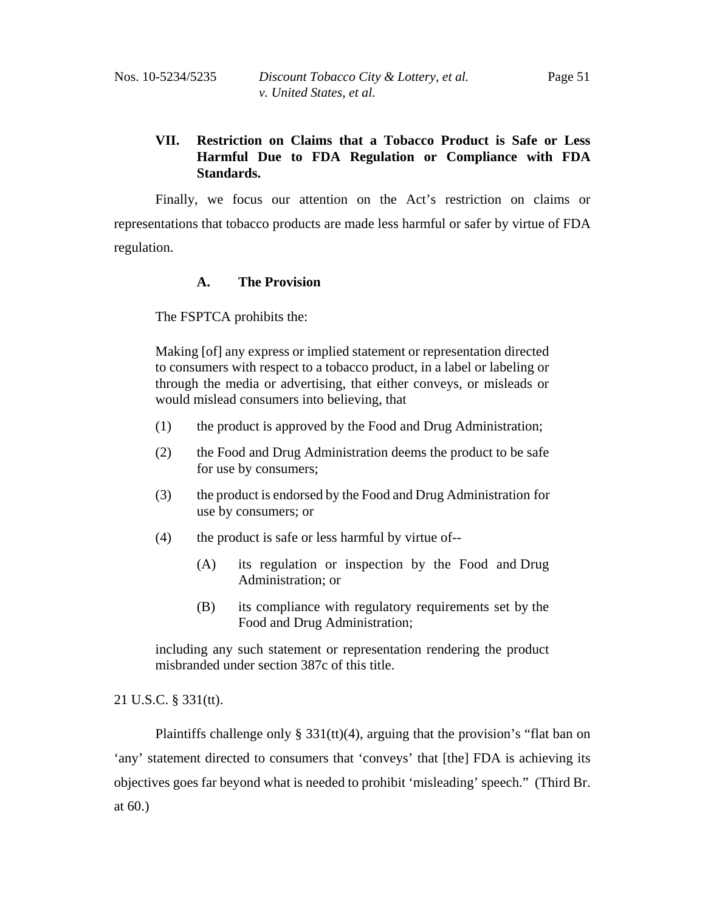# **VII. Restriction on Claims that a Tobacco Product is Safe or Less Harmful Due to FDA Regulation or Compliance with FDA Standards.**

Finally, we focus our attention on the Act's restriction on claims or representations that tobacco products are made less harmful or safer by virtue of FDA regulation.

# **A. The Provision**

The FSPTCA prohibits the:

Making [of] any express or implied statement or representation directed to consumers with respect to a tobacco product, in a label or labeling or through the media or advertising, that either conveys, or misleads or would mislead consumers into believing, that

- (1) the product is approved by the Food and Drug Administration;
- (2) the Food and Drug Administration deems the product to be safe for use by consumers;
- (3) the product is endorsed by the Food and Drug Administration for use by consumers; or
- (4) the product is safe or less harmful by virtue of--
	- (A) its regulation or inspection by the Food and Drug Administration; or
	- (B) its compliance with regulatory requirements set by the Food and Drug Administration;

including any such statement or representation rendering the product misbranded under section 387c of this title.

# 21 U.S.C. § 331(tt).

Plaintiffs challenge only  $\S 331$ (tt)(4), arguing that the provision's "flat ban on 'any' statement directed to consumers that 'conveys' that [the] FDA is achieving its objectives goes far beyond what is needed to prohibit 'misleading' speech." (Third Br. at 60.)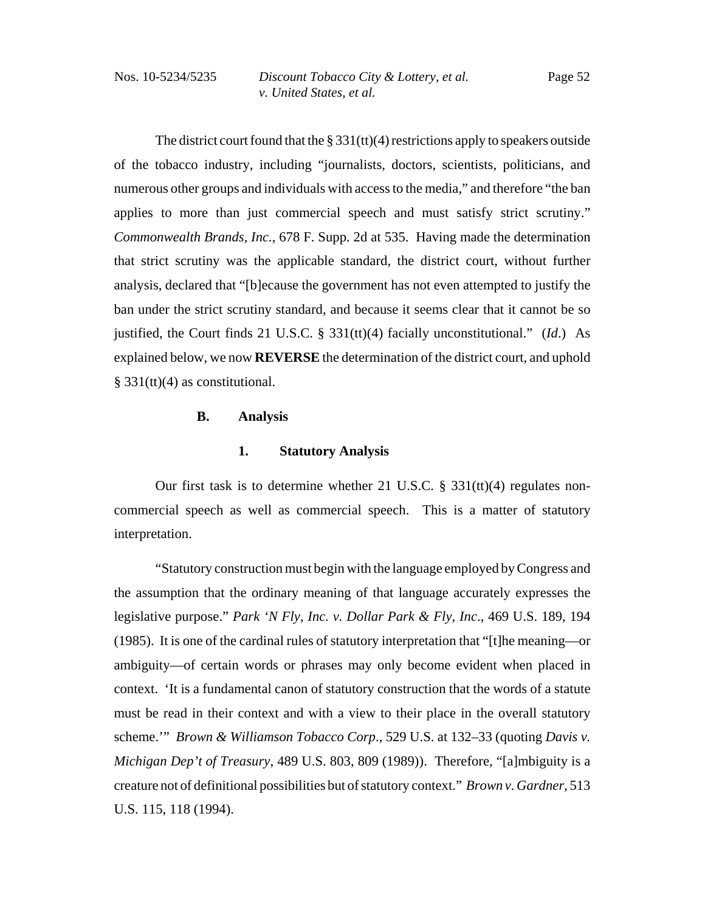The district court found that the  $\S 331(t)(4)$  restrictions apply to speakers outside of the tobacco industry, including "journalists, doctors, scientists, politicians, and numerous other groups and individuals with access to the media," and therefore "the ban applies to more than just commercial speech and must satisfy strict scrutiny." *Commonwealth Brands, Inc.*, 678 F. Supp. 2d at 535. Having made the determination that strict scrutiny was the applicable standard, the district court, without further analysis, declared that "[b]ecause the government has not even attempted to justify the ban under the strict scrutiny standard, and because it seems clear that it cannot be so justified, the Court finds 21 U.S.C. § 331(tt)(4) facially unconstitutional." (*Id*.) As explained below, we now **REVERSE** the determination of the district court, and uphold § 331(tt)(4) as constitutional.

# **B. Analysis**

#### **1. Statutory Analysis**

Our first task is to determine whether 21 U.S.C. § 331(tt)(4) regulates noncommercial speech as well as commercial speech. This is a matter of statutory interpretation.

"Statutory construction must begin with the language employed by Congress and the assumption that the ordinary meaning of that language accurately expresses the legislative purpose." *Park 'N Fly, Inc. v. Dollar Park & Fly, Inc*., 469 U.S. 189, 194 (1985). It is one of the cardinal rules of statutory interpretation that "[t]he meaning—or ambiguity—of certain words or phrases may only become evident when placed in context. 'It is a fundamental canon of statutory construction that the words of a statute must be read in their context and with a view to their place in the overall statutory scheme.'" *Brown & Williamson Tobacco Corp*., 529 U.S. at 132–33 (quoting *Davis v. Michigan Dep't of Treasury*, 489 U.S. 803, 809 (1989)). Therefore, "[a]mbiguity is a creature not of definitional possibilities but of statutory context." *Brown v. Gardner*, 513 U.S. 115, 118 (1994).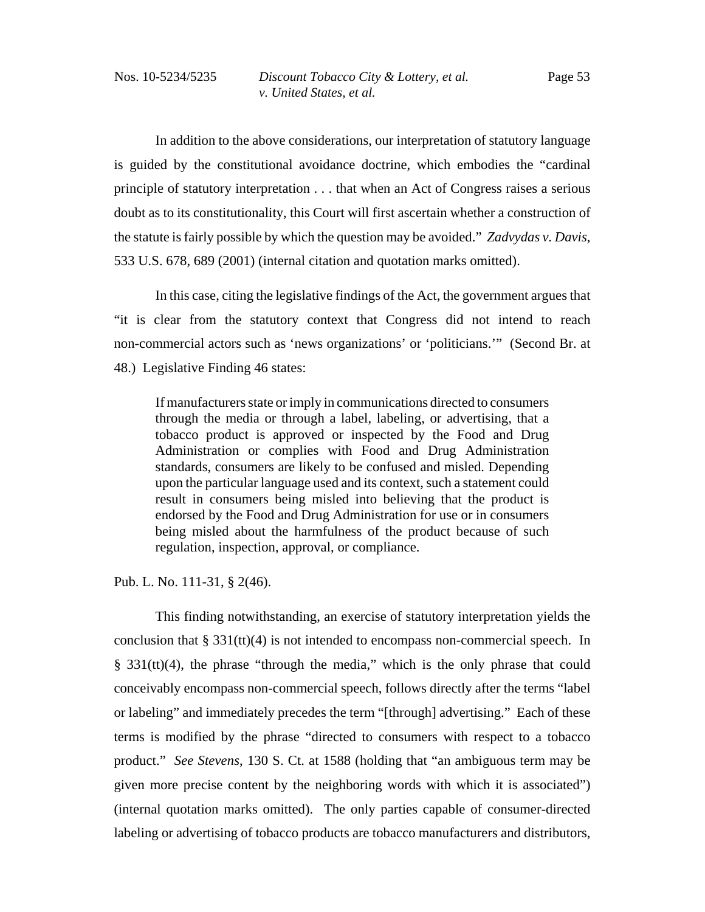In addition to the above considerations, our interpretation of statutory language is guided by the constitutional avoidance doctrine, which embodies the "cardinal principle of statutory interpretation . . . that when an Act of Congress raises a serious doubt as to its constitutionality, this Court will first ascertain whether a construction of the statute is fairly possible by which the question may be avoided." *Zadvydas v. Davis*, 533 U.S. 678, 689 (2001) (internal citation and quotation marks omitted).

In this case, citing the legislative findings of the Act, the government argues that "it is clear from the statutory context that Congress did not intend to reach non-commercial actors such as 'news organizations' or 'politicians.'" (Second Br. at 48.) Legislative Finding 46 states:

If manufacturers state or imply in communications directed to consumers through the media or through a label, labeling, or advertising, that a tobacco product is approved or inspected by the Food and Drug Administration or complies with Food and Drug Administration standards, consumers are likely to be confused and misled. Depending upon the particular language used and its context, such a statement could result in consumers being misled into believing that the product is endorsed by the Food and Drug Administration for use or in consumers being misled about the harmfulness of the product because of such regulation, inspection, approval, or compliance.

Pub. L. No. 111-31, § 2(46).

This finding notwithstanding, an exercise of statutory interpretation yields the conclusion that § 331(tt)(4) is not intended to encompass non-commercial speech. In § 331(tt)(4), the phrase "through the media," which is the only phrase that could conceivably encompass non-commercial speech, follows directly after the terms "label or labeling" and immediately precedes the term "[through] advertising." Each of these terms is modified by the phrase "directed to consumers with respect to a tobacco product." *See Stevens*, 130 S. Ct. at 1588 (holding that "an ambiguous term may be given more precise content by the neighboring words with which it is associated") (internal quotation marks omitted). The only parties capable of consumer-directed labeling or advertising of tobacco products are tobacco manufacturers and distributors,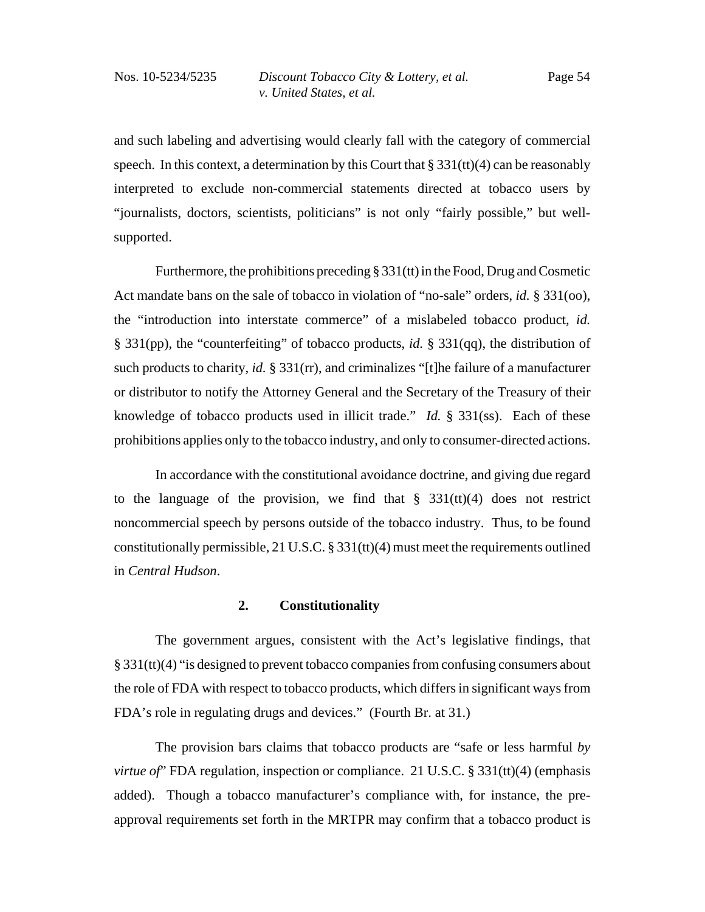and such labeling and advertising would clearly fall with the category of commercial speech. In this context, a determination by this Court that  $\S 331(t)(4)$  can be reasonably interpreted to exclude non-commercial statements directed at tobacco users by "journalists, doctors, scientists, politicians" is not only "fairly possible," but wellsupported.

Furthermore, the prohibitions preceding § 331(tt) in the Food, Drug and Cosmetic Act mandate bans on the sale of tobacco in violation of "no-sale" orders, *id.* § 331(oo), the "introduction into interstate commerce" of a mislabeled tobacco product, *id.* § 331(pp), the "counterfeiting" of tobacco products, *id.* § 331(qq), the distribution of such products to charity, *id.* § 331(rr), and criminalizes "[t]he failure of a manufacturer or distributor to notify the Attorney General and the Secretary of the Treasury of their knowledge of tobacco products used in illicit trade." *Id.* § 331(ss). Each of these prohibitions applies only to the tobacco industry, and only to consumer-directed actions.

In accordance with the constitutional avoidance doctrine, and giving due regard to the language of the provision, we find that  $\S$  331(tt)(4) does not restrict noncommercial speech by persons outside of the tobacco industry. Thus, to be found constitutionally permissible, 21 U.S.C.  $\S 331(t)(4)$  must meet the requirements outlined in *Central Hudson*.

#### **2. Constitutionality**

The government argues, consistent with the Act's legislative findings, that § 331(tt)(4) "is designed to prevent tobacco companies from confusing consumers about the role of FDA with respect to tobacco products, which differs in significant ways from FDA's role in regulating drugs and devices." (Fourth Br. at 31.)

The provision bars claims that tobacco products are "safe or less harmful *by virtue of* FDA regulation, inspection or compliance. 21 U.S.C. § 331(tt)(4) (emphasis added). Though a tobacco manufacturer's compliance with, for instance, the preapproval requirements set forth in the MRTPR may confirm that a tobacco product is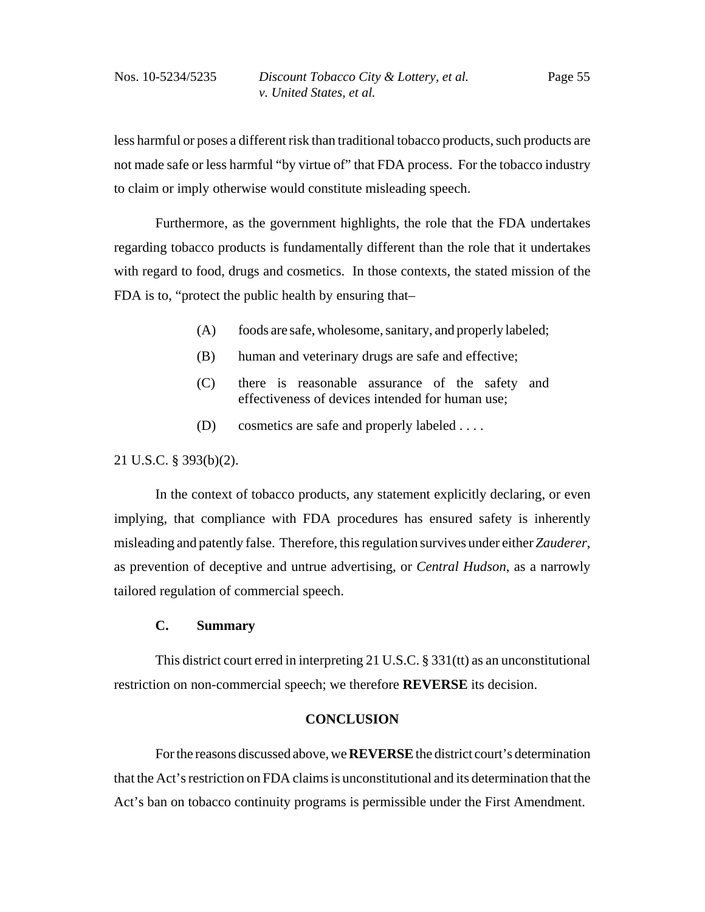less harmful or poses a different risk than traditional tobacco products, such products are not made safe or less harmful "by virtue of" that FDA process. For the tobacco industry to claim or imply otherwise would constitute misleading speech.

Furthermore, as the government highlights, the role that the FDA undertakes regarding tobacco products is fundamentally different than the role that it undertakes with regard to food, drugs and cosmetics. In those contexts, the stated mission of the FDA is to, "protect the public health by ensuring that–

- (A) foods are safe, wholesome, sanitary, and properly labeled;
- (B) human and veterinary drugs are safe and effective;
- (C) there is reasonable assurance of the safety and effectiveness of devices intended for human use;
- (D) cosmetics are safe and properly labeled . . . .

#### 21 U.S.C. § 393(b)(2).

In the context of tobacco products, any statement explicitly declaring, or even implying, that compliance with FDA procedures has ensured safety is inherently misleading and patently false. Therefore, this regulation survives under either *Zauderer*, as prevention of deceptive and untrue advertising, or *Central Hudson*, as a narrowly tailored regulation of commercial speech.

## **C. Summary**

This district court erred in interpreting 21 U.S.C. § 331(tt) as an unconstitutional restriction on non-commercial speech; we therefore **REVERSE** its decision.

### **CONCLUSION**

For the reasons discussed above, we **REVERSE** the district court's determination that the Act's restriction on FDA claims is unconstitutional and its determination that the Act's ban on tobacco continuity programs is permissible under the First Amendment.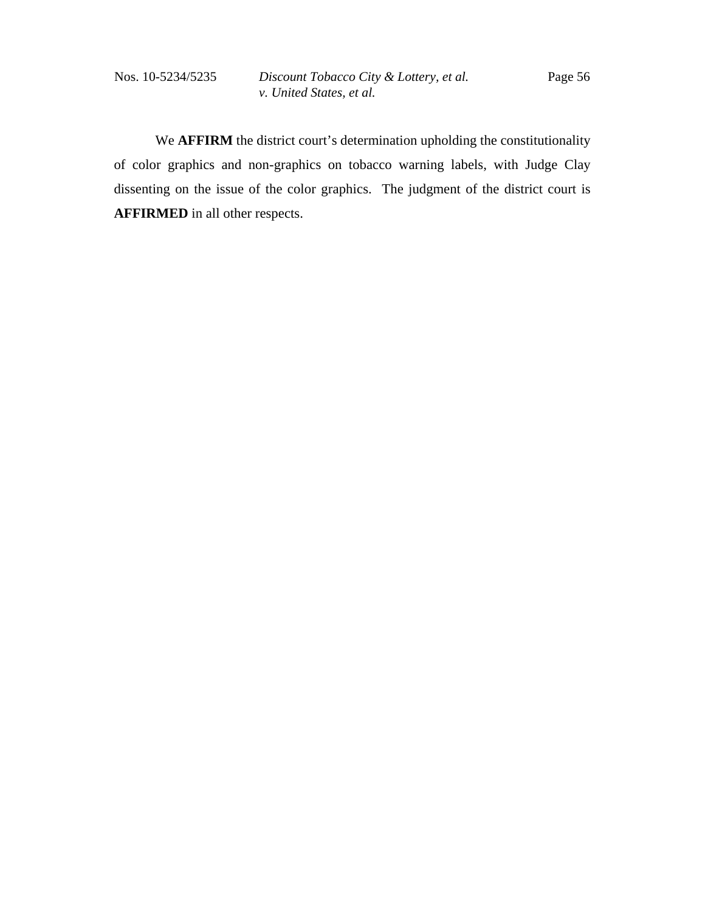We **AFFIRM** the district court's determination upholding the constitutionality of color graphics and non-graphics on tobacco warning labels, with Judge Clay dissenting on the issue of the color graphics. The judgment of the district court is **AFFIRMED** in all other respects.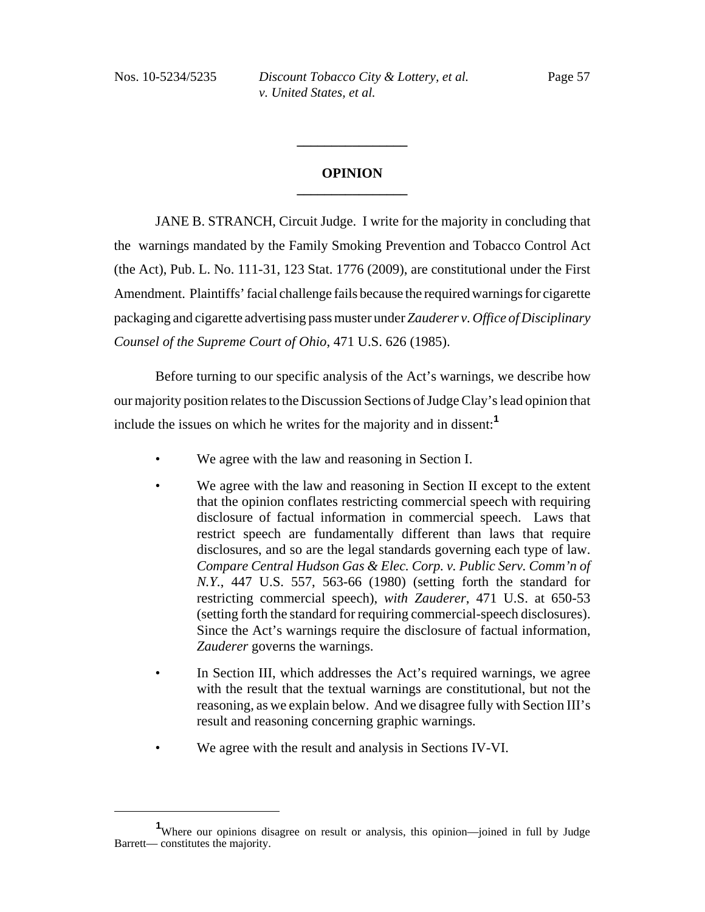# **OPINION \_\_\_\_\_\_\_\_\_\_\_\_\_\_\_\_**

**\_\_\_\_\_\_\_\_\_\_\_\_\_\_\_\_**

JANE B. STRANCH, Circuit Judge. I write for the majority in concluding that the warnings mandated by the Family Smoking Prevention and Tobacco Control Act (the Act), Pub. L. No. 111-31, 123 Stat. 1776 (2009), are constitutional under the First Amendment. Plaintiffs' facial challenge fails because the required warnings for cigarette packaging and cigarette advertising pass muster under *Zauderer v. Office of Disciplinary Counsel of the Supreme Court of Ohio*, 471 U.S. 626 (1985).

Before turning to our specific analysis of the Act's warnings, we describe how our majority position relates to the Discussion Sections of Judge Clay's lead opinion that include the issues on which he writes for the majority and in dissent:**<sup>1</sup>**

- We agree with the law and reasoning in Section I.
- We agree with the law and reasoning in Section II except to the extent that the opinion conflates restricting commercial speech with requiring disclosure of factual information in commercial speech. Laws that restrict speech are fundamentally different than laws that require disclosures, and so are the legal standards governing each type of law. *Compare Central Hudson Gas & Elec. Corp. v. Public Serv. Comm'n of N.Y.*, 447 U.S. 557, 563-66 (1980) (setting forth the standard for restricting commercial speech), *with Zauderer*, 471 U.S. at 650-53 (setting forth the standard for requiring commercial-speech disclosures). Since the Act's warnings require the disclosure of factual information, *Zauderer* governs the warnings.
- In Section III, which addresses the Act's required warnings, we agree with the result that the textual warnings are constitutional, but not the reasoning, as we explain below. And we disagree fully with Section III's result and reasoning concerning graphic warnings.
- We agree with the result and analysis in Sections IV-VI.

<sup>&</sup>lt;sup>1</sup>Where our opinions disagree on result or analysis, this opinion—joined in full by Judge Barrett— constitutes the majority.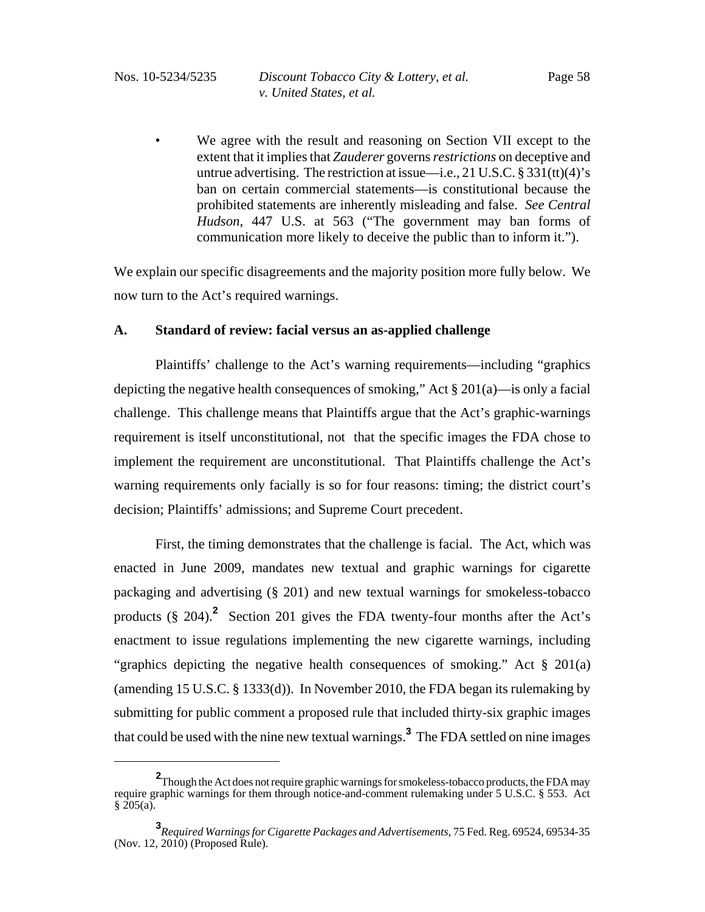• We agree with the result and reasoning on Section VII except to the extent that it implies that *Zauderer* governs *restrictions* on deceptive and untrue advertising. The restriction at issue—i.e.,  $21 \text{ U.S.C.} \$   $331 \text{(tt)}$  $(4)$ 's ban on certain commercial statements—is constitutional because the prohibited statements are inherently misleading and false. *See Central Hudson*, 447 U.S. at 563 ("The government may ban forms of communication more likely to deceive the public than to inform it.").

We explain our specific disagreements and the majority position more fully below. We now turn to the Act's required warnings.

# **A. Standard of review: facial versus an as-applied challenge**

Plaintiffs' challenge to the Act's warning requirements—including "graphics depicting the negative health consequences of smoking," Act § 201(a)—is only a facial challenge. This challenge means that Plaintiffs argue that the Act's graphic-warnings requirement is itself unconstitutional, not that the specific images the FDA chose to implement the requirement are unconstitutional. That Plaintiffs challenge the Act's warning requirements only facially is so for four reasons: timing; the district court's decision; Plaintiffs' admissions; and Supreme Court precedent.

First, the timing demonstrates that the challenge is facial. The Act, which was enacted in June 2009, mandates new textual and graphic warnings for cigarette packaging and advertising (§ 201) and new textual warnings for smokeless-tobacco products (§ 204).**<sup>2</sup>** Section 201 gives the FDA twenty-four months after the Act's enactment to issue regulations implementing the new cigarette warnings, including "graphics depicting the negative health consequences of smoking." Act § 201(a) (amending 15 U.S.C. § 1333(d)). In November 2010, the FDA began its rulemaking by submitting for public comment a proposed rule that included thirty-six graphic images that could be used with the nine new textual warnings.**<sup>3</sup>** The FDA settled on nine images

**<sup>2</sup>** Though the Act does not require graphic warnings for smokeless-tobacco products, the FDA may require graphic warnings for them through notice-and-comment rulemaking under 5 U.S.C. § 553. Act  $§ 205(a).$ 

**<sup>3</sup>** *Required Warnings for Cigarette Packages and Advertisements*, 75 Fed. Reg. 69524, 69534-35 (Nov. 12, 2010) (Proposed Rule).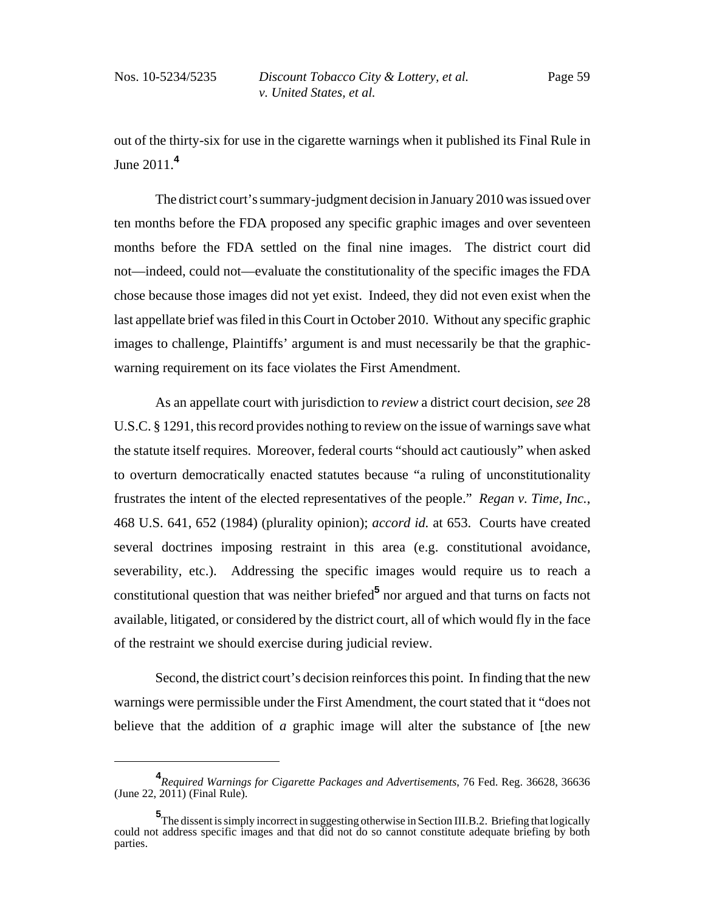out of the thirty-six for use in the cigarette warnings when it published its Final Rule in June 2011.**<sup>4</sup>**

The district court's summary-judgment decision in January 2010 was issued over ten months before the FDA proposed any specific graphic images and over seventeen months before the FDA settled on the final nine images. The district court did not—indeed, could not—evaluate the constitutionality of the specific images the FDA chose because those images did not yet exist. Indeed, they did not even exist when the last appellate brief was filed in this Court in October 2010. Without any specific graphic images to challenge, Plaintiffs' argument is and must necessarily be that the graphicwarning requirement on its face violates the First Amendment.

As an appellate court with jurisdiction to *review* a district court decision, *see* 28 U.S.C. § 1291, this record provides nothing to review on the issue of warnings save what the statute itself requires. Moreover, federal courts "should act cautiously" when asked to overturn democratically enacted statutes because "a ruling of unconstitutionality frustrates the intent of the elected representatives of the people." *Regan v. Time, Inc.*, 468 U.S. 641, 652 (1984) (plurality opinion); *accord id.* at 653. Courts have created several doctrines imposing restraint in this area (e.g. constitutional avoidance, severability, etc.). Addressing the specific images would require us to reach a constitutional question that was neither briefed**<sup>5</sup>** nor argued and that turns on facts not available, litigated, or considered by the district court, all of which would fly in the face of the restraint we should exercise during judicial review.

Second, the district court's decision reinforces this point. In finding that the new warnings were permissible under the First Amendment, the court stated that it "does not believe that the addition of *a* graphic image will alter the substance of [the new

**<sup>4</sup>** *Required Warnings for Cigarette Packages and Advertisements*, 76 Fed. Reg. 36628, 36636 (June 22, 2011) (Final Rule).

**<sup>5</sup>** The dissent is simply incorrect in suggesting otherwise in Section III.B.2. Briefing that logically could not address specific images and that did not do so cannot constitute adequate briefing by both parties.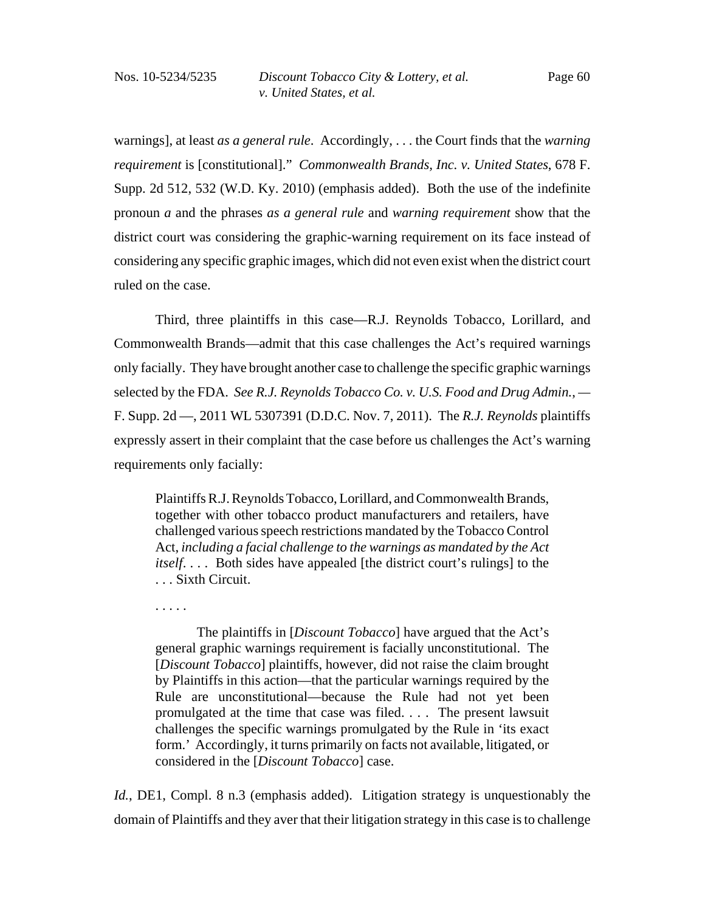warnings], at least *as a general rule*. Accordingly, . . . the Court finds that the *warning requirement* is [constitutional]." *Commonwealth Brands, Inc. v. United States*, 678 F. Supp. 2d 512, 532 (W.D. Ky. 2010) (emphasis added). Both the use of the indefinite pronoun *a* and the phrases *as a general rule* and *warning requirement* show that the district court was considering the graphic-warning requirement on its face instead of considering any specific graphic images, which did not even exist when the district court ruled on the case.

Third, three plaintiffs in this case—R.J. Reynolds Tobacco, Lorillard, and Commonwealth Brands—admit that this case challenges the Act's required warnings only facially. They have brought another case to challenge the specific graphic warnings selected by the FDA. *See R.J. Reynolds Tobacco Co. v. U.S. Food and Drug Admin.*, *—* F. Supp. 2d —, 2011 WL 5307391 (D.D.C. Nov. 7, 2011). The *R.J. Reynolds* plaintiffs expressly assert in their complaint that the case before us challenges the Act's warning requirements only facially:

Plaintiffs R.J. Reynolds Tobacco, Lorillard, and Commonwealth Brands, together with other tobacco product manufacturers and retailers, have challenged various speech restrictions mandated by the Tobacco Control Act, *including a facial challenge to the warnings as mandated by the Act itself*. . . . Both sides have appealed [the district court's rulings] to the . . . Sixth Circuit.

. . . . .

The plaintiffs in [*Discount Tobacco*] have argued that the Act's general graphic warnings requirement is facially unconstitutional. The [*Discount Tobacco*] plaintiffs, however, did not raise the claim brought by Plaintiffs in this action—that the particular warnings required by the Rule are unconstitutional—because the Rule had not yet been promulgated at the time that case was filed. . . . The present lawsuit challenges the specific warnings promulgated by the Rule in 'its exact form.' Accordingly, it turns primarily on facts not available, litigated, or considered in the [*Discount Tobacco*] case.

*Id.*, DE1, Compl. 8 n.3 (emphasis added). Litigation strategy is unquestionably the domain of Plaintiffs and they aver that their litigation strategy in this case is to challenge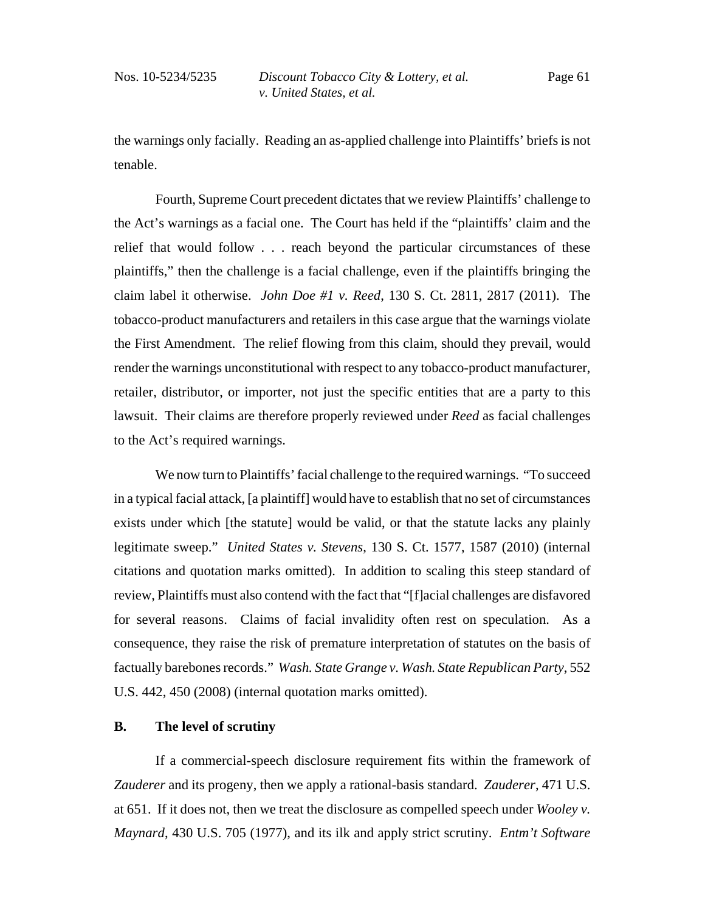the warnings only facially. Reading an as-applied challenge into Plaintiffs' briefs is not tenable.

Fourth, Supreme Court precedent dictates that we review Plaintiffs' challenge to the Act's warnings as a facial one. The Court has held if the "plaintiffs' claim and the relief that would follow . . . reach beyond the particular circumstances of these plaintiffs," then the challenge is a facial challenge, even if the plaintiffs bringing the claim label it otherwise. *John Doe #1 v. Reed*, 130 S. Ct. 2811, 2817 (2011). The tobacco-product manufacturers and retailers in this case argue that the warnings violate the First Amendment. The relief flowing from this claim, should they prevail, would render the warnings unconstitutional with respect to any tobacco-product manufacturer, retailer, distributor, or importer, not just the specific entities that are a party to this lawsuit. Their claims are therefore properly reviewed under *Reed* as facial challenges to the Act's required warnings.

We now turn to Plaintiffs' facial challenge to the required warnings. "To succeed in a typical facial attack, [a plaintiff] would have to establish that no set of circumstances exists under which [the statute] would be valid, or that the statute lacks any plainly legitimate sweep." *United States v. Stevens*, 130 S. Ct. 1577, 1587 (2010) (internal citations and quotation marks omitted). In addition to scaling this steep standard of review, Plaintiffs must also contend with the fact that "[f]acial challenges are disfavored for several reasons. Claims of facial invalidity often rest on speculation. As a consequence, they raise the risk of premature interpretation of statutes on the basis of factually barebones records." *Wash. State Grange v. Wash. State Republican Party*, 552 U.S. 442, 450 (2008) (internal quotation marks omitted).

# **B. The level of scrutiny**

If a commercial-speech disclosure requirement fits within the framework of *Zauderer* and its progeny, then we apply a rational-basis standard. *Zauderer*, 471 U.S. at 651. If it does not, then we treat the disclosure as compelled speech under *Wooley v. Maynard*, 430 U.S. 705 (1977), and its ilk and apply strict scrutiny. *Entm't Software*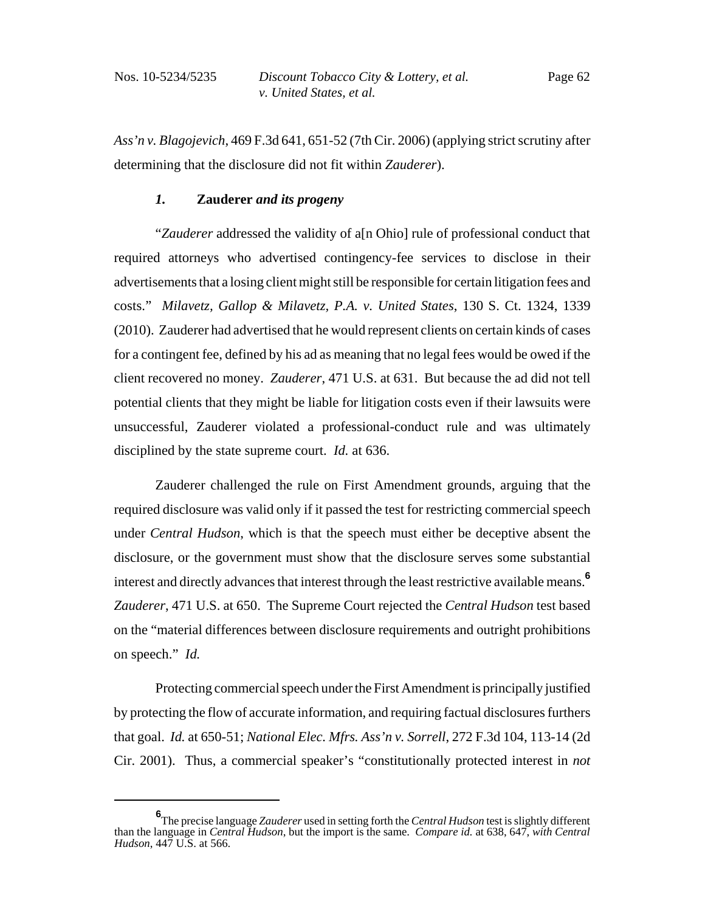*Ass'n v. Blagojevich*, 469 F.3d 641, 651-52 (7th Cir. 2006) (applying strict scrutiny after determining that the disclosure did not fit within *Zauderer*).

### *1.* **Zauderer** *and its progeny*

"*Zauderer* addressed the validity of a[n Ohio] rule of professional conduct that required attorneys who advertised contingency-fee services to disclose in their advertisements that a losing client might still be responsible for certain litigation fees and costs." *Milavetz, Gallop & Milavetz, P.A. v. United States*, 130 S. Ct. 1324, 1339 (2010). Zauderer had advertised that he would represent clients on certain kinds of cases for a contingent fee, defined by his ad as meaning that no legal fees would be owed if the client recovered no money. *Zauderer*, 471 U.S. at 631. But because the ad did not tell potential clients that they might be liable for litigation costs even if their lawsuits were unsuccessful, Zauderer violated a professional-conduct rule and was ultimately disciplined by the state supreme court. *Id.* at 636.

Zauderer challenged the rule on First Amendment grounds, arguing that the required disclosure was valid only if it passed the test for restricting commercial speech under *Central Hudson*, which is that the speech must either be deceptive absent the disclosure, or the government must show that the disclosure serves some substantial interest and directly advances that interest through the least restrictive available means.**<sup>6</sup>** *Zauderer*, 471 U.S. at 650. The Supreme Court rejected the *Central Hudson* test based on the "material differences between disclosure requirements and outright prohibitions on speech." *Id.*

Protecting commercial speech under the First Amendment is principally justified by protecting the flow of accurate information, and requiring factual disclosures furthers that goal. *Id.* at 650-51; *National Elec. Mfrs. Ass'n v. Sorrell*, 272 F.3d 104, 113-14 (2d Cir. 2001). Thus, a commercial speaker's "constitutionally protected interest in *not*

**<sup>6</sup>** The precise language *Zauderer* used in setting forth the *Central Hudson* test is slightly different than the language in *Central Hudson*, but the import is the same. *Compare id.* at 638, 647, *with Central Hudson*, 447 U.S. at 566.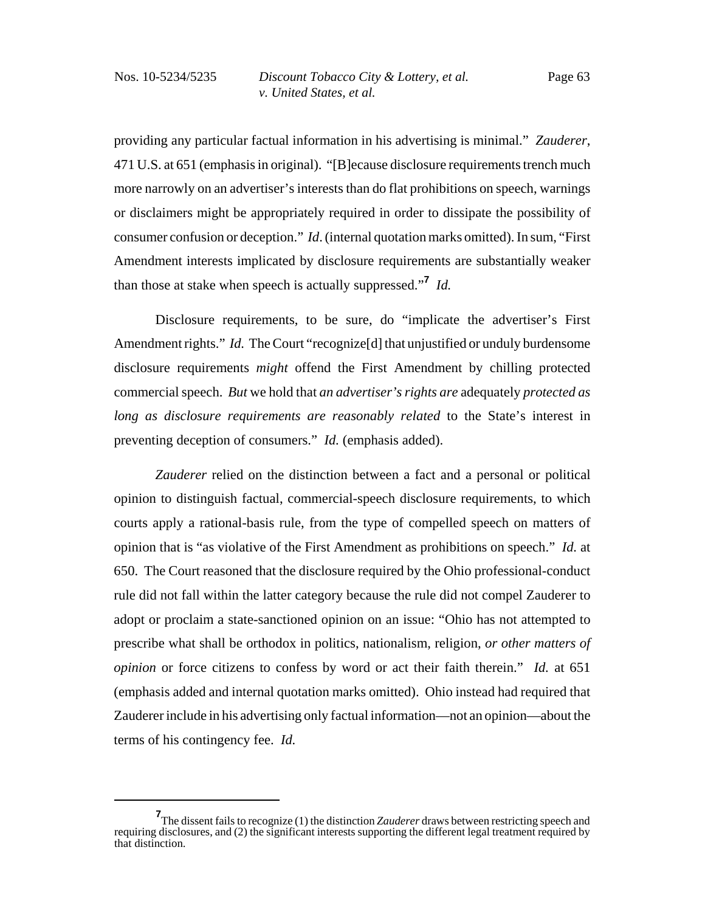providing any particular factual information in his advertising is minimal." *Zauderer*, 471 U.S. at 651 (emphasis in original). "[B]ecause disclosure requirements trench much more narrowly on an advertiser's interests than do flat prohibitions on speech, warnings or disclaimers might be appropriately required in order to dissipate the possibility of consumer confusion or deception." *Id*. (internal quotation marks omitted). In sum, "First Amendment interests implicated by disclosure requirements are substantially weaker than those at stake when speech is actually suppressed."**<sup>7</sup>** *Id.*

Disclosure requirements, to be sure, do "implicate the advertiser's First Amendment rights." *Id.* The Court "recognize<sup>[d]</sup> that unjustified or unduly burdensome disclosure requirements *might* offend the First Amendment by chilling protected commercial speech. *But* we hold that *an advertiser's rights are* adequately *protected as long as disclosure requirements are reasonably related* to the State's interest in preventing deception of consumers." *Id.* (emphasis added).

*Zauderer* relied on the distinction between a fact and a personal or political opinion to distinguish factual, commercial-speech disclosure requirements, to which courts apply a rational-basis rule, from the type of compelled speech on matters of opinion that is "as violative of the First Amendment as prohibitions on speech." *Id.* at 650. The Court reasoned that the disclosure required by the Ohio professional-conduct rule did not fall within the latter category because the rule did not compel Zauderer to adopt or proclaim a state-sanctioned opinion on an issue: "Ohio has not attempted to prescribe what shall be orthodox in politics, nationalism, religion, *or other matters of opinion* or force citizens to confess by word or act their faith therein." *Id.* at 651 (emphasis added and internal quotation marks omitted). Ohio instead had required that Zauderer include in his advertising only factual information—not an opinion—about the terms of his contingency fee. *Id.*

**<sup>7</sup>** The dissent fails to recognize (1) the distinction *Zauderer* draws between restricting speech and requiring disclosures, and (2) the significant interests supporting the different legal treatment required by that distinction.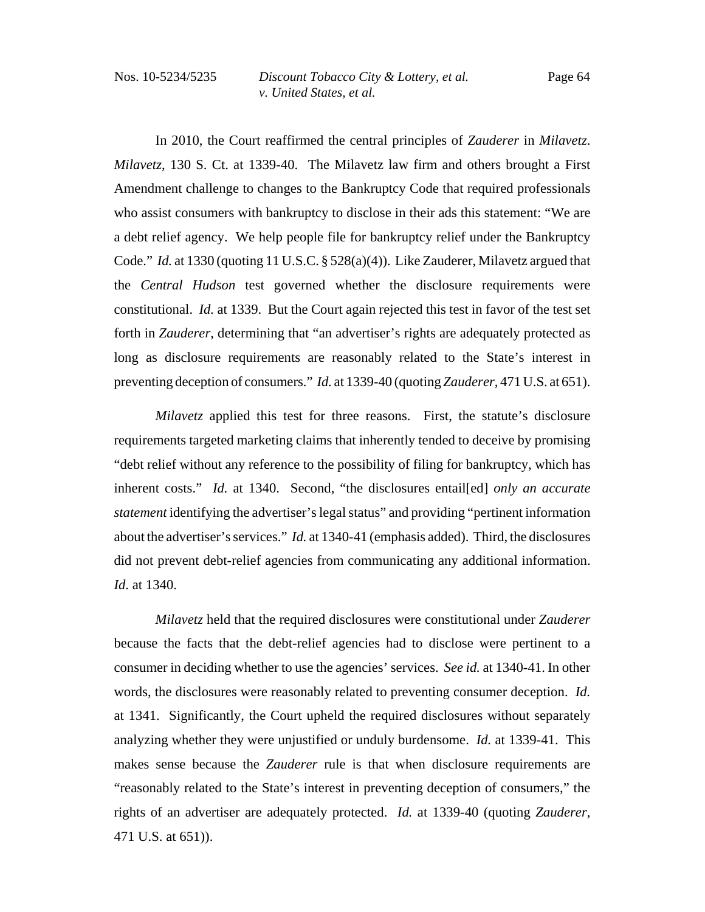In 2010, the Court reaffirmed the central principles of *Zauderer* in *Milavetz*. *Milavetz*, 130 S. Ct. at 1339-40. The Milavetz law firm and others brought a First Amendment challenge to changes to the Bankruptcy Code that required professionals who assist consumers with bankruptcy to disclose in their ads this statement: "We are a debt relief agency. We help people file for bankruptcy relief under the Bankruptcy Code." *Id.* at 1330 (quoting 11 U.S.C. § 528(a)(4)).Like Zauderer, Milavetz argued that the *Central Hudson* test governed whether the disclosure requirements were constitutional. *Id.* at 1339. But the Court again rejected this test in favor of the test set forth in *Zauderer*, determining that "an advertiser's rights are adequately protected as long as disclosure requirements are reasonably related to the State's interest in preventing deception of consumers." *Id.* at 1339-40 (quoting *Zauderer*, 471 U.S. at 651).

*Milavetz* applied this test for three reasons. First, the statute's disclosure requirements targeted marketing claims that inherently tended to deceive by promising "debt relief without any reference to the possibility of filing for bankruptcy, which has inherent costs." *Id.* at 1340. Second, "the disclosures entail[ed] *only an accurate statement* identifying the advertiser's legal status" and providing "pertinent information about the advertiser's services." *Id.* at 1340-41 (emphasis added). Third, the disclosures did not prevent debt-relief agencies from communicating any additional information. *Id*. at 1340.

*Milavetz* held that the required disclosures were constitutional under *Zauderer* because the facts that the debt-relief agencies had to disclose were pertinent to a consumer in deciding whether to use the agencies' services. *See id.* at 1340-41. In other words, the disclosures were reasonably related to preventing consumer deception. *Id.* at 1341. Significantly, the Court upheld the required disclosures without separately analyzing whether they were unjustified or unduly burdensome. *Id.* at 1339-41. This makes sense because the *Zauderer* rule is that when disclosure requirements are "reasonably related to the State's interest in preventing deception of consumers," the rights of an advertiser are adequately protected. *Id.* at 1339-40 (quoting *Zauderer*, 471 U.S. at 651)).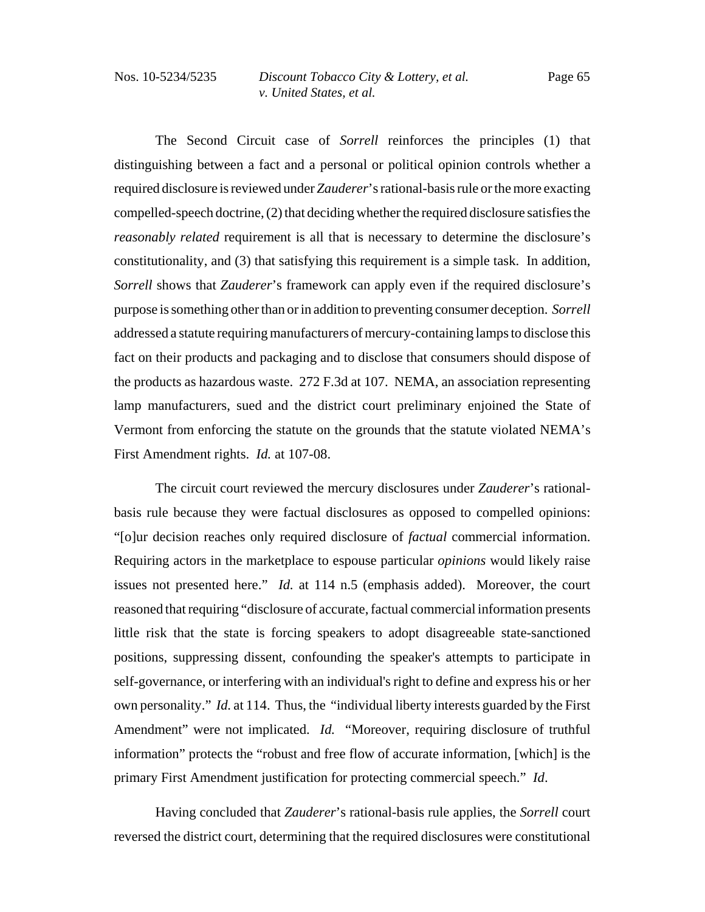The Second Circuit case of *Sorrell* reinforces the principles (1) that distinguishing between a fact and a personal or political opinion controls whether a required disclosure is reviewed under *Zauderer*'s rational-basis rule or the more exacting compelled-speech doctrine, (2) that deciding whether the required disclosure satisfies the *reasonably related* requirement is all that is necessary to determine the disclosure's constitutionality, and (3) that satisfying this requirement is a simple task. In addition, *Sorrell* shows that *Zauderer*'s framework can apply even if the required disclosure's purpose is something other than or in addition to preventing consumer deception. *Sorrell* addressed a statute requiring manufacturers of mercury-containing lamps to disclose this fact on their products and packaging and to disclose that consumers should dispose of the products as hazardous waste. 272 F.3d at 107. NEMA, an association representing lamp manufacturers, sued and the district court preliminary enjoined the State of Vermont from enforcing the statute on the grounds that the statute violated NEMA's First Amendment rights. *Id.* at 107-08.

The circuit court reviewed the mercury disclosures under *Zauderer*'s rationalbasis rule because they were factual disclosures as opposed to compelled opinions: "[o]ur decision reaches only required disclosure of *factual* commercial information. Requiring actors in the marketplace to espouse particular *opinions* would likely raise issues not presented here." *Id.* at 114 n.5 (emphasis added). Moreover, the court reasoned that requiring "disclosure of accurate, factual commercial information presents little risk that the state is forcing speakers to adopt disagreeable state-sanctioned positions, suppressing dissent, confounding the speaker's attempts to participate in self-governance, or interfering with an individual's right to define and express his or her own personality." *Id.* at 114. Thus, the "individual liberty interests guarded by the First Amendment" were not implicated. *Id.* "Moreover, requiring disclosure of truthful information" protects the "robust and free flow of accurate information, [which] is the primary First Amendment justification for protecting commercial speech." *Id*.

Having concluded that *Zauderer*'s rational-basis rule applies, the *Sorrell* court reversed the district court, determining that the required disclosures were constitutional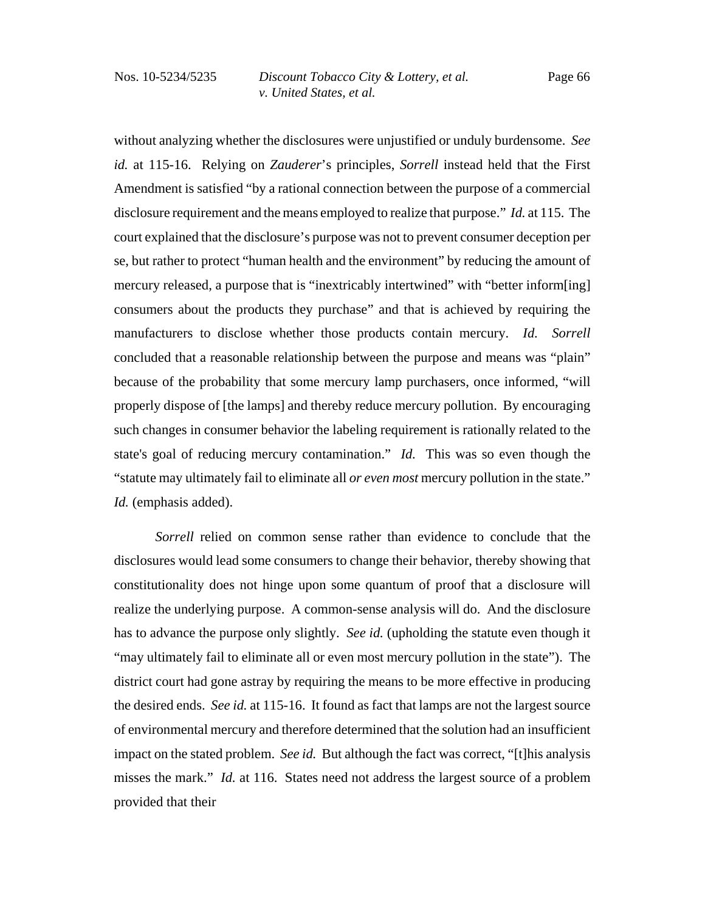without analyzing whether the disclosures were unjustified or unduly burdensome. *See id.* at 115-16. Relying on *Zauderer*'s principles, *Sorrell* instead held that the First Amendment is satisfied "by a rational connection between the purpose of a commercial disclosure requirement and the means employed to realize that purpose." *Id.* at 115. The court explained that the disclosure's purpose was not to prevent consumer deception per se, but rather to protect "human health and the environment" by reducing the amount of mercury released, a purpose that is "inextricably intertwined" with "better inform[ing] consumers about the products they purchase" and that is achieved by requiring the manufacturers to disclose whether those products contain mercury. *Id. Sorrell* concluded that a reasonable relationship between the purpose and means was "plain" because of the probability that some mercury lamp purchasers, once informed, "will properly dispose of [the lamps] and thereby reduce mercury pollution. By encouraging such changes in consumer behavior the labeling requirement is rationally related to the state's goal of reducing mercury contamination." *Id.* This was so even though the "statute may ultimately fail to eliminate all *or even most* mercury pollution in the state." *Id.* (emphasis added).

*Sorrell* relied on common sense rather than evidence to conclude that the disclosures would lead some consumers to change their behavior, thereby showing that constitutionality does not hinge upon some quantum of proof that a disclosure will realize the underlying purpose. A common-sense analysis will do. And the disclosure has to advance the purpose only slightly. *See id.* (upholding the statute even though it "may ultimately fail to eliminate all or even most mercury pollution in the state"). The district court had gone astray by requiring the means to be more effective in producing the desired ends. *See id.* at 115-16. It found as fact that lamps are not the largest source of environmental mercury and therefore determined that the solution had an insufficient impact on the stated problem. *See id.* But although the fact was correct, "[t]his analysis misses the mark." *Id.* at 116. States need not address the largest source of a problem provided that their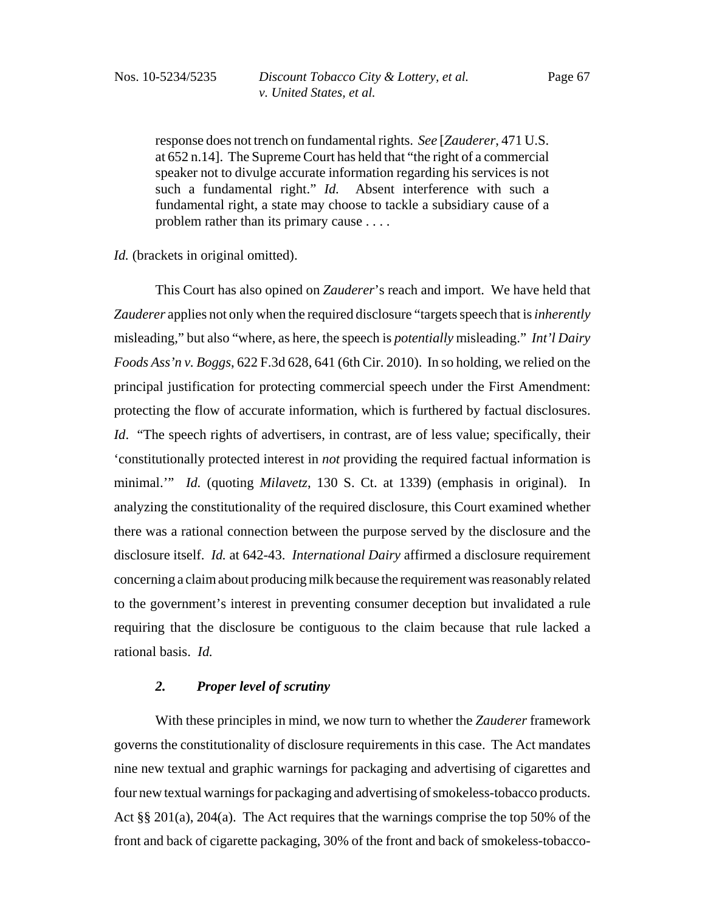response does not trench on fundamental rights. *See* [*Zauderer*, 471 U.S. at 652 n.14]. The Supreme Court has held that "the right of a commercial speaker not to divulge accurate information regarding his services is not such a fundamental right." *Id.* Absent interference with such a fundamental right, a state may choose to tackle a subsidiary cause of a problem rather than its primary cause . . . .

*Id.* (brackets in original omitted).

This Court has also opined on *Zauderer*'s reach and import. We have held that *Zauderer* applies not only when the required disclosure "targets speech that is *inherently* misleading," but also "where, as here, the speech is *potentially* misleading." *Int'l Dairy Foods Ass'n v. Boggs*, 622 F.3d 628, 641 (6th Cir. 2010). In so holding, we relied on the principal justification for protecting commercial speech under the First Amendment: protecting the flow of accurate information, which is furthered by factual disclosures. *Id.* "The speech rights of advertisers, in contrast, are of less value; specifically, their 'constitutionally protected interest in *not* providing the required factual information is minimal.'" *Id.* (quoting *Milavetz*, 130 S. Ct. at 1339) (emphasis in original). In analyzing the constitutionality of the required disclosure, this Court examined whether there was a rational connection between the purpose served by the disclosure and the disclosure itself. *Id.* at 642-43. *International Dairy* affirmed a disclosure requirement concerning a claim about producing milk because the requirement was reasonably related to the government's interest in preventing consumer deception but invalidated a rule requiring that the disclosure be contiguous to the claim because that rule lacked a rational basis. *Id.*

### *2. Proper level of scrutiny*

With these principles in mind, we now turn to whether the *Zauderer* framework governs the constitutionality of disclosure requirements in this case. The Act mandates nine new textual and graphic warnings for packaging and advertising of cigarettes and four new textual warnings for packaging and advertising of smokeless-tobacco products. Act §§ 201(a), 204(a). The Act requires that the warnings comprise the top 50% of the front and back of cigarette packaging, 30% of the front and back of smokeless-tobacco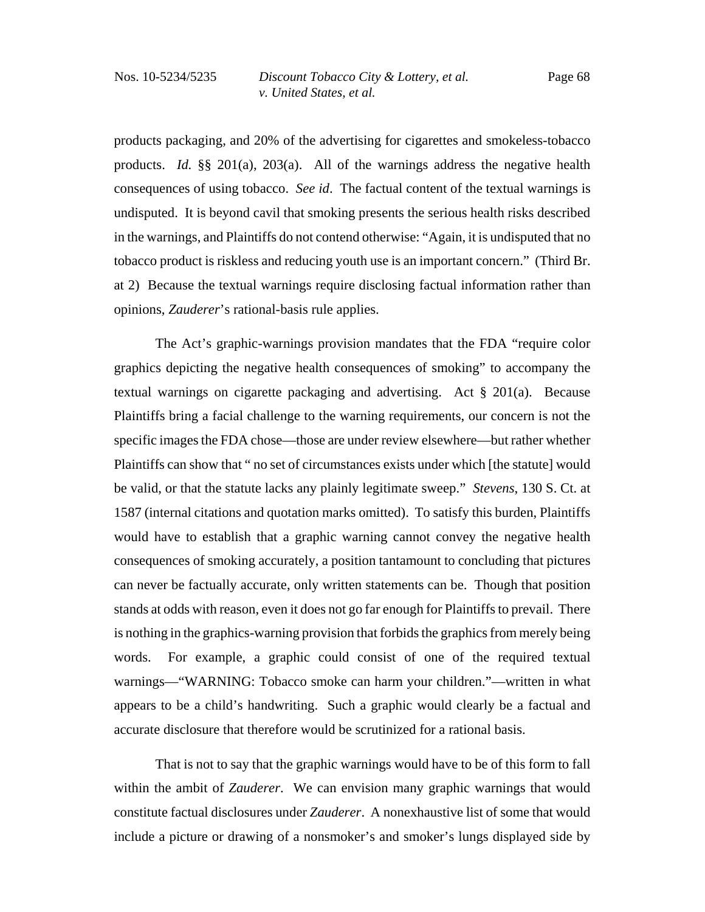products packaging, and 20% of the advertising for cigarettes and smokeless-tobacco products. *Id.* §§ 201(a), 203(a). All of the warnings address the negative health consequences of using tobacco. *See id*. The factual content of the textual warnings is undisputed. It is beyond cavil that smoking presents the serious health risks described in the warnings, and Plaintiffs do not contend otherwise: "Again, it is undisputed that no tobacco product is riskless and reducing youth use is an important concern." (Third Br. at 2) Because the textual warnings require disclosing factual information rather than opinions, *Zauderer*'s rational-basis rule applies.

The Act's graphic-warnings provision mandates that the FDA "require color graphics depicting the negative health consequences of smoking" to accompany the textual warnings on cigarette packaging and advertising. Act § 201(a). Because Plaintiffs bring a facial challenge to the warning requirements, our concern is not the specific images the FDA chose—those are under review elsewhere—but rather whether Plaintiffs can show that " no set of circumstances exists under which [the statute] would be valid, or that the statute lacks any plainly legitimate sweep." *Stevens*, 130 S. Ct. at 1587 (internal citations and quotation marks omitted). To satisfy this burden, Plaintiffs would have to establish that a graphic warning cannot convey the negative health consequences of smoking accurately, a position tantamount to concluding that pictures can never be factually accurate, only written statements can be. Though that position stands at odds with reason, even it does not go far enough for Plaintiffs to prevail. There is nothing in the graphics-warning provision that forbids the graphics from merely being words. For example, a graphic could consist of one of the required textual warnings—"WARNING: Tobacco smoke can harm your children."—written in what appears to be a child's handwriting. Such a graphic would clearly be a factual and accurate disclosure that therefore would be scrutinized for a rational basis.

That is not to say that the graphic warnings would have to be of this form to fall within the ambit of *Zauderer*. We can envision many graphic warnings that would constitute factual disclosures under *Zauderer*. A nonexhaustive list of some that would include a picture or drawing of a nonsmoker's and smoker's lungs displayed side by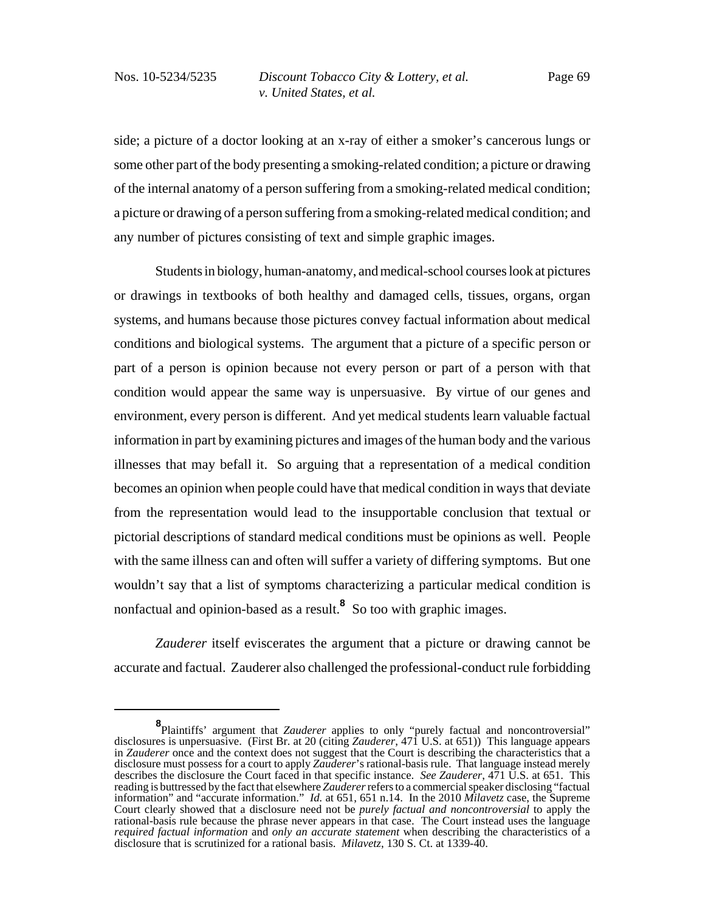side; a picture of a doctor looking at an x-ray of either a smoker's cancerous lungs or some other part of the body presenting a smoking-related condition; a picture or drawing of the internal anatomy of a person suffering from a smoking-related medical condition; a picture or drawing of a person suffering from a smoking-related medical condition; and any number of pictures consisting of text and simple graphic images.

Students in biology, human-anatomy, and medical-school courses look at pictures or drawings in textbooks of both healthy and damaged cells, tissues, organs, organ systems, and humans because those pictures convey factual information about medical conditions and biological systems. The argument that a picture of a specific person or part of a person is opinion because not every person or part of a person with that condition would appear the same way is unpersuasive. By virtue of our genes and environment, every person is different. And yet medical students learn valuable factual information in part by examining pictures and images of the human body and the various illnesses that may befall it. So arguing that a representation of a medical condition becomes an opinion when people could have that medical condition in ways that deviate from the representation would lead to the insupportable conclusion that textual or pictorial descriptions of standard medical conditions must be opinions as well. People with the same illness can and often will suffer a variety of differing symptoms. But one wouldn't say that a list of symptoms characterizing a particular medical condition is nonfactual and opinion-based as a result.**<sup>8</sup>** So too with graphic images.

*Zauderer* itself eviscerates the argument that a picture or drawing cannot be accurate and factual. Zauderer also challenged the professional-conduct rule forbidding

**<sup>8</sup>** Plaintiffs' argument that *Zauderer* applies to only "purely factual and noncontroversial" disclosures is unpersuasive. (First Br. at 20 (citing *Zauderer*, 471 U.S. at 651)) This language appears in *Zauderer* once and the context does not suggest that the Court is describing the characteristics that a disclosure must possess for a court to apply *Zauderer*'s rational-basis rule. That language instead merely describes the disclosure the Court faced in that specific instance. *See Zauderer*, 471 U.S. at 651. This reading is buttressed by the fact that elsewhere *Zauderer* refers to a commercial speaker disclosing "factual information" and "accurate information." *Id.* at 651, 651 n.14. In the 2010 *Milavetz* case, the Supreme Court clearly showed that a disclosure need not be *purely factual and noncontroversial* to apply the rational-basis rule because the phrase never appears in that case. The Court instead uses the language *required factual information* and *only an accurate statement* when describing the characteristics of a disclosure that is scrutinized for a rational basis. *Milavetz*, 130 S. Ct. at 1339-40.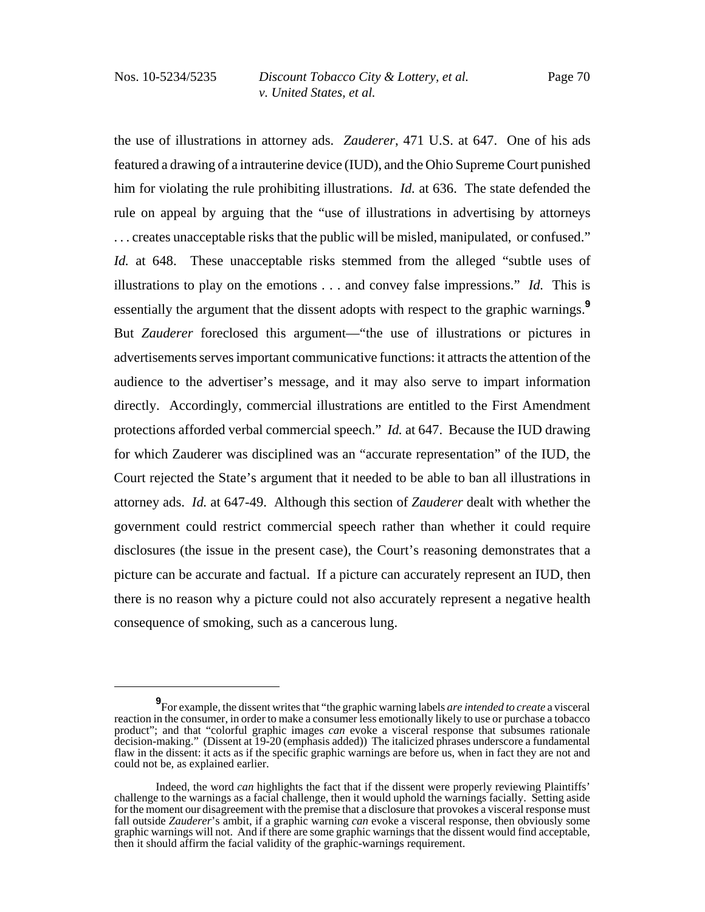the use of illustrations in attorney ads. *Zauderer*, 471 U.S. at 647. One of his ads featured a drawing of a intrauterine device (IUD), and the Ohio Supreme Court punished him for violating the rule prohibiting illustrations. *Id.* at 636. The state defended the rule on appeal by arguing that the "use of illustrations in advertising by attorneys . . . creates unacceptable risks that the public will be misled, manipulated, or confused." *Id.* at 648. These unacceptable risks stemmed from the alleged "subtle uses of illustrations to play on the emotions . . . and convey false impressions." *Id.* This is essentially the argument that the dissent adopts with respect to the graphic warnings.**<sup>9</sup>** But *Zauderer* foreclosed this argument—"the use of illustrations or pictures in advertisements serves important communicative functions: it attracts the attention of the audience to the advertiser's message, and it may also serve to impart information directly. Accordingly, commercial illustrations are entitled to the First Amendment protections afforded verbal commercial speech." *Id.* at 647. Because the IUD drawing for which Zauderer was disciplined was an "accurate representation" of the IUD, the Court rejected the State's argument that it needed to be able to ban all illustrations in attorney ads. *Id.* at 647-49. Although this section of *Zauderer* dealt with whether the government could restrict commercial speech rather than whether it could require disclosures (the issue in the present case), the Court's reasoning demonstrates that a picture can be accurate and factual. If a picture can accurately represent an IUD, then there is no reason why a picture could not also accurately represent a negative health consequence of smoking, such as a cancerous lung.

**<sup>9</sup>** For example, the dissent writes that "the graphic warning labels *are intended to create* a visceral reaction in the consumer, in order to make a consumer less emotionally likely to use or purchase a tobacco product"; and that "colorful graphic images *can* evoke a visceral response that subsumes rationale decision-making." (Dissent at 19-20 (emphasis added)) The italicized phrases underscore a fundamental flaw in the dissent: it acts as if the specific graphic warnings are before us, when in fact they are not and could not be, as explained earlier.

Indeed, the word *can* highlights the fact that if the dissent were properly reviewing Plaintiffs' challenge to the warnings as a facial challenge, then it would uphold the warnings facially. Setting aside for the moment our disagreement with the premise that a disclosure that provokes a visceral response must fall outside *Zauderer*'s ambit, if a graphic warning *can* evoke a visceral response, then obviously some graphic warnings will not. And if there are some graphic warnings that the dissent would find acceptable, then it should affirm the facial validity of the graphic-warnings requirement.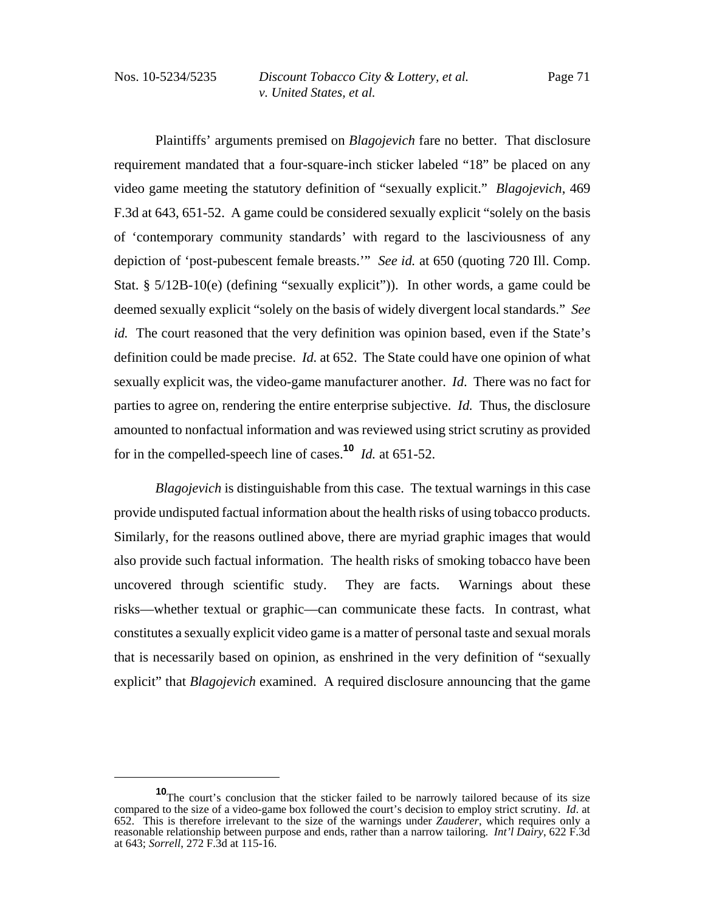Plaintiffs' arguments premised on *Blagojevich* fare no better. That disclosure requirement mandated that a four-square-inch sticker labeled "18" be placed on any video game meeting the statutory definition of "sexually explicit." *Blagojevich*, 469 F.3d at 643, 651-52. A game could be considered sexually explicit "solely on the basis of 'contemporary community standards' with regard to the lasciviousness of any depiction of 'post-pubescent female breasts.'" *See id.* at 650 (quoting 720 Ill. Comp. Stat. § 5/12B-10(e) (defining "sexually explicit")). In other words, a game could be deemed sexually explicit "solely on the basis of widely divergent local standards." *See id.* The court reasoned that the very definition was opinion based, even if the State's definition could be made precise. *Id.* at 652. The State could have one opinion of what sexually explicit was, the video-game manufacturer another. *Id*. There was no fact for parties to agree on, rendering the entire enterprise subjective. *Id.* Thus, the disclosure amounted to nonfactual information and was reviewed using strict scrutiny as provided for in the compelled-speech line of cases.**<sup>10</sup>** *Id.* at 651-52.

*Blagojevich* is distinguishable from this case. The textual warnings in this case provide undisputed factual information about the health risks of using tobacco products. Similarly, for the reasons outlined above, there are myriad graphic images that would also provide such factual information. The health risks of smoking tobacco have been uncovered through scientific study. They are facts. Warnings about these risks—whether textual or graphic—can communicate these facts. In contrast, what constitutes a sexually explicit video game is a matter of personal taste and sexual morals that is necessarily based on opinion, as enshrined in the very definition of "sexually explicit" that *Blagojevich* examined. A required disclosure announcing that the game

**<sup>10</sup>**The court's conclusion that the sticker failed to be narrowly tailored because of its size compared to the size of a video-game box followed the court's decision to employ strict scrutiny. *Id*. at 652. This is therefore irrelevant to the size of the warnings under *Zauderer*, which requires only a reasonable relationship between purpose and ends, rather than a narrow tailoring. *Int'l Dairy*, 622 F.3d at 643; *Sorrell*, 272 F.3d at 115-16.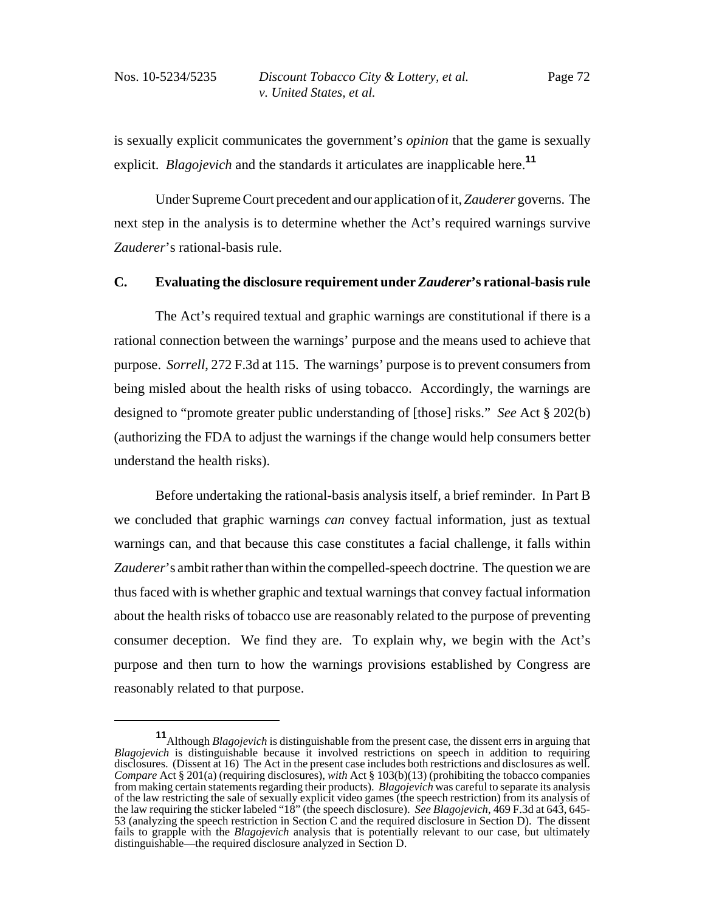is sexually explicit communicates the government's *opinion* that the game is sexually explicit. *Blagojevich* and the standards it articulates are inapplicable here.**<sup>11</sup>**

Under Supreme Court precedent and our application of it, *Zauderer* governs. The next step in the analysis is to determine whether the Act's required warnings survive *Zauderer*'s rational-basis rule.

# **C. Evaluating the disclosure requirement under** *Zauderer***'s rational-basis rule**

The Act's required textual and graphic warnings are constitutional if there is a rational connection between the warnings' purpose and the means used to achieve that purpose. *Sorrell*, 272 F.3d at 115. The warnings' purpose is to prevent consumers from being misled about the health risks of using tobacco. Accordingly, the warnings are designed to "promote greater public understanding of [those] risks." *See* Act § 202(b) (authorizing the FDA to adjust the warnings if the change would help consumers better understand the health risks).

Before undertaking the rational-basis analysis itself, a brief reminder. In Part B we concluded that graphic warnings *can* convey factual information, just as textual warnings can, and that because this case constitutes a facial challenge, it falls within *Zauderer*'s ambit rather than within the compelled-speech doctrine. The question we are thus faced with is whether graphic and textual warnings that convey factual information about the health risks of tobacco use are reasonably related to the purpose of preventing consumer deception. We find they are. To explain why, we begin with the Act's purpose and then turn to how the warnings provisions established by Congress are reasonably related to that purpose.

**<sup>11</sup>**Although *Blagojevich* is distinguishable from the present case, the dissent errs in arguing that *Blagojevich* is distinguishable because it involved restrictions on speech in addition to requiring disclosures. (Dissent at 16) The Act in the present case includes both restrictions and disclosures as well. *Compare* Act § 201(a) (requiring disclosures), *with* Act § 103(b)(13) (prohibiting the tobacco companies from making certain statements regarding their products). *Blagojevich* was careful to separate its analysis of the law restricting the sale of sexually explicit video games (the speech restriction) from its analysis of the law requiring the sticker labeled "18" (the speech disclosure). *See Blagojevich*, 469 F.3d at 643, 645- 53 (analyzing the speech restriction in Section C and the required disclosure in Section D). The dissent fails to grapple with the *Blagojevich* analysis that is potentially relevant to our case, but ultimately distinguishable—the required disclosure analyzed in Section D.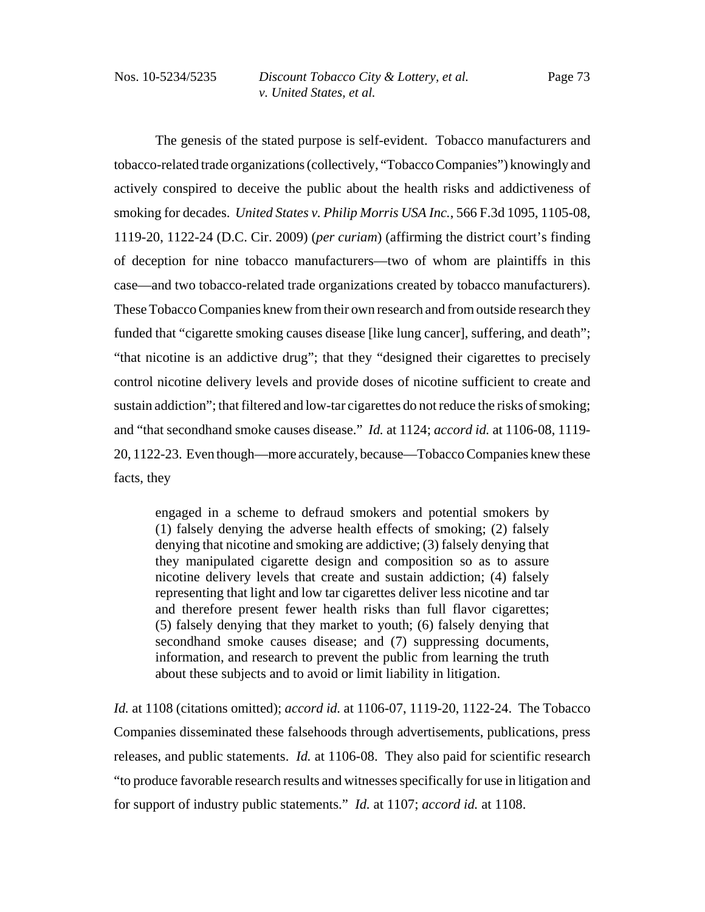The genesis of the stated purpose is self-evident. Tobacco manufacturers and tobacco-related trade organizations (collectively, "Tobacco Companies") knowingly and actively conspired to deceive the public about the health risks and addictiveness of smoking for decades. *United States v. Philip Morris USA Inc.*, 566 F.3d 1095, 1105-08, 1119-20, 1122-24 (D.C. Cir. 2009) (*per curiam*) (affirming the district court's finding of deception for nine tobacco manufacturers—two of whom are plaintiffs in this case—and two tobacco-related trade organizations created by tobacco manufacturers). These Tobacco Companies knew from their own research and from outside research they funded that "cigarette smoking causes disease [like lung cancer], suffering, and death"; "that nicotine is an addictive drug"; that they "designed their cigarettes to precisely control nicotine delivery levels and provide doses of nicotine sufficient to create and sustain addiction"; that filtered and low-tar cigarettes do not reduce the risks of smoking; and "that secondhand smoke causes disease." *Id.* at 1124; *accord id.* at 1106-08, 1119- 20, 1122-23. Even though—more accurately, because—Tobacco Companies knew these facts, they

engaged in a scheme to defraud smokers and potential smokers by (1) falsely denying the adverse health effects of smoking; (2) falsely denying that nicotine and smoking are addictive; (3) falsely denying that they manipulated cigarette design and composition so as to assure nicotine delivery levels that create and sustain addiction; (4) falsely representing that light and low tar cigarettes deliver less nicotine and tar and therefore present fewer health risks than full flavor cigarettes; (5) falsely denying that they market to youth; (6) falsely denying that secondhand smoke causes disease; and (7) suppressing documents, information, and research to prevent the public from learning the truth about these subjects and to avoid or limit liability in litigation.

*Id.* at 1108 (citations omitted); *accord id.* at 1106-07, 1119-20, 1122-24. The Tobacco Companies disseminated these falsehoods through advertisements, publications, press releases, and public statements. *Id.* at 1106-08. They also paid for scientific research "to produce favorable research results and witnesses specifically for use in litigation and for support of industry public statements." *Id.* at 1107; *accord id.* at 1108.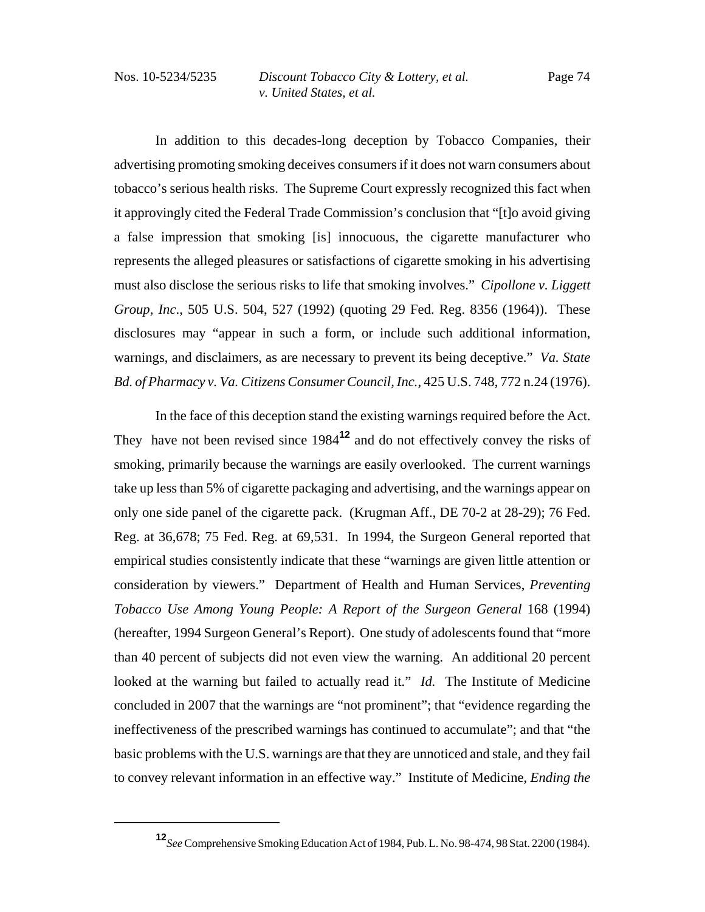In addition to this decades-long deception by Tobacco Companies, their advertising promoting smoking deceives consumers if it does not warn consumers about tobacco's serious health risks. The Supreme Court expressly recognized this fact when it approvingly cited the Federal Trade Commission's conclusion that "[t]o avoid giving a false impression that smoking [is] innocuous, the cigarette manufacturer who represents the alleged pleasures or satisfactions of cigarette smoking in his advertising must also disclose the serious risks to life that smoking involves." *Cipollone v. Liggett Group, Inc*., 505 U.S. 504, 527 (1992) (quoting 29 Fed. Reg. 8356 (1964)). These disclosures may "appear in such a form, or include such additional information, warnings, and disclaimers, as are necessary to prevent its being deceptive." *Va. State Bd. of Pharmacy v. Va. Citizens Consumer Council, Inc.*, 425 U.S. 748, 772 n.24 (1976).

In the face of this deception stand the existing warnings required before the Act. They have not been revised since 1984**<sup>12</sup>** and do not effectively convey the risks of smoking, primarily because the warnings are easily overlooked. The current warnings take up less than 5% of cigarette packaging and advertising, and the warnings appear on only one side panel of the cigarette pack. (Krugman Aff., DE 70-2 at 28-29); 76 Fed. Reg. at 36,678; 75 Fed. Reg. at 69,531. In 1994, the Surgeon General reported that empirical studies consistently indicate that these "warnings are given little attention or consideration by viewers." Department of Health and Human Services, *Preventing Tobacco Use Among Young People: A Report of the Surgeon General 168 (1994)* (hereafter, 1994 Surgeon General's Report). One study of adolescents found that "more than 40 percent of subjects did not even view the warning. An additional 20 percent looked at the warning but failed to actually read it." *Id.* The Institute of Medicine concluded in 2007 that the warnings are "not prominent"; that "evidence regarding the ineffectiveness of the prescribed warnings has continued to accumulate"; and that "the basic problems with the U.S. warnings are that they are unnoticed and stale, and they fail to convey relevant information in an effective way." Institute of Medicine, *Ending the*

**<sup>12</sup>***See* Comprehensive Smoking Education Act of 1984, Pub. L. No. 98-474, 98 Stat. 2200 (1984).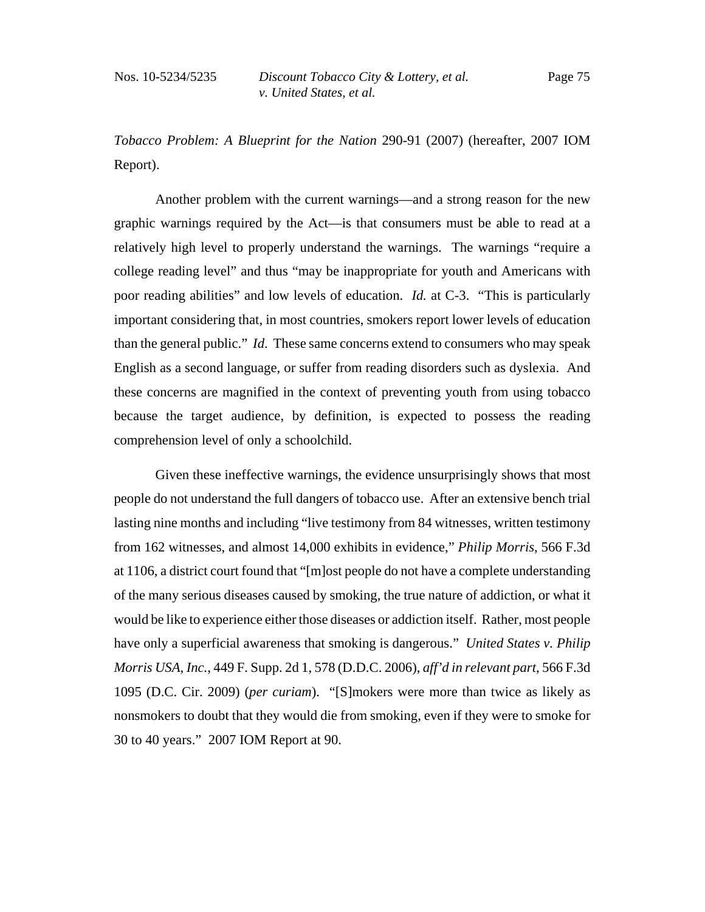*Tobacco Problem: A Blueprint for the Nation* 290-91 (2007) (hereafter, 2007 IOM Report).

Another problem with the current warnings—and a strong reason for the new graphic warnings required by the Act—is that consumers must be able to read at a relatively high level to properly understand the warnings. The warnings "require a college reading level" and thus "may be inappropriate for youth and Americans with poor reading abilities" and low levels of education. *Id.* at C-3. "This is particularly important considering that, in most countries, smokers report lower levels of education than the general public." *Id*. These same concerns extend to consumers who may speak English as a second language, or suffer from reading disorders such as dyslexia. And these concerns are magnified in the context of preventing youth from using tobacco because the target audience, by definition, is expected to possess the reading comprehension level of only a schoolchild.

Given these ineffective warnings, the evidence unsurprisingly shows that most people do not understand the full dangers of tobacco use. After an extensive bench trial lasting nine months and including "live testimony from 84 witnesses, written testimony from 162 witnesses, and almost 14,000 exhibits in evidence," *Philip Morris*, 566 F.3d at 1106, a district court found that "[m]ost people do not have a complete understanding of the many serious diseases caused by smoking, the true nature of addiction, or what it would be like to experience either those diseases or addiction itself. Rather, most people have only a superficial awareness that smoking is dangerous." *United States v. Philip Morris USA, Inc.*, 449 F. Supp. 2d 1, 578 (D.D.C. 2006), *aff'd in relevant part*, 566 F.3d 1095 (D.C. Cir. 2009) (*per curiam*). "[S]mokers were more than twice as likely as nonsmokers to doubt that they would die from smoking, even if they were to smoke for 30 to 40 years." 2007 IOM Report at 90.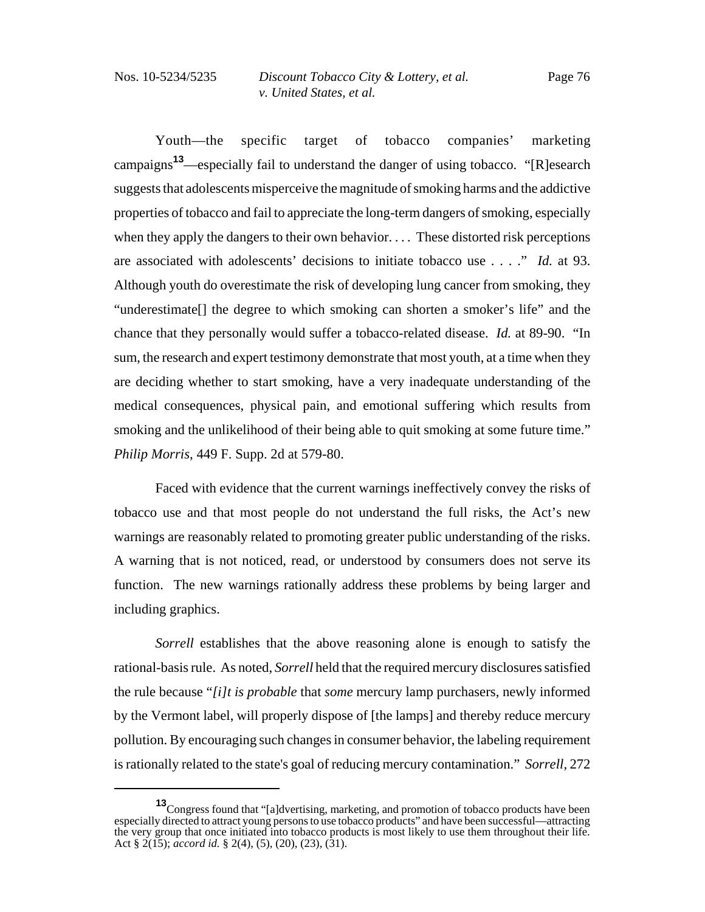Youth—the specific target of tobacco companies' marketing campaigns**13**—especially fail to understand the danger of using tobacco. "[R]esearch suggests that adolescents misperceive the magnitude of smoking harms and the addictive properties of tobacco and fail to appreciate the long-term dangers of smoking, especially when they apply the dangers to their own behavior. . . . These distorted risk perceptions are associated with adolescents' decisions to initiate tobacco use . . . ." *Id.* at 93. Although youth do overestimate the risk of developing lung cancer from smoking, they "underestimate[] the degree to which smoking can shorten a smoker's life" and the chance that they personally would suffer a tobacco-related disease. *Id.* at 89-90. "In sum, the research and expert testimony demonstrate that most youth, at a time when they are deciding whether to start smoking, have a very inadequate understanding of the medical consequences, physical pain, and emotional suffering which results from smoking and the unlikelihood of their being able to quit smoking at some future time." *Philip Morris*, 449 F. Supp. 2d at 579-80.

Faced with evidence that the current warnings ineffectively convey the risks of tobacco use and that most people do not understand the full risks, the Act's new warnings are reasonably related to promoting greater public understanding of the risks. A warning that is not noticed, read, or understood by consumers does not serve its function. The new warnings rationally address these problems by being larger and including graphics.

*Sorrell* establishes that the above reasoning alone is enough to satisfy the rational-basis rule. As noted, *Sorrell* held that the required mercury disclosures satisfied the rule because "*[i]t is probable* that *some* mercury lamp purchasers, newly informed by the Vermont label, will properly dispose of [the lamps] and thereby reduce mercury pollution. By encouraging such changes in consumer behavior, the labeling requirement is rationally related to the state's goal of reducing mercury contamination." *Sorrell*, 272

**<sup>13</sup>**Congress found that "[a]dvertising, marketing, and promotion of tobacco products have been especially directed to attract young persons to use tobacco products" and have been successful—attracting the very group that once initiated into tobacco products is most likely to use them throughout their life. Act § 2(15); *accord id.* § 2(4), (5), (20), (23), (31).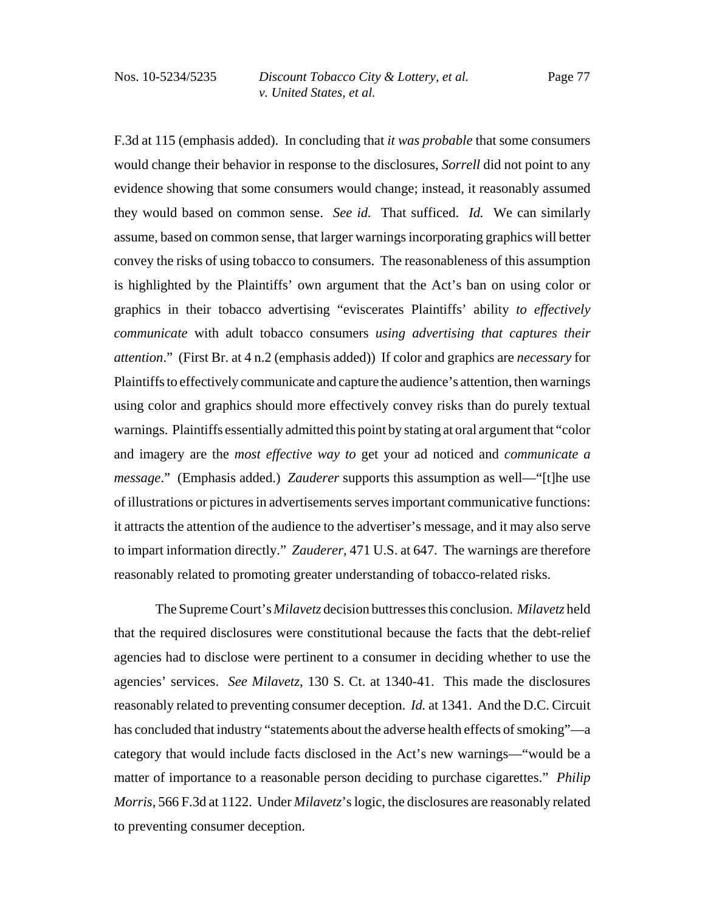F.3d at 115 (emphasis added). In concluding that *it was probable* that some consumers would change their behavior in response to the disclosures, *Sorrell* did not point to any evidence showing that some consumers would change; instead, it reasonably assumed they would based on common sense. *See id.* That sufficed. *Id.* We can similarly assume, based on common sense, that larger warnings incorporating graphics will better convey the risks of using tobacco to consumers. The reasonableness of this assumption is highlighted by the Plaintiffs' own argument that the Act's ban on using color or graphics in their tobacco advertising "eviscerates Plaintiffs' ability *to effectively communicate* with adult tobacco consumers *using advertising that captures their attention*." (First Br. at 4 n.2 (emphasis added)) If color and graphics are *necessary* for Plaintiffs to effectively communicate and capture the audience's attention, then warnings using color and graphics should more effectively convey risks than do purely textual warnings. Plaintiffs essentially admitted this point by stating at oral argument that "color and imagery are the *most effective way to* get your ad noticed and *communicate a message*." (Emphasis added.) *Zauderer* supports this assumption as well—"[t]he use of illustrations or pictures in advertisements serves important communicative functions: it attracts the attention of the audience to the advertiser's message, and it may also serve to impart information directly." *Zauderer*, 471 U.S. at 647. The warnings are therefore reasonably related to promoting greater understanding of tobacco-related risks.

The Supreme Court's *Milavetz* decision buttresses this conclusion. *Milavetz* held that the required disclosures were constitutional because the facts that the debt-relief agencies had to disclose were pertinent to a consumer in deciding whether to use the agencies' services. *See Milavetz*, 130 S. Ct. at 1340-41. This made the disclosures reasonably related to preventing consumer deception. *Id.* at 1341. And the D.C. Circuit has concluded that industry "statements about the adverse health effects of smoking"—a category that would include facts disclosed in the Act's new warnings—"would be a matter of importance to a reasonable person deciding to purchase cigarettes." *Philip Morris*, 566 F.3d at 1122. Under *Milavetz*'s logic, the disclosures are reasonably related to preventing consumer deception.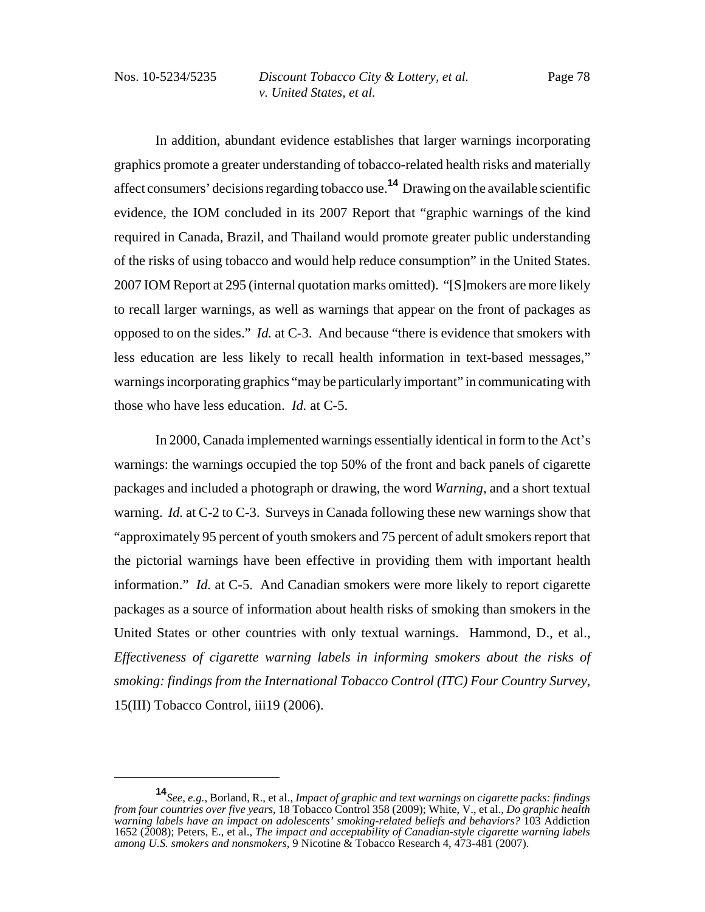In addition, abundant evidence establishes that larger warnings incorporating graphics promote a greater understanding of tobacco-related health risks and materially affect consumers' decisions regarding tobacco use.**14** Drawing on the available scientific evidence, the IOM concluded in its 2007 Report that "graphic warnings of the kind required in Canada, Brazil, and Thailand would promote greater public understanding of the risks of using tobacco and would help reduce consumption" in the United States. 2007 IOM Report at 295 (internal quotation marks omitted). "[S]mokers are more likely to recall larger warnings, as well as warnings that appear on the front of packages as opposed to on the sides." *Id.* at C-3. And because "there is evidence that smokers with less education are less likely to recall health information in text-based messages," warnings incorporating graphics "may be particularly important" in communicating with those who have less education. *Id.* at C-5.

In 2000, Canada implemented warnings essentially identical in form to the Act's warnings: the warnings occupied the top 50% of the front and back panels of cigarette packages and included a photograph or drawing, the word *Warning*, and a short textual warning. *Id.* at C-2 to C-3. Surveys in Canada following these new warnings show that "approximately 95 percent of youth smokers and 75 percent of adult smokers report that the pictorial warnings have been effective in providing them with important health information." *Id.* at C-5. And Canadian smokers were more likely to report cigarette packages as a source of information about health risks of smoking than smokers in the United States or other countries with only textual warnings. Hammond, D., et al., *Effectiveness of cigarette warning labels in informing smokers about the risks of smoking: findings from the International Tobacco Control (ITC) Four Country Survey*, 15(III) Tobacco Control, iii19 (2006).

**<sup>14</sup>***See, e.g.*, Borland, R., et al., *Impact of graphic and text warnings on cigarette packs: findings from four countries over five years*, 18 Tobacco Control 358 (2009); White, V., et al., *Do graphic health warning labels have an impact on adolescents' smoking-related beliefs and behaviors?* 103 Addiction 1652 (2008); Peters, E., et al., *The impact and acceptability of Canadian-style cigarette warning labels among U.S. smokers and nonsmokers*, 9 Nicotine & Tobacco Research 4, 473-481 (2007).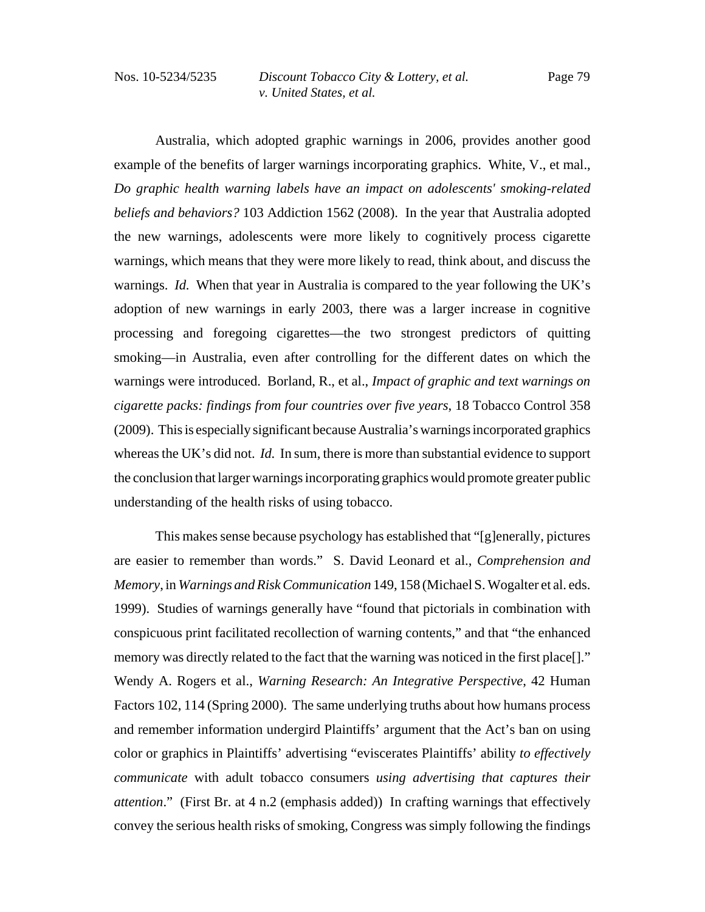Australia, which adopted graphic warnings in 2006, provides another good example of the benefits of larger warnings incorporating graphics. White, V., et mal., *Do graphic health warning labels have an impact on adolescents' smoking-related beliefs and behaviors?* 103 Addiction 1562 (2008). In the year that Australia adopted the new warnings, adolescents were more likely to cognitively process cigarette warnings, which means that they were more likely to read, think about, and discuss the warnings. *Id.* When that year in Australia is compared to the year following the UK's adoption of new warnings in early 2003, there was a larger increase in cognitive processing and foregoing cigarettes—the two strongest predictors of quitting smoking—in Australia, even after controlling for the different dates on which the warnings were introduced. Borland, R., et al., *Impact of graphic and text warnings on cigarette packs: findings from four countries over five years*, 18 Tobacco Control 358 (2009). This is especially significant because Australia's warnings incorporated graphics whereas the UK's did not. *Id.* In sum, there is more than substantial evidence to support the conclusion that larger warnings incorporating graphics would promote greater public understanding of the health risks of using tobacco.

This makes sense because psychology has established that "[g]enerally, pictures are easier to remember than words." S. David Leonard et al., *Comprehension and Memory*, in *Warnings and Risk Communication* 149, 158 (Michael S. Wogalter et al. eds. 1999). Studies of warnings generally have "found that pictorials in combination with conspicuous print facilitated recollection of warning contents," and that "the enhanced memory was directly related to the fact that the warning was noticed in the first place..." Wendy A. Rogers et al., *Warning Research: An Integrative Perspective*, 42 Human Factors 102, 114 (Spring 2000). The same underlying truths about how humans process and remember information undergird Plaintiffs' argument that the Act's ban on using color or graphics in Plaintiffs' advertising "eviscerates Plaintiffs' ability *to effectively communicate* with adult tobacco consumers *using advertising that captures their attention*." (First Br. at 4 n.2 (emphasis added)) In crafting warnings that effectively convey the serious health risks of smoking, Congress was simply following the findings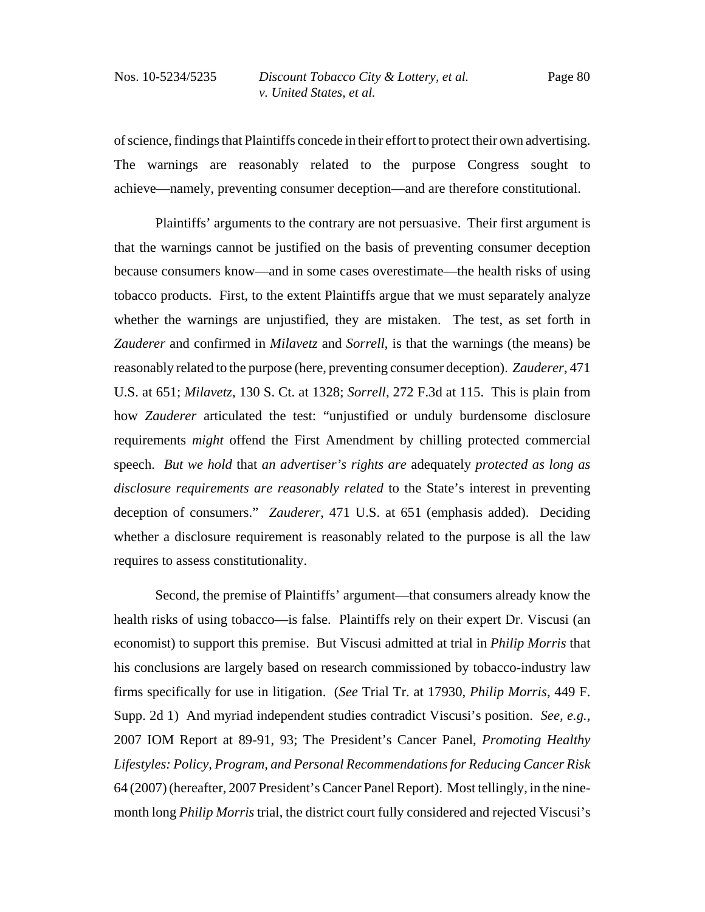of science, findings that Plaintiffs concede in their effort to protect their own advertising. The warnings are reasonably related to the purpose Congress sought to achieve—namely, preventing consumer deception—and are therefore constitutional.

Plaintiffs' arguments to the contrary are not persuasive. Their first argument is that the warnings cannot be justified on the basis of preventing consumer deception because consumers know—and in some cases overestimate—the health risks of using tobacco products. First, to the extent Plaintiffs argue that we must separately analyze whether the warnings are unjustified, they are mistaken. The test, as set forth in *Zauderer* and confirmed in *Milavetz* and *Sorrell*, is that the warnings (the means) be reasonably related to the purpose (here, preventing consumer deception). *Zauderer*, 471 U.S. at 651; *Milavetz*, 130 S. Ct. at 1328; *Sorrell*, 272 F.3d at 115. This is plain from how *Zauderer* articulated the test: "unjustified or unduly burdensome disclosure requirements *might* offend the First Amendment by chilling protected commercial speech. *But we hold* that *an advertiser's rights are* adequately *protected as long as disclosure requirements are reasonably related* to the State's interest in preventing deception of consumers." *Zauderer*, 471 U.S. at 651 (emphasis added). Deciding whether a disclosure requirement is reasonably related to the purpose is all the law requires to assess constitutionality.

Second, the premise of Plaintiffs' argument—that consumers already know the health risks of using tobacco—is false. Plaintiffs rely on their expert Dr. Viscusi (an economist) to support this premise. But Viscusi admitted at trial in *Philip Morris* that his conclusions are largely based on research commissioned by tobacco-industry law firms specifically for use in litigation. (*See* Trial Tr. at 17930, *Philip Morris*, 449 F. Supp. 2d 1) And myriad independent studies contradict Viscusi's position. *See, e.g.*, 2007 IOM Report at 89-91, 93; The President's Cancer Panel, *Promoting Healthy Lifestyles: Policy, Program, and Personal Recommendations for Reducing Cancer Risk* 64 (2007) (hereafter, 2007 President's Cancer Panel Report). Most tellingly, in the ninemonth long *Philip Morris* trial, the district court fully considered and rejected Viscusi's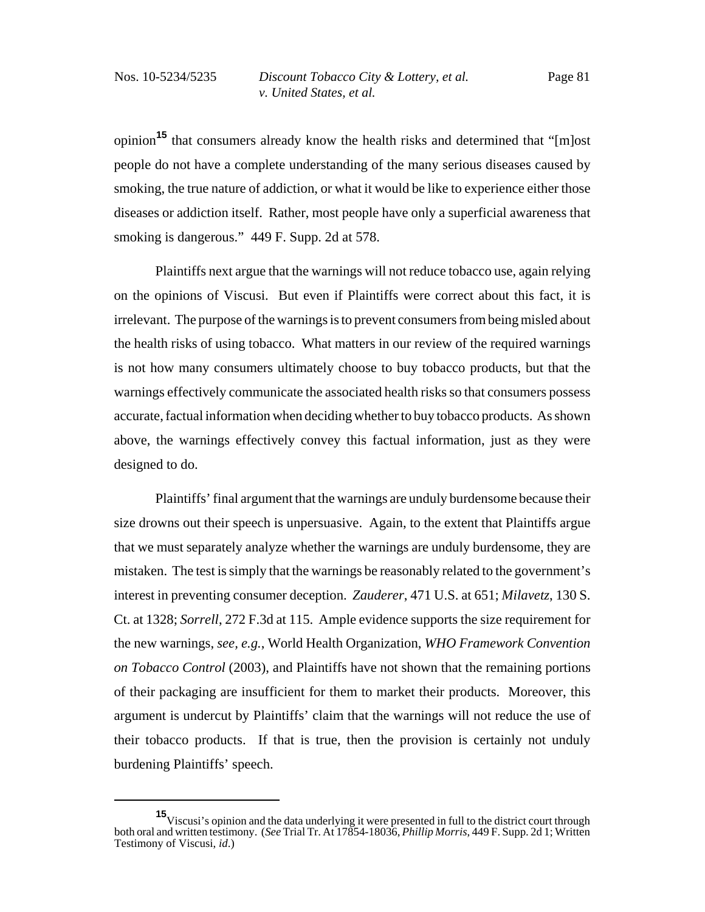opinion**15** that consumers already know the health risks and determined that "[m]ost people do not have a complete understanding of the many serious diseases caused by smoking, the true nature of addiction, or what it would be like to experience either those diseases or addiction itself. Rather, most people have only a superficial awareness that smoking is dangerous." 449 F. Supp. 2d at 578.

Plaintiffs next argue that the warnings will not reduce tobacco use, again relying on the opinions of Viscusi. But even if Plaintiffs were correct about this fact, it is irrelevant. The purpose of the warnings is to prevent consumers from being misled about the health risks of using tobacco. What matters in our review of the required warnings is not how many consumers ultimately choose to buy tobacco products, but that the warnings effectively communicate the associated health risks so that consumers possess accurate, factual information when deciding whether to buy tobacco products. As shown above, the warnings effectively convey this factual information, just as they were designed to do.

Plaintiffs' final argument that the warnings are unduly burdensome because their size drowns out their speech is unpersuasive. Again, to the extent that Plaintiffs argue that we must separately analyze whether the warnings are unduly burdensome, they are mistaken. The test is simply that the warnings be reasonably related to the government's interest in preventing consumer deception. *Zauderer*, 471 U.S. at 651; *Milavetz*, 130 S. Ct. at 1328; *Sorrell*, 272 F.3d at 115. Ample evidence supports the size requirement for the new warnings, *see, e.g.*, World Health Organization, *WHO Framework Convention on Tobacco Control* (2003), and Plaintiffs have not shown that the remaining portions of their packaging are insufficient for them to market their products. Moreover, this argument is undercut by Plaintiffs' claim that the warnings will not reduce the use of their tobacco products. If that is true, then the provision is certainly not unduly burdening Plaintiffs' speech.

**<sup>15</sup>**Viscusi's opinion and the data underlying it were presented in full to the district court through both oral and written testimony. (*See* Trial Tr. At 17854-18036, *Phillip Morris*, 449 F. Supp. 2d 1; Written Testimony of Viscusi, *id*.)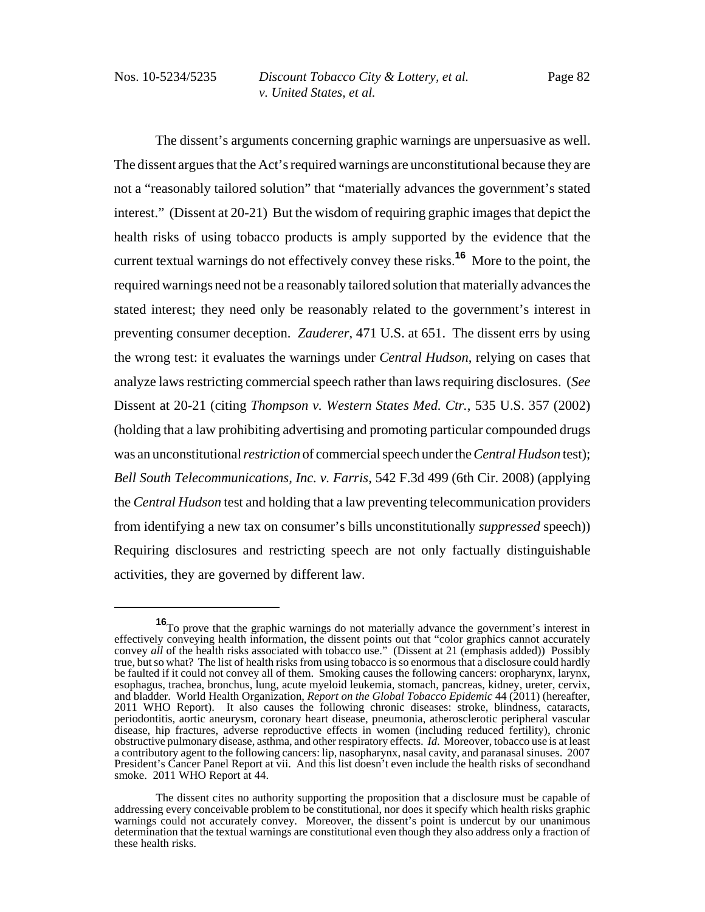The dissent's arguments concerning graphic warnings are unpersuasive as well. The dissent argues that the Act's required warnings are unconstitutional because they are not a "reasonably tailored solution" that "materially advances the government's stated interest." (Dissent at 20-21) But the wisdom of requiring graphic images that depict the health risks of using tobacco products is amply supported by the evidence that the current textual warnings do not effectively convey these risks.**16** More to the point, the required warnings need not be a reasonably tailored solution that materially advances the stated interest; they need only be reasonably related to the government's interest in preventing consumer deception. *Zauderer*, 471 U.S. at 651. The dissent errs by using the wrong test: it evaluates the warnings under *Central Hudson*, relying on cases that analyze laws restricting commercial speech rather than laws requiring disclosures. (*See* Dissent at 20-21 (citing *Thompson v. Western States Med. Ctr.*, 535 U.S. 357 (2002) (holding that a law prohibiting advertising and promoting particular compounded drugs was an unconstitutional *restriction* of commercial speech under the *Central Hudson* test); *Bell South Telecommunications, Inc. v. Farris*, 542 F.3d 499 (6th Cir. 2008) (applying the *Central Hudson* test and holding that a law preventing telecommunication providers from identifying a new tax on consumer's bills unconstitutionally *suppressed* speech)) Requiring disclosures and restricting speech are not only factually distinguishable activities, they are governed by different law.

**<sup>16</sup>**To prove that the graphic warnings do not materially advance the government's interest in effectively conveying health information, the dissent points out that "color graphics cannot accurately convey *all* of the health risks associated with tobacco use." (Dissent at 21 (emphasis added)) Possibly true, but so what? The list of health risks from using tobacco is so enormous that a disclosure could hardly be faulted if it could not convey all of them. Smoking causes the following cancers: oropharynx, larynx, esophagus, trachea, bronchus, lung, acute myeloid leukemia, stomach, pancreas, kidney, ureter, cervix, and bladder. World Health Organization, *Report on the Global Tobacco Epidemic* 44 (2011) (hereafter, 2011 WHO Report). It also causes the following chronic diseases: stroke, blindness, cataracts, periodontitis, aortic aneurysm, coronary heart disease, pneumonia, atherosclerotic peripheral vascular disease, hip fractures, adverse reproductive effects in women (including reduced fertility), chronic obstructive pulmonary disease, asthma, and other respiratory effects. *Id*. Moreover, tobacco use is at least a contributory agent to the following cancers: lip, nasopharynx, nasal cavity, and paranasal sinuses. 2007 President's Cancer Panel Report at vii. And this list doesn't even include the health risks of secondhand smoke. 2011 WHO Report at 44.

The dissent cites no authority supporting the proposition that a disclosure must be capable of addressing every conceivable problem to be constitutional, nor does it specify which health risks graphic warnings could not accurately convey. Moreover, the dissent's point is undercut by our unanimous determination that the textual warnings are constitutional even though they also address only a fraction of these health risks.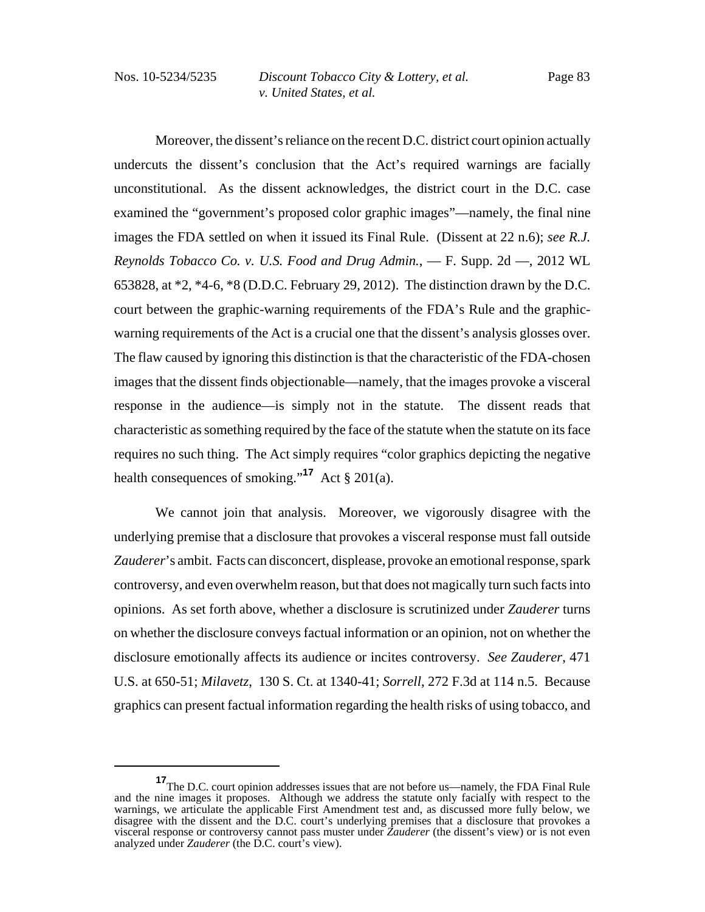Moreover, the dissent's reliance on the recent D.C. district court opinion actually undercuts the dissent's conclusion that the Act's required warnings are facially unconstitutional. As the dissent acknowledges, the district court in the D.C. case examined the "government's proposed color graphic images"—namely, the final nine images the FDA settled on when it issued its Final Rule. (Dissent at 22 n.6); *see R.J. Reynolds Tobacco Co. v. U.S. Food and Drug Admin.*, — F. Supp. 2d —, 2012 WL 653828, at \*2, \*4-6, \*8 (D.D.C. February 29, 2012). The distinction drawn by the D.C. court between the graphic-warning requirements of the FDA's Rule and the graphicwarning requirements of the Act is a crucial one that the dissent's analysis glosses over. The flaw caused by ignoring this distinction is that the characteristic of the FDA-chosen images that the dissent finds objectionable—namely, that the images provoke a visceral response in the audience—is simply not in the statute. The dissent reads that characteristic as something required by the face of the statute when the statute on its face requires no such thing. The Act simply requires "color graphics depicting the negative health consequences of smoking."**<sup>17</sup>** Act § 201(a).

We cannot join that analysis. Moreover, we vigorously disagree with the underlying premise that a disclosure that provokes a visceral response must fall outside *Zauderer*'s ambit. Facts can disconcert, displease, provoke an emotional response, spark controversy, and even overwhelm reason, but that does not magically turn such facts into opinions. As set forth above, whether a disclosure is scrutinized under *Zauderer* turns on whether the disclosure conveys factual information or an opinion, not on whether the disclosure emotionally affects its audience or incites controversy. *See Zauderer*, 471 U.S. at 650-51; *Milavetz*, 130 S. Ct. at 1340-41; *Sorrell*, 272 F.3d at 114 n.5. Because graphics can present factual information regarding the health risks of using tobacco, and

**<sup>17</sup>**The D.C. court opinion addresses issues that are not before us—namely, the FDA Final Rule and the nine images it proposes. Although we address the statute only facially with respect to the warnings, we articulate the applicable First Amendment test and, as discussed more fully below, we disagree with the dissent and the D.C. court's underlying premises that a disclosure that provokes a visceral response or controversy cannot pass muster under *Zauderer* (the dissent's view) or is not even analyzed under *Zauderer* (the D.C. court's view).